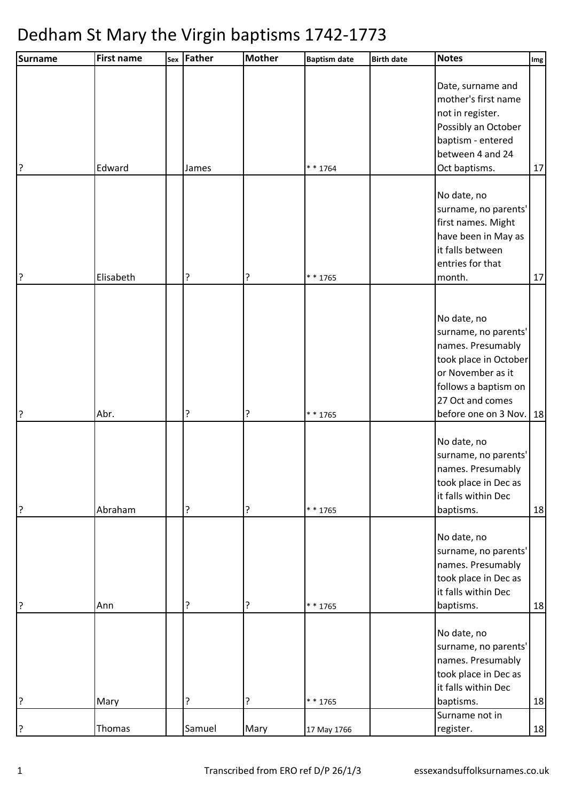| <b>Surname</b> | <b>First name</b> | Sex | <b>Father</b> | <b>Mother</b> | <b>Baptism date</b> | <b>Birth date</b> | <b>Notes</b>              | Img |
|----------------|-------------------|-----|---------------|---------------|---------------------|-------------------|---------------------------|-----|
|                |                   |     |               |               |                     |                   |                           |     |
|                |                   |     |               |               |                     |                   | Date, surname and         |     |
|                |                   |     |               |               |                     |                   | mother's first name       |     |
|                |                   |     |               |               |                     |                   | not in register.          |     |
|                |                   |     |               |               |                     |                   | Possibly an October       |     |
|                |                   |     |               |               |                     |                   | baptism - entered         |     |
|                |                   |     |               |               |                     |                   | between 4 and 24          |     |
| ?              | Edward            |     | James         |               | * * 1764            |                   | Oct baptisms.             | 17  |
|                |                   |     |               |               |                     |                   |                           |     |
|                |                   |     |               |               |                     |                   | No date, no               |     |
|                |                   |     |               |               |                     |                   | surname, no parents'      |     |
|                |                   |     |               |               |                     |                   | first names. Might        |     |
|                |                   |     |               |               |                     |                   | have been in May as       |     |
|                |                   |     |               |               |                     |                   | it falls between          |     |
|                |                   |     |               |               |                     |                   | entries for that          |     |
| ?              | Elisabeth         |     | ?             | ?             | * * 1765            |                   | month.                    | 17  |
|                |                   |     |               |               |                     |                   |                           |     |
|                |                   |     |               |               |                     |                   |                           |     |
|                |                   |     |               |               |                     |                   | No date, no               |     |
|                |                   |     |               |               |                     |                   | surname, no parents'      |     |
|                |                   |     |               |               |                     |                   | names. Presumably         |     |
|                |                   |     |               |               |                     |                   | took place in October     |     |
|                |                   |     |               |               |                     |                   | or November as it         |     |
|                |                   |     |               |               |                     |                   | follows a baptism on      |     |
|                |                   |     |               |               |                     |                   | 27 Oct and comes          |     |
| ?              | Abr.              |     | ?             | ?             | * * 1765            |                   | before one on 3 Nov.   18 |     |
|                |                   |     |               |               |                     |                   |                           |     |
|                |                   |     |               |               |                     |                   | No date, no               |     |
|                |                   |     |               |               |                     |                   | surname, no parents'      |     |
|                |                   |     |               |               |                     |                   | names. Presumably         |     |
|                |                   |     |               |               |                     |                   | took place in Dec as      |     |
|                |                   |     |               |               |                     |                   | it falls within Dec       |     |
| 3              | Abraham           |     | ?             | ?             | * * 1765            |                   | baptisms.                 | 18  |
|                |                   |     |               |               |                     |                   |                           |     |
|                |                   |     |               |               |                     |                   | No date, no               |     |
|                |                   |     |               |               |                     |                   | surname, no parents'      |     |
|                |                   |     |               |               |                     |                   | names. Presumably         |     |
|                |                   |     |               |               |                     |                   | took place in Dec as      |     |
|                |                   |     |               |               |                     |                   | it falls within Dec       |     |
| ?              | Ann               |     | ?             | ?             | * * 1765            |                   | baptisms.                 | 18  |
|                |                   |     |               |               |                     |                   |                           |     |
|                |                   |     |               |               |                     |                   | No date, no               |     |
|                |                   |     |               |               |                     |                   | surname, no parents'      |     |
|                |                   |     |               |               |                     |                   | names. Presumably         |     |
|                |                   |     |               |               |                     |                   | took place in Dec as      |     |
|                |                   |     |               |               |                     |                   | it falls within Dec       |     |
| ?              | Mary              |     | ?             | ?             | * * 1765            |                   | baptisms.                 | 18  |
|                |                   |     |               |               |                     |                   | Surname not in            |     |
| ?              | Thomas            |     | Samuel        | Mary          | 17 May 1766         |                   | register.                 | 18  |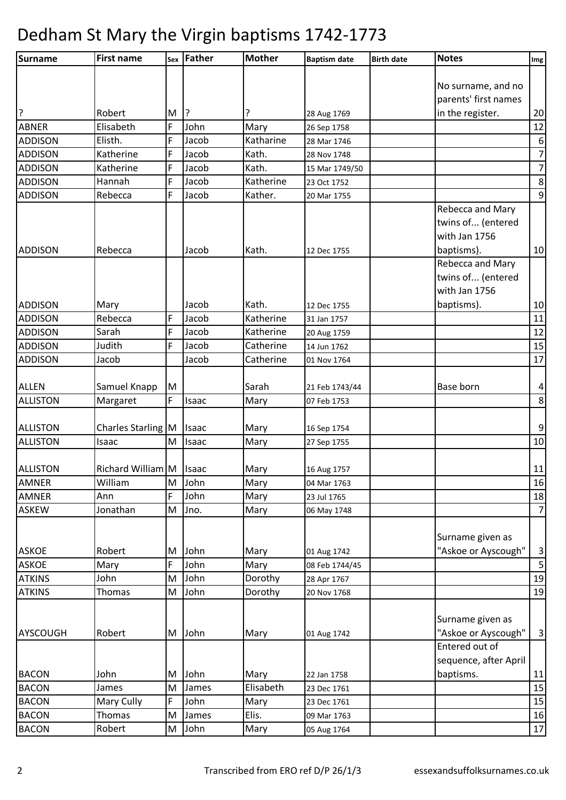| Surname         | <b>First name</b>       | Sex | Father | <b>Mother</b> | <b>Baptism date</b> | <b>Birth date</b> | <b>Notes</b>          | Img            |
|-----------------|-------------------------|-----|--------|---------------|---------------------|-------------------|-----------------------|----------------|
|                 |                         |     |        |               |                     |                   |                       |                |
|                 |                         |     |        |               |                     |                   | No surname, and no    |                |
|                 |                         |     |        |               |                     |                   | parents' first names  |                |
| ?               | Robert                  | M   | ?      |               | 28 Aug 1769         |                   | in the register.      | 20             |
| <b>ABNER</b>    | Elisabeth               | F   | John   | Mary          | 26 Sep 1758         |                   |                       | 12             |
| <b>ADDISON</b>  | Elisth.                 | F   | Jacob  | Katharine     | 28 Mar 1746         |                   |                       | 6              |
| <b>ADDISON</b>  | Katherine               | F   | Jacob  | Kath.         | 28 Nov 1748         |                   |                       | $\overline{7}$ |
| <b>ADDISON</b>  | Katherine               | F   | Jacob  | Kath.         | 15 Mar 1749/50      |                   |                       | $\overline{7}$ |
| <b>ADDISON</b>  | Hannah                  | F   | Jacob  | Katherine     | 23 Oct 1752         |                   |                       | $\bf 8$        |
| <b>ADDISON</b>  | Rebecca                 | F   | Jacob  | Kather.       | 20 Mar 1755         |                   |                       | $\overline{9}$ |
|                 |                         |     |        |               |                     |                   | Rebecca and Mary      |                |
|                 |                         |     |        |               |                     |                   | twins of (entered     |                |
|                 |                         |     |        |               |                     |                   | with Jan 1756         |                |
| <b>ADDISON</b>  | Rebecca                 |     | Jacob  | Kath.         | 12 Dec 1755         |                   | baptisms).            | 10             |
|                 |                         |     |        |               |                     |                   | Rebecca and Mary      |                |
|                 |                         |     |        |               |                     |                   | twins of (entered     |                |
|                 |                         |     |        |               |                     |                   | with Jan 1756         |                |
| <b>ADDISON</b>  | Mary                    |     | Jacob  | Kath.         | 12 Dec 1755         |                   | baptisms).            | 10             |
| ADDISON         | Rebecca                 | F   | Jacob  | Katherine     | 31 Jan 1757         |                   |                       | 11             |
| ADDISON         | Sarah                   | F   | Jacob  | Katherine     | 20 Aug 1759         |                   |                       | 12             |
| <b>ADDISON</b>  | Judith                  | F   | Jacob  | Catherine     | 14 Jun 1762         |                   |                       | 15             |
| <b>ADDISON</b>  | Jacob                   |     | Jacob  | Catherine     | 01 Nov 1764         |                   |                       | 17             |
|                 |                         |     |        |               |                     |                   |                       |                |
| <b>ALLEN</b>    | Samuel Knapp            | M   |        | Sarah         | 21 Feb 1743/44      |                   | Base born             | 4              |
| <b>ALLISTON</b> | Margaret                | F   | Isaac  | Mary          | 07 Feb 1753         |                   |                       | $\,8\,$        |
|                 |                         |     |        |               |                     |                   |                       |                |
| <b>ALLISTON</b> | Charles Starling   M    |     | Isaac  | Mary          | 16 Sep 1754         |                   |                       | 9              |
| <b>ALLISTON</b> | Isaac                   | M   | Isaac  | Mary          | 27 Sep 1755         |                   |                       | $10\,$         |
|                 |                         |     |        |               |                     |                   |                       |                |
| <b>ALLISTON</b> | Richard William M Isaac |     |        | Mary          | 16 Aug 1757         |                   |                       | $11\,$         |
| <b>AMNER</b>    | William                 | M   | John   | Mary          | 04 Mar 1763         |                   |                       | 16             |
| AMNER           | Ann                     | F   | John   | Mary          | 23 Jul 1765         |                   |                       | 18             |
| <b>ASKEW</b>    | Jonathan                | M   | Jno.   | Mary          | 06 May 1748         |                   |                       | $\overline{7}$ |
|                 |                         |     |        |               |                     |                   |                       |                |
|                 |                         |     |        |               |                     |                   | Surname given as      |                |
| <b>ASKOE</b>    | Robert                  | M   | John   | Mary          | 01 Aug 1742         |                   | "Askoe or Ayscough"   | $\mathbf{3}$   |
| <b>ASKOE</b>    | Mary                    | F   | John   | Mary          | 08 Feb 1744/45      |                   |                       | $\sqrt{5}$     |
| <b>ATKINS</b>   | John                    | M   | John   | Dorothy       | 28 Apr 1767         |                   |                       | 19             |
| <b>ATKINS</b>   | Thomas                  | M   | John   | Dorothy       | 20 Nov 1768         |                   |                       | 19             |
|                 |                         |     |        |               |                     |                   |                       |                |
|                 |                         |     |        |               |                     |                   | Surname given as      |                |
| <b>AYSCOUGH</b> | Robert                  | M   | John   | Mary          | 01 Aug 1742         |                   | "Askoe or Ayscough"   | $\mathbf{3}$   |
|                 |                         |     |        |               |                     |                   | Entered out of        |                |
|                 |                         |     |        |               |                     |                   | sequence, after April |                |
| <b>BACON</b>    | John                    | M   | John   | Mary          | 22 Jan 1758         |                   | baptisms.             | 11             |
| <b>BACON</b>    | James                   | M   | James  | Elisabeth     | 23 Dec 1761         |                   |                       | 15             |
| <b>BACON</b>    | Mary Cully              | F   | John   | Mary          | 23 Dec 1761         |                   |                       | 15             |
| <b>BACON</b>    | Thomas                  | M   | James  | Elis.         | 09 Mar 1763         |                   |                       | 16             |
| <b>BACON</b>    | Robert                  | M   | John   | Mary          | 05 Aug 1764         |                   |                       | $17\,$         |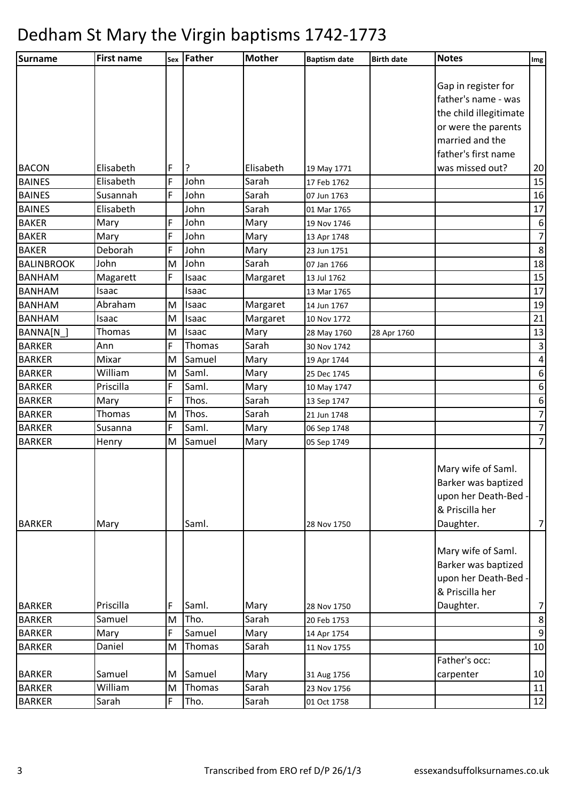|                        | $\lfloor \mathsf{Img} \rfloor$ |
|------------------------|--------------------------------|
|                        |                                |
| Gap in register for    |                                |
|                        |                                |
| the child illegitimate |                                |
| or were the parents    |                                |
| married and the        |                                |
| father's first name    |                                |
| was missed out?        | 20                             |
|                        | 15                             |
|                        | 16                             |
|                        | 17                             |
|                        | $6 \overline{}$                |
|                        | 7                              |
|                        | 8 <sup>1</sup>                 |
|                        | 18                             |
|                        | 15                             |
|                        | 17                             |
|                        | 19                             |
|                        | 21                             |
|                        | 13                             |
|                        | $\overline{\mathbf{3}}$        |
|                        | $\overline{4}$                 |
|                        | 6                              |
|                        | $6 \mid$                       |
|                        | 6                              |
|                        | $\overline{7}$                 |
|                        | $\overline{7}$                 |
|                        | 7                              |
|                        |                                |
| Mary wife of Saml.     |                                |
| Barker was baptized    |                                |
| upon her Death-Bed     |                                |
| & Priscilla her        |                                |
| Daughter.              | 7                              |
|                        |                                |
| Mary wife of Saml.     |                                |
| Barker was baptized    |                                |
| upon her Death-Bed     |                                |
| & Priscilla her        |                                |
| Daughter.              | 7                              |
|                        | 8 <sup>1</sup>                 |
|                        | $\overline{9}$                 |
|                        | 10                             |
| Father's occ:          |                                |
| carpenter              | 10                             |
|                        | 11                             |
|                        | 12                             |
|                        | father's name - was            |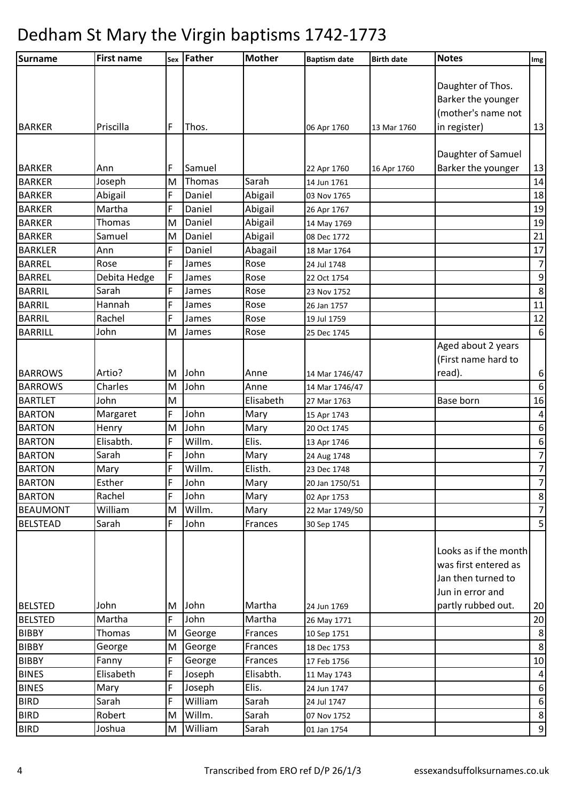| Surname         | <b>First name</b> | Sex | Father  | <b>Mother</b> | <b>Baptism date</b> | <b>Birth date</b> | <b>Notes</b>          | Img              |
|-----------------|-------------------|-----|---------|---------------|---------------------|-------------------|-----------------------|------------------|
|                 |                   |     |         |               |                     |                   |                       |                  |
|                 |                   |     |         |               |                     |                   | Daughter of Thos.     |                  |
|                 |                   |     |         |               |                     |                   | Barker the younger    |                  |
|                 |                   |     |         |               |                     |                   | (mother's name not    |                  |
| <b>BARKER</b>   | Priscilla         | F   | Thos.   |               | 06 Apr 1760         | 13 Mar 1760       | in register)          | 13               |
|                 |                   |     |         |               |                     |                   |                       |                  |
|                 |                   |     |         |               |                     |                   | Daughter of Samuel    |                  |
| <b>BARKER</b>   | Ann               | F   | Samuel  |               | 22 Apr 1760         | 16 Apr 1760       | Barker the younger    | 13               |
| <b>BARKER</b>   | Joseph            | M   | Thomas  | Sarah         | 14 Jun 1761         |                   |                       | 14               |
| <b>BARKER</b>   | Abigail           | F   | Daniel  | Abigail       | 03 Nov 1765         |                   |                       | 18               |
| <b>BARKER</b>   | Martha            | F   | Daniel  | Abigail       | 26 Apr 1767         |                   |                       | 19               |
| <b>BARKER</b>   | Thomas            | M   | Daniel  | Abigail       | 14 May 1769         |                   |                       | 19               |
| <b>BARKER</b>   | Samuel            | M   | Daniel  | Abigail       | 08 Dec 1772         |                   |                       | 21               |
| <b>BARKLER</b>  | Ann               | F   | Daniel  | Abagail       | 18 Mar 1764         |                   |                       | 17               |
| <b>BARREL</b>   | Rose              | F   | James   | Rose          | 24 Jul 1748         |                   |                       | 7                |
| <b>BARREL</b>   | Debita Hedge      | F   | James   | Rose          | 22 Oct 1754         |                   |                       | $\boldsymbol{9}$ |
| <b>BARRIL</b>   | Sarah             | F   | James   | Rose          | 23 Nov 1752         |                   |                       | $\boldsymbol{8}$ |
| <b>BARRIL</b>   | Hannah            | F   | James   | Rose          | 26 Jan 1757         |                   |                       | 11               |
| <b>BARRIL</b>   | Rachel            | F   | James   | Rose          | 19 Jul 1759         |                   |                       | $12\,$           |
| <b>BARRILL</b>  | John              | M   | James   | Rose          | 25 Dec 1745         |                   |                       | $6 \mid$         |
|                 |                   |     |         |               |                     |                   | Aged about 2 years    |                  |
|                 |                   |     |         |               |                     |                   | (First name hard to   |                  |
| <b>BARROWS</b>  | Artio?            | M   | John    | Anne          | 14 Mar 1746/47      |                   | read).                | $6 \mid$         |
| <b>BARROWS</b>  | Charles           | M   | John    | Anne          | 14 Mar 1746/47      |                   |                       | 6                |
| <b>BARTLET</b>  | John              | M   |         | Elisabeth     | 27 Mar 1763         |                   | Base born             | 16               |
| <b>BARTON</b>   | Margaret          | F   | John    | Mary          | 15 Apr 1743         |                   |                       | 4                |
| <b>BARTON</b>   | Henry             | M   | John    | Mary          | 20 Oct 1745         |                   |                       | 6                |
| <b>BARTON</b>   | Elisabth.         | F   | Willm.  | Elis.         | 13 Apr 1746         |                   |                       | 6                |
| <b>BARTON</b>   | Sarah             | F   | John    | Mary          | 24 Aug 1748         |                   |                       | $\overline{7}$   |
| <b>BARTON</b>   | Mary              | F   | Willm.  | Elisth.       | 23 Dec 1748         |                   |                       | $\overline{7}$   |
| <b>BARTON</b>   | Esther            | F   | John    | Mary          | 20 Jan 1750/51      |                   |                       | 7                |
| <b>BARTON</b>   | Rachel            | F   | John    | Mary          | 02 Apr 1753         |                   |                       | 8                |
| <b>BEAUMONT</b> | William           | M   | Willm.  | Mary          | 22 Mar 1749/50      |                   |                       | 7                |
| <b>BELSTEAD</b> | Sarah             | F   | John    | Frances       | 30 Sep 1745         |                   |                       | $\overline{5}$   |
|                 |                   |     |         |               |                     |                   |                       |                  |
|                 |                   |     |         |               |                     |                   | Looks as if the month |                  |
|                 |                   |     |         |               |                     |                   | was first entered as  |                  |
|                 |                   |     |         |               |                     |                   | Jan then turned to    |                  |
|                 |                   |     |         |               |                     |                   | Jun in error and      |                  |
| <b>BELSTED</b>  | John              | M   | John    | Martha        | 24 Jun 1769         |                   | partly rubbed out.    | 20               |
| <b>BELSTED</b>  | Martha            | F   | John    | Martha        | 26 May 1771         |                   |                       | 20               |
| <b>BIBBY</b>    | Thomas            | M   | George  | Frances       | 10 Sep 1751         |                   |                       | 8 <sup>1</sup>   |
| <b>BIBBY</b>    | George            | M   | George  | Frances       | 18 Dec 1753         |                   |                       | 8 <sup>1</sup>   |
| <b>BIBBY</b>    | Fanny             | F   | George  | Frances       | 17 Feb 1756         |                   |                       | 10               |
| <b>BINES</b>    | Elisabeth         | F   | Joseph  | Elisabth.     | 11 May 1743         |                   |                       | $\vert$          |
| <b>BINES</b>    | Mary              | F   | Joseph  | Elis.         | 24 Jun 1747         |                   |                       | 6                |
| <b>BIRD</b>     | Sarah             | F   | William | Sarah         | 24 Jul 1747         |                   |                       | 6                |
| <b>BIRD</b>     | Robert            | M   | Willm.  | Sarah         | 07 Nov 1752         |                   |                       | 8                |
| <b>BIRD</b>     | Joshua            | M   | William | Sarah         | 01 Jan 1754         |                   |                       | 9                |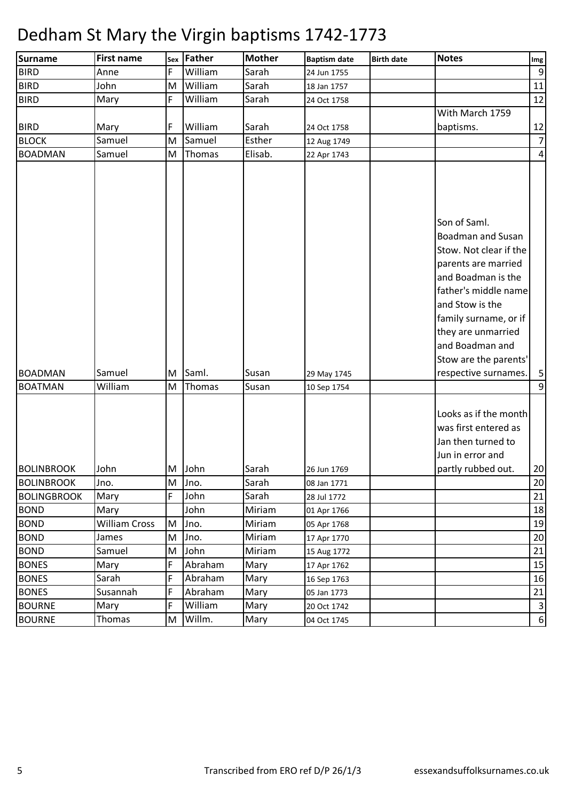| <b>Surname</b>     | <b>First name</b>    | Sex | Father  | <b>Mother</b> | <b>Baptism date</b> | <b>Birth date</b> | <b>Notes</b>                                                                                                                                                                                                                                          | Img                     |
|--------------------|----------------------|-----|---------|---------------|---------------------|-------------------|-------------------------------------------------------------------------------------------------------------------------------------------------------------------------------------------------------------------------------------------------------|-------------------------|
| <b>BIRD</b>        | Anne                 | F   | William | Sarah         | 24 Jun 1755         |                   |                                                                                                                                                                                                                                                       | $\overline{9}$          |
| <b>BIRD</b>        | John                 | M   | William | Sarah         | 18 Jan 1757         |                   |                                                                                                                                                                                                                                                       | 11                      |
| <b>BIRD</b>        | Mary                 | F   | William | Sarah         | 24 Oct 1758         |                   |                                                                                                                                                                                                                                                       | 12                      |
|                    |                      |     |         |               |                     |                   | With March 1759                                                                                                                                                                                                                                       |                         |
| <b>BIRD</b>        | Mary                 | F   | William | Sarah         | 24 Oct 1758         |                   | baptisms.                                                                                                                                                                                                                                             | 12                      |
| <b>BLOCK</b>       | Samuel               | M   | Samuel  | Esther        | 12 Aug 1749         |                   |                                                                                                                                                                                                                                                       | $\overline{7}$          |
| <b>BOADMAN</b>     | Samuel               | M   | Thomas  | Elisab.       | 22 Apr 1743         |                   |                                                                                                                                                                                                                                                       | $\vert$                 |
|                    |                      |     |         |               |                     |                   | Son of Saml.<br><b>Boadman and Susan</b><br>Stow. Not clear if the<br>parents are married<br>and Boadman is the<br>father's middle name<br>and Stow is the<br>family surname, or if<br>they are unmarried<br>and Boadman and<br>Stow are the parents' |                         |
| <b>BOADMAN</b>     | Samuel               | M   | Saml.   | Susan         | 29 May 1745         |                   | respective surnames.                                                                                                                                                                                                                                  | $\overline{5}$          |
| <b>BOATMAN</b>     | William              | M   | Thomas  | Susan         | 10 Sep 1754         |                   |                                                                                                                                                                                                                                                       | $\overline{9}$          |
|                    |                      |     |         |               |                     |                   | Looks as if the month<br>was first entered as<br>Jan then turned to<br>Jun in error and                                                                                                                                                               |                         |
| <b>BOLINBROOK</b>  | John                 |     | M John  | Sarah         | 26 Jun 1769         |                   | partly rubbed out.                                                                                                                                                                                                                                    | 20                      |
| <b>BOLINBROOK</b>  | Jno.                 | M   | Jno.    | Sarah         | 08 Jan 1771         |                   |                                                                                                                                                                                                                                                       | 20                      |
| <b>BOLINGBROOK</b> | Mary                 | F   | John    | Sarah         | 28 Jul 1772         |                   |                                                                                                                                                                                                                                                       | 21                      |
| <b>BOND</b>        | Mary                 |     | John    | Miriam        | 01 Apr 1766         |                   |                                                                                                                                                                                                                                                       | 18                      |
| <b>BOND</b>        | <b>William Cross</b> | M   | Jno.    | Miriam        | 05 Apr 1768         |                   |                                                                                                                                                                                                                                                       | 19                      |
| <b>BOND</b>        | James                | M   | Jno.    | Miriam        | 17 Apr 1770         |                   |                                                                                                                                                                                                                                                       | 20                      |
| <b>BOND</b>        | Samuel               | M   | John    | Miriam        | 15 Aug 1772         |                   |                                                                                                                                                                                                                                                       | 21                      |
| <b>BONES</b>       | Mary                 | F   | Abraham | Mary          | 17 Apr 1762         |                   |                                                                                                                                                                                                                                                       | 15                      |
| <b>BONES</b>       | Sarah                | F   | Abraham | Mary          | 16 Sep 1763         |                   |                                                                                                                                                                                                                                                       | 16                      |
| <b>BONES</b>       | Susannah             | F   | Abraham | Mary          | 05 Jan 1773         |                   |                                                                                                                                                                                                                                                       | 21                      |
| <b>BOURNE</b>      | Mary                 | F   | William | Mary          | 20 Oct 1742         |                   |                                                                                                                                                                                                                                                       | $\overline{\mathbf{3}}$ |
| <b>BOURNE</b>      | Thomas               | M   | Willm.  | Mary          | 04 Oct 1745         |                   |                                                                                                                                                                                                                                                       | $6 \overline{}$         |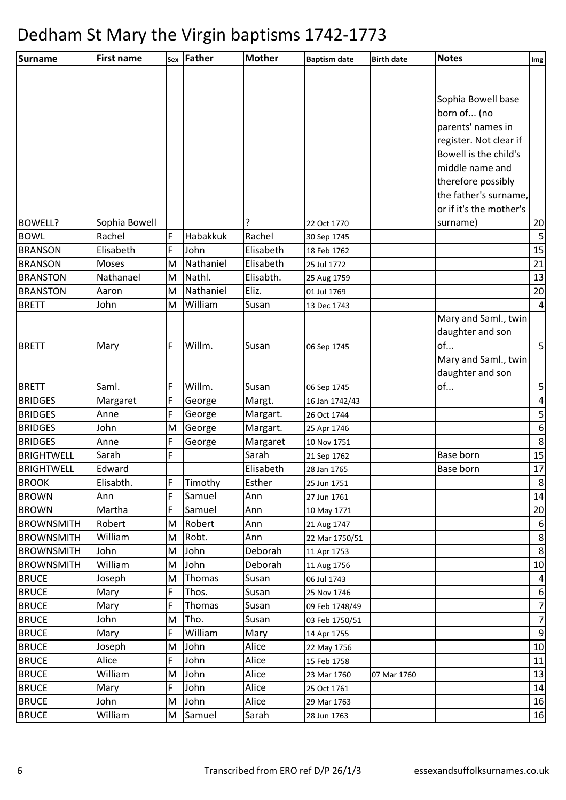| Surname           | <b>First name</b> | Sex | Father    | <b>Mother</b> | <b>Baptism date</b> | <b>Birth date</b> | <b>Notes</b>            | Img            |
|-------------------|-------------------|-----|-----------|---------------|---------------------|-------------------|-------------------------|----------------|
|                   |                   |     |           |               |                     |                   |                         |                |
|                   |                   |     |           |               |                     |                   |                         |                |
|                   |                   |     |           |               |                     |                   | Sophia Bowell base      |                |
|                   |                   |     |           |               |                     |                   | born of (no             |                |
|                   |                   |     |           |               |                     |                   | parents' names in       |                |
|                   |                   |     |           |               |                     |                   | register. Not clear if  |                |
|                   |                   |     |           |               |                     |                   | Bowell is the child's   |                |
|                   |                   |     |           |               |                     |                   | middle name and         |                |
|                   |                   |     |           |               |                     |                   | therefore possibly      |                |
|                   |                   |     |           |               |                     |                   | the father's surname,   |                |
|                   |                   |     |           |               |                     |                   | or if it's the mother's |                |
| <b>BOWELL?</b>    | Sophia Bowell     |     |           | ?             | 22 Oct 1770         |                   | surname)                | 20             |
| <b>BOWL</b>       | Rachel            | F   | Habakkuk  | Rachel        | 30 Sep 1745         |                   |                         | 5 <sup>1</sup> |
| <b>BRANSON</b>    | Elisabeth         | F   | John      | Elisabeth     | 18 Feb 1762         |                   |                         | 15             |
| <b>BRANSON</b>    | Moses             | M   | Nathaniel | Elisabeth     | 25 Jul 1772         |                   |                         | 21             |
| <b>BRANSTON</b>   | Nathanael         | M   | Nathl.    | Elisabth.     | 25 Aug 1759         |                   |                         | 13             |
| <b>BRANSTON</b>   | Aaron             | M   | Nathaniel | Eliz.         | 01 Jul 1769         |                   |                         | 20             |
| <b>BRETT</b>      | John              | M   | William   | Susan         | 13 Dec 1743         |                   |                         | $\overline{4}$ |
|                   |                   |     |           |               |                     |                   | Mary and Saml., twin    |                |
|                   |                   |     |           |               |                     |                   | daughter and son        |                |
| <b>BRETT</b>      | Mary              | F   | Willm.    | Susan         | 06 Sep 1745         |                   | of                      | $\overline{5}$ |
|                   |                   |     |           |               |                     |                   | Mary and Saml., twin    |                |
|                   |                   |     |           |               |                     |                   | daughter and son        |                |
| <b>BRETT</b>      | Saml.             | F   | Willm.    | Susan         | 06 Sep 1745         |                   | of                      | $\overline{5}$ |
| <b>BRIDGES</b>    | Margaret          | F   | George    | Margt.        | 16 Jan 1742/43      |                   |                         | $\overline{4}$ |
| <b>BRIDGES</b>    | Anne              | F   | George    | Margart.      | 26 Oct 1744         |                   |                         | 5 <sup>1</sup> |
| <b>BRIDGES</b>    | John              | M   | George    | Margart.      | 25 Apr 1746         |                   |                         | 6              |
| <b>BRIDGES</b>    | Anne              | F   | George    | Margaret      | 10 Nov 1751         |                   |                         | 8 <sup>°</sup> |
| <b>BRIGHTWELL</b> | Sarah             | F   |           | Sarah         | 21 Sep 1762         |                   | <b>Base born</b>        | 15             |
| <b>BRIGHTWELL</b> | Edward            |     |           | Elisabeth     | 28 Jan 1765         |                   | <b>Base born</b>        | 17             |
| <b>BROOK</b>      | Elisabth.         | F   | Timothy   | Esther        | 25 Jun 1751         |                   |                         | 8 <sup>1</sup> |
| <b>BROWN</b>      | Ann               | F   | Samuel    | Ann           | 27 Jun 1761         |                   |                         | 14             |
| <b>BROWN</b>      | Martha            | F   | Samuel    | Ann           | 10 May 1771         |                   |                         | 20             |
| <b>BROWNSMITH</b> | Robert            | М   | Robert    | Ann           | 21 Aug 1747         |                   |                         | 6              |
| <b>BROWNSMITH</b> | William           | M   | Robt.     | Ann           | 22 Mar 1750/51      |                   |                         | 8 <sup>1</sup> |
| <b>BROWNSMITH</b> | John              | M   | John      | Deborah       | 11 Apr 1753         |                   |                         | 8 <sup>1</sup> |
| <b>BROWNSMITH</b> | William           | M   | John      | Deborah       | 11 Aug 1756         |                   |                         | 10             |
| <b>BRUCE</b>      | Joseph            | M   | Thomas    | Susan         | 06 Jul 1743         |                   |                         | 4              |
| <b>BRUCE</b>      | Mary              | F   | Thos.     | Susan         | 25 Nov 1746         |                   |                         | 6              |
| <b>BRUCE</b>      | Mary              | F   | Thomas    | Susan         | 09 Feb 1748/49      |                   |                         | 7              |
| <b>BRUCE</b>      | John              | M   | Tho.      | Susan         | 03 Feb 1750/51      |                   |                         | 7              |
| <b>BRUCE</b>      | Mary              | F   | William   | Mary          | 14 Apr 1755         |                   |                         | 9              |
| <b>BRUCE</b>      | Joseph            | M   | John      | Alice         | 22 May 1756         |                   |                         | 10             |
| <b>BRUCE</b>      | Alice             | F   | John      | Alice         | 15 Feb 1758         |                   |                         | 11             |
| <b>BRUCE</b>      | William           | M   | John      | Alice         | 23 Mar 1760         | 07 Mar 1760       |                         | 13             |
| <b>BRUCE</b>      | Mary              | F   | John      | Alice         | 25 Oct 1761         |                   |                         | 14             |
| <b>BRUCE</b>      | John              | M   | John      | Alice         | 29 Mar 1763         |                   |                         | 16             |
| <b>BRUCE</b>      | William           | M   | Samuel    | Sarah         | 28 Jun 1763         |                   |                         | 16             |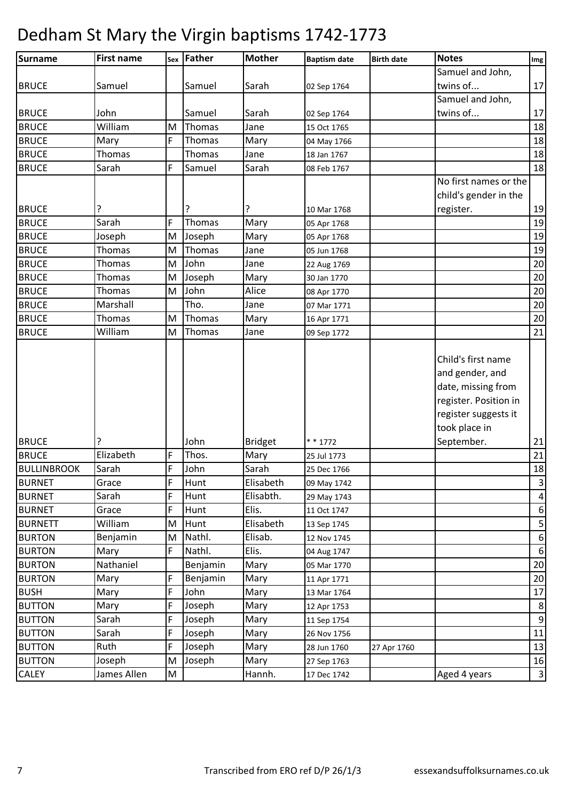| Surname            | <b>First name</b> |   | sex Father  | <b>Mother</b>  | <b>Baptism date</b> | <b>Birth date</b> | <b>Notes</b>                                                                                            | Img                     |
|--------------------|-------------------|---|-------------|----------------|---------------------|-------------------|---------------------------------------------------------------------------------------------------------|-------------------------|
|                    |                   |   |             |                |                     |                   | Samuel and John,                                                                                        |                         |
| <b>BRUCE</b>       | Samuel            |   | Samuel      | Sarah          | 02 Sep 1764         |                   | twins of                                                                                                | 17                      |
|                    |                   |   |             |                |                     |                   | Samuel and John,                                                                                        |                         |
| <b>BRUCE</b>       | John              |   | Samuel      | Sarah          | 02 Sep 1764         |                   | twins of                                                                                                | 17                      |
| <b>BRUCE</b>       | William           | M | Thomas      | Jane           | 15 Oct 1765         |                   |                                                                                                         | 18                      |
| <b>BRUCE</b>       | Mary              | F | Thomas      | Mary           | 04 May 1766         |                   |                                                                                                         | 18                      |
| <b>BRUCE</b>       | Thomas            |   | Thomas      | Jane           | 18 Jan 1767         |                   |                                                                                                         | 18                      |
| <b>BRUCE</b>       | Sarah             | F | Samuel      | Sarah          | 08 Feb 1767         |                   |                                                                                                         | 18                      |
|                    |                   |   |             |                |                     |                   | No first names or the                                                                                   |                         |
|                    |                   |   |             |                |                     |                   | child's gender in the                                                                                   |                         |
| <b>BRUCE</b>       | ?                 |   |             |                | 10 Mar 1768         |                   | register.                                                                                               | 19                      |
| <b>BRUCE</b>       | Sarah             | F | Thomas      | Mary           | 05 Apr 1768         |                   |                                                                                                         | 19                      |
| <b>BRUCE</b>       | Joseph            | M | Joseph      | Mary           | 05 Apr 1768         |                   |                                                                                                         | 19                      |
| <b>BRUCE</b>       | Thomas            | M | Thomas      | Jane           | 05 Jun 1768         |                   |                                                                                                         | 19                      |
| <b>BRUCE</b>       | Thomas            | M | John        | Jane           | 22 Aug 1769         |                   |                                                                                                         | 20                      |
| <b>BRUCE</b>       | Thomas            | M | Joseph      | Mary           | 30 Jan 1770         |                   |                                                                                                         | 20                      |
| <b>BRUCE</b>       | Thomas            | M | John        | Alice          | 08 Apr 1770         |                   |                                                                                                         | 20                      |
| <b>BRUCE</b>       | Marshall          |   | Tho.        | Jane           | 07 Mar 1771         |                   |                                                                                                         | 20                      |
| <b>BRUCE</b>       | <b>Thomas</b>     | M | Thomas      | Mary           | 16 Apr 1771         |                   |                                                                                                         | 20                      |
| <b>BRUCE</b>       | William           | M | Thomas      | Jane           | 09 Sep 1772         |                   |                                                                                                         | 21                      |
|                    |                   |   |             |                |                     |                   | and gender, and<br>date, missing from<br>register. Position in<br>register suggests it<br>took place in |                         |
| <b>BRUCE</b>       | ?                 |   | John        | <b>Bridget</b> | $* * 1772$          |                   | September.                                                                                              | 21                      |
| <b>BRUCE</b>       | Elizabeth         | F | Thos.       | Mary           | 25 Jul 1773         |                   |                                                                                                         | 21                      |
| <b>BULLINBROOK</b> | Sarah             | F | John        | Sarah          | 25 Dec 1766         |                   |                                                                                                         | 18                      |
| <b>BURNET</b>      | Grace             | F | Hunt        | Elisabeth      | 09 May 1742         |                   |                                                                                                         | $\overline{\mathbf{3}}$ |
| <b>BURNET</b>      | Sarah             | F | Hunt        | Elisabth.      | 29 May 1743         |                   |                                                                                                         | $\vert 4 \vert$         |
| <b>BURNET</b>      | Grace             | F | Hunt        | Elis.          | 11 Oct 1747         |                   |                                                                                                         | 6                       |
| <b>BURNETT</b>     | William           | M | <b>Hunt</b> | Elisabeth      | 13 Sep 1745         |                   |                                                                                                         | 5                       |
| <b>BURTON</b>      | Benjamin          | M | Nathl.      | Elisab.        | 12 Nov 1745         |                   |                                                                                                         | 6                       |
| <b>BURTON</b>      | Mary              | F | Nathl.      | Elis.          | 04 Aug 1747         |                   |                                                                                                         | $\boldsymbol{6}$        |
| <b>BURTON</b>      | Nathaniel         |   | Benjamin    | Mary           | 05 Mar 1770         |                   |                                                                                                         | 20                      |
| <b>BURTON</b>      | Mary              | F | Benjamin    | Mary           | 11 Apr 1771         |                   |                                                                                                         | 20                      |
| <b>BUSH</b>        | Mary              | F | John        | Mary           | 13 Mar 1764         |                   |                                                                                                         | 17                      |
| <b>BUTTON</b>      | Mary              | F | Joseph      | Mary           | 12 Apr 1753         |                   |                                                                                                         | 8                       |
| <b>BUTTON</b>      | Sarah             | F | Joseph      | Mary           | 11 Sep 1754         |                   |                                                                                                         | $\overline{9}$          |
| <b>BUTTON</b>      | Sarah             | F | Joseph      | Mary           | 26 Nov 1756         |                   |                                                                                                         | 11                      |
| <b>BUTTON</b>      | Ruth              | F | Joseph      | Mary           | 28 Jun 1760         | 27 Apr 1760       |                                                                                                         | 13                      |
| <b>BUTTON</b>      | Joseph            | M | Joseph      | Mary           | 27 Sep 1763         |                   |                                                                                                         | 16                      |
| <b>CALEY</b>       | James Allen       | M |             | Hannh.         | 17 Dec 1742         |                   | Aged 4 years                                                                                            | $\vert$ 3               |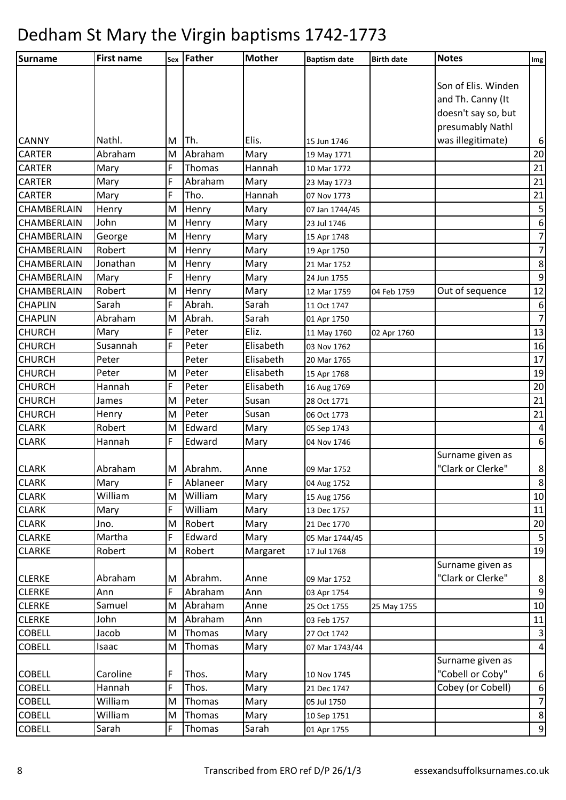| Surname            | <b>First name</b> | Sex         | Father    | <b>Mother</b> | <b>Baptism date</b> | <b>Birth date</b> | <b>Notes</b>        | Img              |
|--------------------|-------------------|-------------|-----------|---------------|---------------------|-------------------|---------------------|------------------|
|                    |                   |             |           |               |                     |                   |                     |                  |
|                    |                   |             |           |               |                     |                   | Son of Elis. Winden |                  |
|                    |                   |             |           |               |                     |                   | and Th. Canny (It   |                  |
|                    |                   |             |           |               |                     |                   | doesn't say so, but |                  |
|                    |                   |             |           |               |                     |                   | presumably Nathl    |                  |
| <b>CANNY</b>       | Nathl.            | ΙM          | Th.       | Elis.         | 15 Jun 1746         |                   | was illegitimate)   | 6                |
| <b>CARTER</b>      | Abraham           | M           | Abraham   | Mary          | 19 May 1771         |                   |                     | 20               |
| <b>CARTER</b>      | Mary              | $\mathsf F$ | Thomas    | Hannah        | 10 Mar 1772         |                   |                     | 21               |
| <b>CARTER</b>      | Mary              | F           | Abraham   | Mary          | 23 May 1773         |                   |                     | 21               |
| <b>CARTER</b>      | Mary              | F           | Tho.      | Hannah        | 07 Nov 1773         |                   |                     | 21               |
| <b>CHAMBERLAIN</b> | Henry             | M           | Henry     | Mary          | 07 Jan 1744/45      |                   |                     | 5                |
| <b>CHAMBERLAIN</b> | John              | M           | Henry     | Mary          | 23 Jul 1746         |                   |                     | $\boldsymbol{6}$ |
| CHAMBERLAIN        | George            | M           | Henry     | Mary          | 15 Apr 1748         |                   |                     | $\overline{7}$   |
| <b>CHAMBERLAIN</b> | Robert            | M           | Henry     | Mary          | 19 Apr 1750         |                   |                     | $\overline{7}$   |
| <b>CHAMBERLAIN</b> | Jonathan          | M           | Henry     | Mary          | 21 Mar 1752         |                   |                     | $\bf 8$          |
| <b>CHAMBERLAIN</b> | Mary              | F           | Henry     | Mary          | 24 Jun 1755         |                   |                     | $\overline{9}$   |
| CHAMBERLAIN        | Robert            | M           | Henry     | Mary          | 12 Mar 1759         | 04 Feb 1759       | Out of sequence     | 12               |
| <b>CHAPLIN</b>     | Sarah             | F           | Abrah.    | Sarah         | 11 Oct 1747         |                   |                     | 6                |
| <b>CHAPLIN</b>     | Abraham           | M           | Abrah.    | Sarah         | 01 Apr 1750         |                   |                     | $\overline{7}$   |
| <b>CHURCH</b>      | Mary              | F           | Peter     | Eliz.         | 11 May 1760         | 02 Apr 1760       |                     | 13               |
| <b>CHURCH</b>      | Susannah          | F           | Peter     | Elisabeth     | 03 Nov 1762         |                   |                     | 16               |
| <b>CHURCH</b>      | Peter             |             | Peter     | Elisabeth     | 20 Mar 1765         |                   |                     | 17               |
| <b>CHURCH</b>      | Peter             | M           | Peter     | Elisabeth     | 15 Apr 1768         |                   |                     | 19               |
| <b>CHURCH</b>      | Hannah            | F           | Peter     | Elisabeth     | 16 Aug 1769         |                   |                     | 20               |
| <b>CHURCH</b>      | James             | M           | Peter     | Susan         | 28 Oct 1771         |                   |                     | 21               |
| <b>CHURCH</b>      | Henry             | M           | Peter     | Susan         | 06 Oct 1773         |                   |                     | 21               |
| <b>CLARK</b>       | Robert            | M           | Edward    | Mary          | 05 Sep 1743         |                   |                     | $\pmb{4}$        |
| <b>CLARK</b>       | Hannah            | F           | Edward    | Mary          | 04 Nov 1746         |                   |                     | $\boldsymbol{6}$ |
|                    |                   |             |           |               |                     |                   | Surname given as    |                  |
| <b>CLARK</b>       | Abraham           |             | M Abrahm. | Anne          | 09 Mar 1752         |                   | "Clark or Clerke"   | 8 <sup>1</sup>   |
| <b>CLARK</b>       | Mary              | F           | Ablaneer  | Mary          | 04 Aug 1752         |                   |                     | $\boldsymbol{8}$ |
| <b>CLARK</b>       | William           | M           | William   | Mary          | 15 Aug 1756         |                   |                     | 10               |
| <b>CLARK</b>       | Mary              | F           | William   | Mary          | 13 Dec 1757         |                   |                     | 11               |
| <b>CLARK</b>       | Jno.              | M           | Robert    | Mary          | 21 Dec 1770         |                   |                     | 20               |
| <b>CLARKE</b>      | Martha            | F           | Edward    | Mary          | 05 Mar 1744/45      |                   |                     | 5 <sup>1</sup>   |
| <b>CLARKE</b>      | Robert            | M           | Robert    | Margaret      | 17 Jul 1768         |                   |                     | 19               |
|                    |                   |             |           |               |                     |                   | Surname given as    |                  |
| <b>CLERKE</b>      | Abraham           | M           | Abrahm.   | Anne          | 09 Mar 1752         |                   | "Clark or Clerke"   | $\bf 8$          |
| <b>CLERKE</b>      | Ann               | F           | Abraham   | Ann           | 03 Apr 1754         |                   |                     | $\overline{9}$   |
| <b>CLERKE</b>      | Samuel            | M           | Abraham   | Anne          | 25 Oct 1755         | 25 May 1755       |                     | 10               |
| <b>CLERKE</b>      | John              | M           | Abraham   | Ann           | 03 Feb 1757         |                   |                     | 11               |
| <b>COBELL</b>      | Jacob             | M           | Thomas    | Mary          | 27 Oct 1742         |                   |                     | $\vert$ 3        |
| <b>COBELL</b>      | Isaac             | M           | Thomas    | Mary          | 07 Mar 1743/44      |                   |                     | $\vert$          |
|                    |                   |             |           |               |                     |                   | Surname given as    |                  |
| <b>COBELL</b>      | Caroline          | F           | Thos.     | Mary          | 10 Nov 1745         |                   | "Cobell or Coby"    | 6                |
| <b>COBELL</b>      | Hannah            | F           | Thos.     | Mary          | 21 Dec 1747         |                   | Cobey (or Cobell)   | $6 \mid$         |
| <b>COBELL</b>      | William           | M           | Thomas    | Mary          | 05 Jul 1750         |                   |                     | 7                |
| <b>COBELL</b>      | William           | M           | Thomas    | Mary          | 10 Sep 1751         |                   |                     | $\boldsymbol{8}$ |
| <b>COBELL</b>      | Sarah             | F           | Thomas    | Sarah         | 01 Apr 1755         |                   |                     | $\overline{9}$   |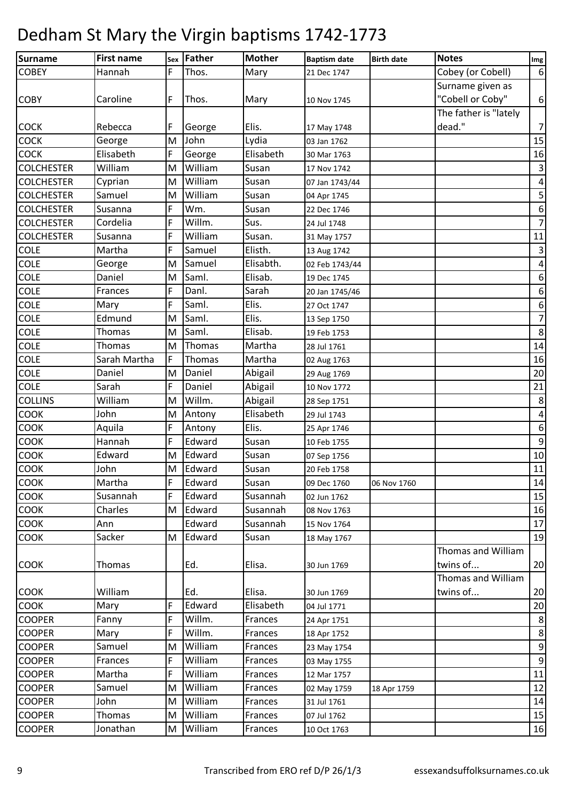| Surname           | <b>First name</b> | Sex | Father  | <b>Mother</b> | <b>Baptism date</b> | <b>Birth date</b> | <b>Notes</b>          | Img                     |
|-------------------|-------------------|-----|---------|---------------|---------------------|-------------------|-----------------------|-------------------------|
| <b>COBEY</b>      | Hannah            | F   | Thos.   | Mary          | 21 Dec 1747         |                   | Cobey (or Cobell)     | $6 \overline{6}$        |
|                   |                   |     |         |               |                     |                   | Surname given as      |                         |
| <b>COBY</b>       | Caroline          | F   | Thos.   | Mary          | 10 Nov 1745         |                   | "Cobell or Coby"      | $\boldsymbol{6}$        |
|                   |                   |     |         |               |                     |                   | The father is "lately |                         |
| <b>COCK</b>       | Rebecca           | F   | George  | Elis.         | 17 May 1748         |                   | dead."                | $\overline{7}$          |
| COCK              | George            | M   | John    | Lydia         | 03 Jan 1762         |                   |                       | 15                      |
| <b>COCK</b>       | Elisabeth         | F   | George  | Elisabeth     | 30 Mar 1763         |                   |                       | 16                      |
| <b>COLCHESTER</b> | William           | M   | William | Susan         | 17 Nov 1742         |                   |                       | $\overline{\mathbf{3}}$ |
| <b>COLCHESTER</b> | Cyprian           | M   | William | Susan         | 07 Jan 1743/44      |                   |                       | 4                       |
| <b>COLCHESTER</b> | Samuel            | M   | William | Susan         | 04 Apr 1745         |                   |                       | $\mathsf S$             |
| <b>COLCHESTER</b> | Susanna           | F   | Wm.     | Susan         | 22 Dec 1746         |                   |                       | $\boldsymbol{6}$        |
| <b>COLCHESTER</b> | Cordelia          | F   | Willm.  | Sus.          | 24 Jul 1748         |                   |                       | $\overline{7}$          |
| <b>COLCHESTER</b> | Susanna           | F   | William | Susan.        | 31 May 1757         |                   |                       | 11                      |
| <b>COLE</b>       | Martha            | F   | Samuel  | Elisth.       | 13 Aug 1742         |                   |                       | $\mathsf 3$             |
| COLE              | George            | M   | Samuel  | Elisabth.     | 02 Feb 1743/44      |                   |                       | $\pmb{4}$               |
| COLE              | Daniel            | M   | Saml.   | Elisab.       | 19 Dec 1745         |                   |                       | $\boldsymbol{6}$        |
| COLE              | Frances           | F   | Danl.   | Sarah         | 20 Jan 1745/46      |                   |                       | $\boldsymbol{6}$        |
| COLE              | Mary              | F   | Saml.   | Elis.         | 27 Oct 1747         |                   |                       | $\boldsymbol{6}$        |
| COLE              | Edmund            | M   | Saml.   | Elis.         | 13 Sep 1750         |                   |                       | $\overline{7}$          |
| COLE              | Thomas            | M   | Saml.   | Elisab.       | 19 Feb 1753         |                   |                       | $\bf 8$                 |
| COLE              | <b>Thomas</b>     | M   | Thomas  | Martha        | 28 Jul 1761         |                   |                       | 14                      |
| COLE              | Sarah Martha      | F   | Thomas  | Martha        | 02 Aug 1763         |                   |                       | 16                      |
| COLE              | Daniel            | M   | Daniel  | Abigail       | 29 Aug 1769         |                   |                       | 20                      |
| <b>COLE</b>       | Sarah             | F   | Daniel  | Abigail       | 10 Nov 1772         |                   |                       | 21                      |
| <b>COLLINS</b>    | William           | M   | Willm.  | Abigail       | 28 Sep 1751         |                   |                       | $\bf 8$                 |
| COOK              | John              | M   | Antony  | Elisabeth     | 29 Jul 1743         |                   |                       | $\pmb{4}$               |
| <b>COOK</b>       | Aquila            | F   | Antony  | Elis.         | 25 Apr 1746         |                   |                       | $\boldsymbol{6}$        |
| COOK              | Hannah            | F   | Edward  | Susan         | 10 Feb 1755         |                   |                       | $\overline{9}$          |
| COOK              | Edward            | M   | Edward  | Susan         | 07 Sep 1756         |                   |                       | 10                      |
| COOK              | John              | M   | Edward  | Susan         | 20 Feb 1758         |                   |                       | 11                      |
| <b>COOK</b>       | Martha            | F   | Edward  | Susan         | 09 Dec 1760         | 06 Nov 1760       |                       | 14                      |
| <b>COOK</b>       | Susannah          | F   | Edward  | Susannah      | 02 Jun 1762         |                   |                       | 15                      |
| <b>COOK</b>       | Charles           | M   | Edward  | Susannah      | 08 Nov 1763         |                   |                       | 16                      |
| <b>COOK</b>       | Ann               |     | Edward  | Susannah      | 15 Nov 1764         |                   |                       | 17                      |
| <b>COOK</b>       | Sacker            | M   | Edward  | Susan         | 18 May 1767         |                   |                       | 19                      |
|                   |                   |     |         |               |                     |                   | Thomas and William    |                         |
| <b>COOK</b>       | Thomas            |     | Ed.     | Elisa.        | 30 Jun 1769         |                   | twins of              | 20                      |
|                   |                   |     |         |               |                     |                   | Thomas and William    |                         |
| <b>COOK</b>       | William           |     | Ed.     | Elisa.        | 30 Jun 1769         |                   | twins of              | 20                      |
| COOK              | Mary              | F   | Edward  | Elisabeth     | 04 Jul 1771         |                   |                       | 20                      |
| <b>COOPER</b>     | Fanny             | F   | Willm.  | Frances       | 24 Apr 1751         |                   |                       | 8 <sup>°</sup>          |
| <b>COOPER</b>     | Mary              | F   | Willm.  | Frances       | 18 Apr 1752         |                   |                       | $\boldsymbol{8}$        |
| <b>COOPER</b>     | Samuel            | M   | William | Frances       | 23 May 1754         |                   |                       | $\overline{9}$          |
| <b>COOPER</b>     | Frances           | F   | William | Frances       | 03 May 1755         |                   |                       | $\overline{9}$          |
| <b>COOPER</b>     | Martha            | F   | William | Frances       | 12 Mar 1757         |                   |                       | 11                      |
| <b>COOPER</b>     | Samuel            | M   | William | Frances       | 02 May 1759         | 18 Apr 1759       |                       | 12                      |
| <b>COOPER</b>     | John              | M   | William | Frances       | 31 Jul 1761         |                   |                       | 14                      |
| <b>COOPER</b>     | Thomas            | M   | William | Frances       | 07 Jul 1762         |                   |                       | 15                      |
| <b>COOPER</b>     | Jonathan          | M   | William | Frances       | 10 Oct 1763         |                   |                       | 16                      |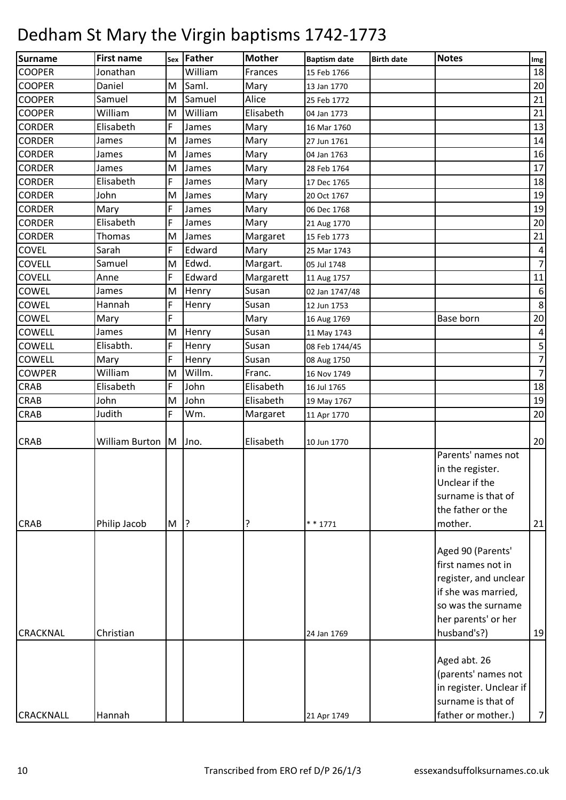| <b>Surname</b> | <b>First name</b> | Sex | Father  | <b>Mother</b> | <b>Baptism date</b> | <b>Birth date</b> | <b>Notes</b>                                                                                                                         | Img            |
|----------------|-------------------|-----|---------|---------------|---------------------|-------------------|--------------------------------------------------------------------------------------------------------------------------------------|----------------|
| <b>COOPER</b>  | Jonathan          |     | William | Frances       | 15 Feb 1766         |                   |                                                                                                                                      | 18             |
| <b>COOPER</b>  | Daniel            | M   | Saml.   | Mary          | 13 Jan 1770         |                   |                                                                                                                                      | 20             |
| <b>COOPER</b>  | Samuel            | M   | Samuel  | Alice         | 25 Feb 1772         |                   |                                                                                                                                      | 21             |
| <b>COOPER</b>  | William           | M   | William | Elisabeth     | 04 Jan 1773         |                   |                                                                                                                                      | 21             |
| <b>CORDER</b>  | Elisabeth         | F   | James   | Mary          | 16 Mar 1760         |                   |                                                                                                                                      | 13             |
| <b>CORDER</b>  | James             | M   | James   | Mary          | 27 Jun 1761         |                   |                                                                                                                                      | 14             |
| <b>CORDER</b>  | James             | M   | James   | Mary          | 04 Jan 1763         |                   |                                                                                                                                      | 16             |
| <b>CORDER</b>  | James             | M   | James   | Mary          | 28 Feb 1764         |                   |                                                                                                                                      | 17             |
| <b>CORDER</b>  | Elisabeth         | F   | James   | Mary          | 17 Dec 1765         |                   |                                                                                                                                      | 18             |
| <b>CORDER</b>  | John              | M   | James   | Mary          | 20 Oct 1767         |                   |                                                                                                                                      | 19             |
| <b>CORDER</b>  | Mary              | F   | James   | Mary          | 06 Dec 1768         |                   |                                                                                                                                      | 19             |
| <b>CORDER</b>  | Elisabeth         | F   | James   | Mary          | 21 Aug 1770         |                   |                                                                                                                                      | 20             |
| <b>CORDER</b>  | Thomas            | M   | James   | Margaret      | 15 Feb 1773         |                   |                                                                                                                                      | 21             |
| COVEL          | Sarah             | F   | Edward  | Mary          | 25 Mar 1743         |                   |                                                                                                                                      | $\vert$        |
| COVELL         | Samuel            | M   | Edwd.   | Margart.      | 05 Jul 1748         |                   |                                                                                                                                      | 7              |
| COVELL         | Anne              | F   | Edward  | Margarett     | 11 Aug 1757         |                   |                                                                                                                                      | 11             |
| COWEL          | James             | M   | Henry   | Susan         | 02 Jan 1747/48      |                   |                                                                                                                                      | $6 \mid$       |
| COWEL          | Hannah            | F   | Henry   | Susan         | 12 Jun 1753         |                   |                                                                                                                                      | 8 <sup>1</sup> |
| COWEL          | Mary              | F   |         | Mary          | 16 Aug 1769         |                   | Base born                                                                                                                            | 20             |
| COWELL         | James             | M   | Henry   | Susan         | 11 May 1743         |                   |                                                                                                                                      | 4              |
| COWELL         | Elisabth.         | F   | Henry   | Susan         | 08 Feb 1744/45      |                   |                                                                                                                                      | 5              |
| COWELL         | Mary              | F   | Henry   | Susan         | 08 Aug 1750         |                   |                                                                                                                                      | $\overline{7}$ |
| <b>COWPER</b>  | William           | M   | Willm.  | Franc.        | 16 Nov 1749         |                   |                                                                                                                                      | 7              |
| CRAB           | Elisabeth         | F   | John    | Elisabeth     | 16 Jul 1765         |                   |                                                                                                                                      | 18             |
| CRAB           | John              | M   | John    | Elisabeth     | 19 May 1767         |                   |                                                                                                                                      | 19             |
| CRAB           | Judith            | F   | Wm.     | Margaret      | 11 Apr 1770         |                   |                                                                                                                                      | 20             |
|                |                   |     |         |               |                     |                   |                                                                                                                                      |                |
| <b>CRAB</b>    | William Burton M  |     | Jno.    | Elisabeth     | 10 Jun 1770         |                   |                                                                                                                                      | 20             |
|                |                   |     |         |               |                     |                   | Parents' names not<br>in the register.<br>Unclear if the                                                                             |                |
|                |                   |     |         |               |                     |                   | surname is that of                                                                                                                   |                |
|                |                   |     |         |               |                     |                   | the father or the                                                                                                                    |                |
| CRAB           | Philip Jacob      | M   | 1?      | ?             | $* * 1771$          |                   | mother.                                                                                                                              | 21             |
|                |                   |     |         |               |                     |                   | Aged 90 (Parents'<br>first names not in<br>register, and unclear<br>if she was married,<br>so was the surname<br>her parents' or her |                |
| CRACKNAL       | Christian         |     |         |               | 24 Jan 1769         |                   | husband's?)                                                                                                                          | 19             |
| CRACKNALL      | Hannah            |     |         |               | 21 Apr 1749         |                   | Aged abt. 26<br>(parents' names not<br>in register. Unclear if<br>surname is that of<br>father or mother.)                           | 7              |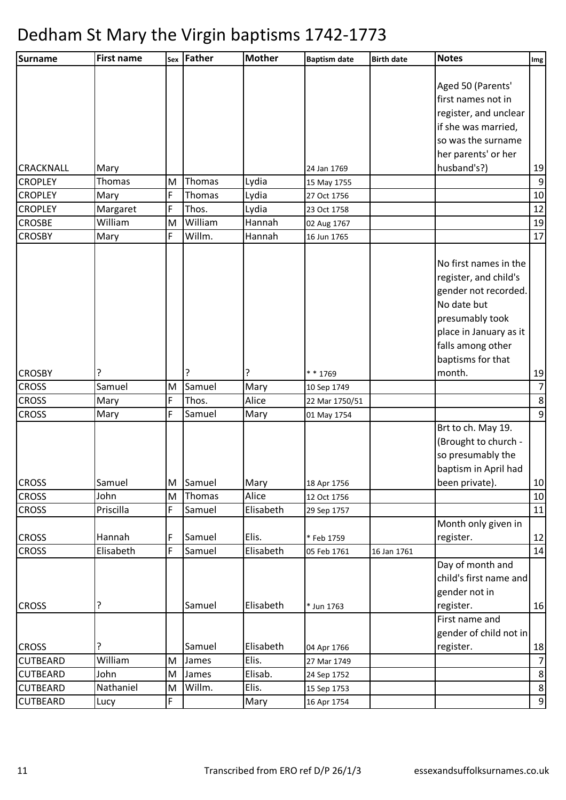| Surname         | <b>First name</b> | Sex | Father  | <b>Mother</b> | <b>Baptism date</b> | <b>Birth date</b> | <b>Notes</b>           | Img            |
|-----------------|-------------------|-----|---------|---------------|---------------------|-------------------|------------------------|----------------|
|                 |                   |     |         |               |                     |                   |                        |                |
|                 |                   |     |         |               |                     |                   | Aged 50 (Parents'      |                |
|                 |                   |     |         |               |                     |                   | first names not in     |                |
|                 |                   |     |         |               |                     |                   | register, and unclear  |                |
|                 |                   |     |         |               |                     |                   | if she was married,    |                |
|                 |                   |     |         |               |                     |                   | so was the surname     |                |
|                 |                   |     |         |               |                     |                   | her parents' or her    |                |
| CRACKNALL       | Mary              |     |         |               | 24 Jan 1769         |                   | husband's?)            | 19             |
| <b>CROPLEY</b>  | Thomas            | M   | Thomas  | Lydia         | 15 May 1755         |                   |                        | 9              |
| <b>CROPLEY</b>  | Mary              | F   | Thomas  | Lydia         | 27 Oct 1756         |                   |                        | 10             |
| <b>CROPLEY</b>  | Margaret          | F   | Thos.   | Lydia         | 23 Oct 1758         |                   |                        | 12             |
| <b>CROSBE</b>   | William           | M   | William | Hannah        | 02 Aug 1767         |                   |                        | 19             |
| <b>CROSBY</b>   | Mary              | F   | Willm.  | Hannah        | 16 Jun 1765         |                   |                        | 17             |
|                 |                   |     |         |               |                     |                   |                        |                |
|                 |                   |     |         |               |                     |                   | No first names in the  |                |
|                 |                   |     |         |               |                     |                   | register, and child's  |                |
|                 |                   |     |         |               |                     |                   | gender not recorded.   |                |
|                 |                   |     |         |               |                     |                   | No date but            |                |
|                 |                   |     |         |               |                     |                   | presumably took        |                |
|                 |                   |     |         |               |                     |                   | place in January as it |                |
|                 |                   |     |         |               |                     |                   | falls among other      |                |
|                 |                   |     |         |               |                     |                   | baptisms for that      |                |
| <b>CROSBY</b>   | 7                 |     |         | ?             | * * 1769            |                   | month.                 | 19             |
| <b>CROSS</b>    | Samuel            | M   | Samuel  | Mary          | 10 Sep 1749         |                   |                        | $7 \mid$       |
| <b>CROSS</b>    | Mary              | F   | Thos.   | Alice         | 22 Mar 1750/51      |                   |                        | 8              |
| <b>CROSS</b>    | Mary              | F   | Samuel  | Mary          | 01 May 1754         |                   |                        | 9              |
|                 |                   |     |         |               |                     |                   | Brt to ch. May 19.     |                |
|                 |                   |     |         |               |                     |                   | (Brought to church -   |                |
|                 |                   |     |         |               |                     |                   | so presumably the      |                |
|                 |                   |     |         |               |                     |                   | baptism in April had   |                |
| <b>CROSS</b>    | Samuel            | M   | Samuel  | Mary          | 18 Apr 1756         |                   | been private).         | 10             |
| <b>CROSS</b>    | John              | M   | Thomas  | Alice         | 12 Oct 1756         |                   |                        | 10             |
| <b>CROSS</b>    | Priscilla         | F   | Samuel  | Elisabeth     | 29 Sep 1757         |                   |                        | 11             |
|                 |                   |     |         |               |                     |                   | Month only given in    |                |
| <b>CROSS</b>    | Hannah            | F   | Samuel  | Elis.         | * Feb 1759          |                   | register.              | 12             |
| <b>CROSS</b>    | Elisabeth         | F   | Samuel  | Elisabeth     | 05 Feb 1761         | 16 Jan 1761       |                        | 14             |
|                 |                   |     |         |               |                     |                   | Day of month and       |                |
|                 |                   |     |         |               |                     |                   | child's first name and |                |
|                 |                   |     |         |               |                     |                   | gender not in          |                |
| <b>CROSS</b>    | ?                 |     | Samuel  | Elisabeth     | * Jun 1763          |                   | register.              | 16             |
|                 |                   |     |         |               |                     |                   | First name and         |                |
|                 |                   |     |         |               |                     |                   | gender of child not in |                |
| <b>CROSS</b>    |                   |     | Samuel  | Elisabeth     | 04 Apr 1766         |                   | register.              | 18             |
| <b>CUTBEARD</b> | William           | M   | James   | Elis.         | 27 Mar 1749         |                   |                        | $7 \mid$       |
| <b>CUTBEARD</b> | John              | M   | James   | Elisab.       | 24 Sep 1752         |                   |                        | 8              |
| <b>CUTBEARD</b> | Nathaniel         | M   | Willm.  | Elis.         | 15 Sep 1753         |                   |                        | 8              |
| <b>CUTBEARD</b> | Lucy              | F   |         | Mary          | 16 Apr 1754         |                   |                        | $\overline{9}$ |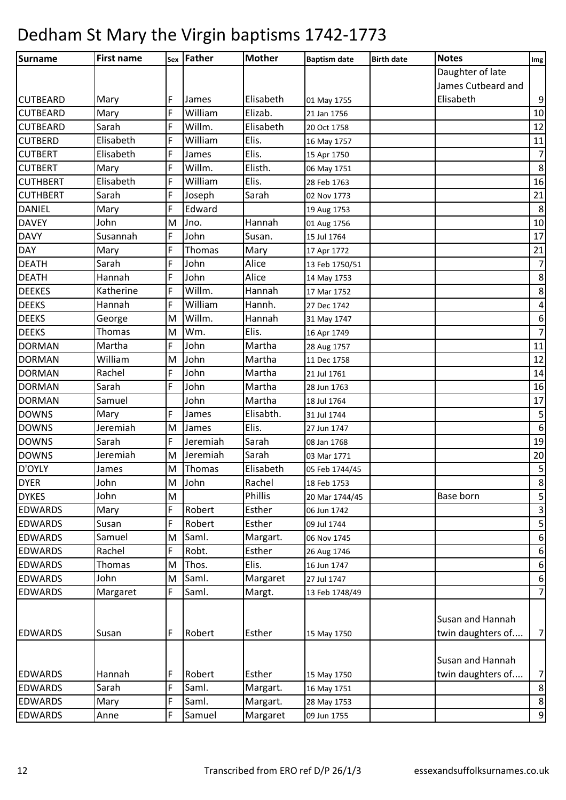| Surname         | <b>First name</b> |   | sex Father | <b>Mother</b>  | <b>Baptism date</b> | <b>Birth date</b> | <b>Notes</b>       | Img                     |
|-----------------|-------------------|---|------------|----------------|---------------------|-------------------|--------------------|-------------------------|
|                 |                   |   |            |                |                     |                   | Daughter of late   |                         |
|                 |                   |   |            |                |                     |                   | James Cutbeard and |                         |
| <b>CUTBEARD</b> | Mary              | F | James      | Elisabeth      | 01 May 1755         |                   | Elisabeth          | $\overline{9}$          |
| <b>CUTBEARD</b> | Mary              | F | William    | Elizab.        | 21 Jan 1756         |                   |                    | 10                      |
| <b>CUTBEARD</b> | Sarah             | F | Willm.     | Elisabeth      | 20 Oct 1758         |                   |                    | 12                      |
| <b>CUTBERD</b>  | Elisabeth         | F | William    | Elis.          | 16 May 1757         |                   |                    | 11                      |
| <b>CUTBERT</b>  | Elisabeth         | F | James      | Elis.          | 15 Apr 1750         |                   |                    | $\overline{7}$          |
| <b>CUTBERT</b>  | Mary              | F | Willm.     | Elisth.        | 06 May 1751         |                   |                    | 8                       |
| <b>CUTHBERT</b> | Elisabeth         | F | William    | Elis.          | 28 Feb 1763         |                   |                    | 16                      |
| <b>CUTHBERT</b> | Sarah             | F | Joseph     | Sarah          | 02 Nov 1773         |                   |                    | 21                      |
| <b>DANIEL</b>   | Mary              | F | Edward     |                | 19 Aug 1753         |                   |                    | 8                       |
| <b>DAVEY</b>    | John              | M | Jno.       | Hannah         | 01 Aug 1756         |                   |                    | 10                      |
| <b>DAVY</b>     | Susannah          | F | John       | Susan.         | 15 Jul 1764         |                   |                    | 17                      |
| <b>DAY</b>      | Mary              | F | Thomas     | Mary           | 17 Apr 1772         |                   |                    | 21                      |
| <b>DEATH</b>    | Sarah             | F | John       | Alice          | 13 Feb 1750/51      |                   |                    | $\overline{7}$          |
| <b>DEATH</b>    | Hannah            | F | John       | Alice          | 14 May 1753         |                   |                    | $\bf 8$                 |
| <b>DEEKES</b>   | Katherine         | F | Willm.     | Hannah         | 17 Mar 1752         |                   |                    | $\infty$                |
| <b>DEEKS</b>    | Hannah            | F | William    | Hannh.         | 27 Dec 1742         |                   |                    | $\pmb{4}$               |
| <b>DEEKS</b>    | George            | M | Willm.     | Hannah         | 31 May 1747         |                   |                    | 6                       |
| <b>DEEKS</b>    | Thomas            | M | Wm.        | Elis.          | 16 Apr 1749         |                   |                    | $\overline{7}$          |
| <b>DORMAN</b>   | Martha            | F | John       | Martha         | 28 Aug 1757         |                   |                    | 11                      |
| <b>DORMAN</b>   | William           | M | John       | Martha         | 11 Dec 1758         |                   |                    | 12                      |
| <b>DORMAN</b>   | Rachel            | F | John       | Martha         | 21 Jul 1761         |                   |                    | 14                      |
| <b>DORMAN</b>   | Sarah             | F | John       | Martha         | 28 Jun 1763         |                   |                    | 16                      |
| <b>DORMAN</b>   | Samuel            |   | John       | Martha         | 18 Jul 1764         |                   |                    | 17                      |
| <b>DOWNS</b>    | Mary              | F | James      | Elisabth.      | 31 Jul 1744         |                   |                    | 5                       |
| <b>DOWNS</b>    | Jeremiah          | M | James      | Elis.          | 27 Jun 1747         |                   |                    | $\,$ 6 $\,$             |
| <b>DOWNS</b>    | Sarah             | F | Jeremiah   | Sarah          | 08 Jan 1768         |                   |                    | 19                      |
| <b>DOWNS</b>    | Jeremiah          | M | Jeremiah   | Sarah          | 03 Mar 1771         |                   |                    | 20                      |
| D'OYLY          | James             | M | Thomas     | Elisabeth      | 05 Feb 1744/45      |                   |                    | $\overline{5}$          |
| <b>DYER</b>     | John              | M | John       | Rachel         | 18 Feb 1753         |                   |                    | $\bf 8$                 |
| <b>DYKES</b>    | John              | M |            | <b>Phillis</b> | 20 Mar 1744/45      |                   | Base born          | $\overline{\mathbf{5}}$ |
| <b>EDWARDS</b>  | Mary              | F | Robert     | Esther         | 06 Jun 1742         |                   |                    | $\overline{\mathbf{3}}$ |
| <b>EDWARDS</b>  | Susan             | F | Robert     | Esther         | 09 Jul 1744         |                   |                    | $\mathsf S$             |
| <b>EDWARDS</b>  | Samuel            | M | Saml.      | Margart.       | 06 Nov 1745         |                   |                    | $6 \overline{6}$        |
| <b>EDWARDS</b>  | Rachel            | F | Robt.      | Esther         | 26 Aug 1746         |                   |                    | $\boldsymbol{6}$        |
| <b>EDWARDS</b>  | Thomas            | M | Thos.      | Elis.          | 16 Jun 1747         |                   |                    | $6 \overline{}$         |
| <b>EDWARDS</b>  | John              | M | Saml.      | Margaret       | 27 Jul 1747         |                   |                    | 6                       |
| <b>EDWARDS</b>  | Margaret          | F | Saml.      | Margt.         | 13 Feb 1748/49      |                   |                    | 7                       |
|                 |                   |   |            |                |                     |                   |                    |                         |
|                 |                   |   |            |                |                     |                   | Susan and Hannah   |                         |
| <b>EDWARDS</b>  | Susan             | F | Robert     | Esther         | 15 May 1750         |                   | twin daughters of  | 7                       |
|                 |                   |   |            |                |                     |                   |                    |                         |
|                 |                   |   |            |                |                     |                   | Susan and Hannah   |                         |
| <b>EDWARDS</b>  | Hannah            | F | Robert     | Esther         | 15 May 1750         |                   | twin daughters of  | $\overline{7}$          |
| <b>EDWARDS</b>  | Sarah             | F | Saml.      | Margart.       | 16 May 1751         |                   |                    | 8 <sup>1</sup>          |
| <b>EDWARDS</b>  | Mary              | F | Saml.      | Margart.       | 28 May 1753         |                   |                    | $\boldsymbol{8}$        |
| <b>EDWARDS</b>  | Anne              | F | Samuel     | Margaret       | 09 Jun 1755         |                   |                    | $\overline{9}$          |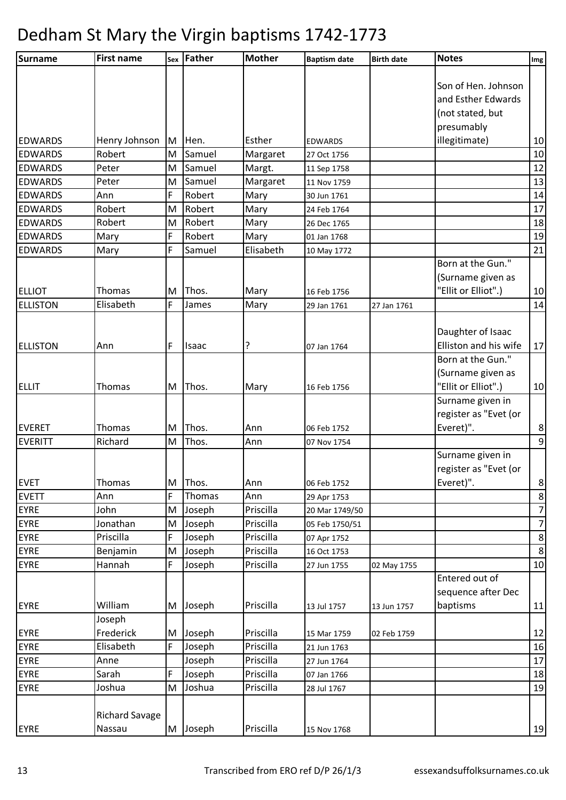| Surname         | <b>First name</b>     | Sex    | <b>Father</b> | <b>Mother</b> | <b>Baptism date</b>        | <b>Birth date</b> | <b>Notes</b>          | $\lfloor \text{Im} g \rfloor$ |
|-----------------|-----------------------|--------|---------------|---------------|----------------------------|-------------------|-----------------------|-------------------------------|
|                 |                       |        |               |               |                            |                   |                       |                               |
|                 |                       |        |               |               |                            |                   | Son of Hen. Johnson   |                               |
|                 |                       |        |               |               |                            |                   | and Esther Edwards    |                               |
|                 |                       |        |               |               |                            |                   | (not stated, but      |                               |
|                 |                       |        |               |               |                            |                   | presumably            |                               |
| <b>EDWARDS</b>  | Henry Johnson         | M      | Hen.          | Esther        | <b>EDWARDS</b>             |                   | illegitimate)         | 10                            |
| <b>EDWARDS</b>  | Robert                | M      | Samuel        | Margaret      | 27 Oct 1756                |                   |                       | 10                            |
| <b>EDWARDS</b>  | Peter                 | M      | Samuel        | Margt.        | 11 Sep 1758                |                   |                       | 12                            |
| <b>EDWARDS</b>  | Peter                 | M      | Samuel        | Margaret      | 11 Nov 1759                |                   |                       | 13                            |
| <b>EDWARDS</b>  | Ann                   | F      | Robert        | Mary          | 30 Jun 1761                |                   |                       | 14                            |
| <b>EDWARDS</b>  | Robert                | M      | Robert        | Mary          | 24 Feb 1764                |                   |                       | 17                            |
| <b>EDWARDS</b>  | Robert                | M      | Robert        | Mary          | 26 Dec 1765                |                   |                       | 18                            |
| <b>EDWARDS</b>  | Mary                  | F      | Robert        | Mary          | 01 Jan 1768                |                   |                       | 19                            |
| <b>EDWARDS</b>  | Mary                  | F      | Samuel        | Elisabeth     | 10 May 1772                |                   |                       | 21                            |
|                 |                       |        |               |               |                            |                   | Born at the Gun."     |                               |
|                 |                       |        |               |               |                            |                   | (Surname given as     |                               |
| <b>ELLIOT</b>   | Thomas                | M      | Thos.         | Mary          | 16 Feb 1756                |                   | "Ellit or Elliot".)   | 10                            |
| <b>ELLISTON</b> | Elisabeth             | F      | James         | Mary          | 29 Jan 1761                | 27 Jan 1761       |                       | 14                            |
|                 |                       |        |               |               |                            |                   |                       |                               |
|                 |                       |        |               |               |                            |                   | Daughter of Isaac     |                               |
| <b>ELLISTON</b> | Ann                   | F      | Isaac         | ?             | 07 Jan 1764                |                   | Elliston and his wife | 17                            |
|                 |                       |        |               |               |                            |                   | Born at the Gun."     |                               |
|                 |                       |        |               |               |                            |                   | (Surname given as     |                               |
| <b>ELLIT</b>    | Thomas                | M      | Thos.         | Mary          | 16 Feb 1756                |                   | "Ellit or Elliot".)   | 10                            |
|                 |                       |        |               |               |                            |                   | Surname given in      |                               |
|                 |                       |        |               |               |                            |                   | register as "Evet (or |                               |
| <b>EVERET</b>   | Thomas                | M      | Thos.         | Ann           | 06 Feb 1752                |                   | Everet)".             | 8                             |
| <b>EVERITT</b>  | Richard               | M      | Thos.         | Ann           | 07 Nov 1754                |                   |                       | 9                             |
|                 |                       |        |               |               |                            |                   | Surname given in      |                               |
|                 |                       |        |               |               |                            |                   | register as "Evet (or |                               |
| <b>EVET</b>     | Thomas                | M      | Thos.         | Ann           | 06 Feb 1752                |                   | Everet)".             | 8                             |
| <b>EVETT</b>    | Ann                   | F      | Thomas        | Ann           | 29 Apr 1753                |                   |                       | 8                             |
| <b>EYRE</b>     | John                  | M      | Joseph        | Priscilla     | 20 Mar 1749/50             |                   |                       | 7                             |
| <b>EYRE</b>     | Jonathan              | M      | Joseph        | Priscilla     | 05 Feb 1750/51             |                   |                       | 7                             |
| <b>EYRE</b>     | Priscilla             | F      | Joseph        | Priscilla     | 07 Apr 1752                |                   |                       | 8 <sup>1</sup>                |
| <b>EYRE</b>     | Benjamin              | M<br>F | Joseph        | Priscilla     | 16 Oct 1753                |                   |                       | 8 <sup>1</sup>                |
| <b>EYRE</b>     | Hannah                |        | Joseph        | Priscilla     | 27 Jun 1755                | 02 May 1755       |                       | 10                            |
|                 |                       |        |               |               |                            |                   | Entered out of        |                               |
|                 |                       |        |               |               |                            |                   | sequence after Dec    |                               |
| <b>EYRE</b>     | William<br>Joseph     | M      | Joseph        | Priscilla     | 13 Jul 1757                | 13 Jun 1757       | baptisms              | 11                            |
| <b>EYRE</b>     | Frederick             | M      | Joseph        | Priscilla     | 15 Mar 1759                | 02 Feb 1759       |                       | 12                            |
| <b>EYRE</b>     | Elisabeth             | F      | Joseph        | Priscilla     |                            |                   |                       | 16                            |
| <b>EYRE</b>     | Anne                  |        | Joseph        | Priscilla     | 21 Jun 1763<br>27 Jun 1764 |                   |                       | 17                            |
| <b>EYRE</b>     | Sarah                 | F      | Joseph        | Priscilla     | 07 Jan 1766                |                   |                       | 18                            |
| <b>EYRE</b>     | Joshua                | M      | Joshua        | Priscilla     | 28 Jul 1767                |                   |                       | 19                            |
|                 |                       |        |               |               |                            |                   |                       |                               |
|                 | <b>Richard Savage</b> |        |               |               |                            |                   |                       |                               |
| <b>EYRE</b>     | Nassau                |        | M Joseph      | Priscilla     | 15 Nov 1768                |                   |                       | 19                            |
|                 |                       |        |               |               |                            |                   |                       |                               |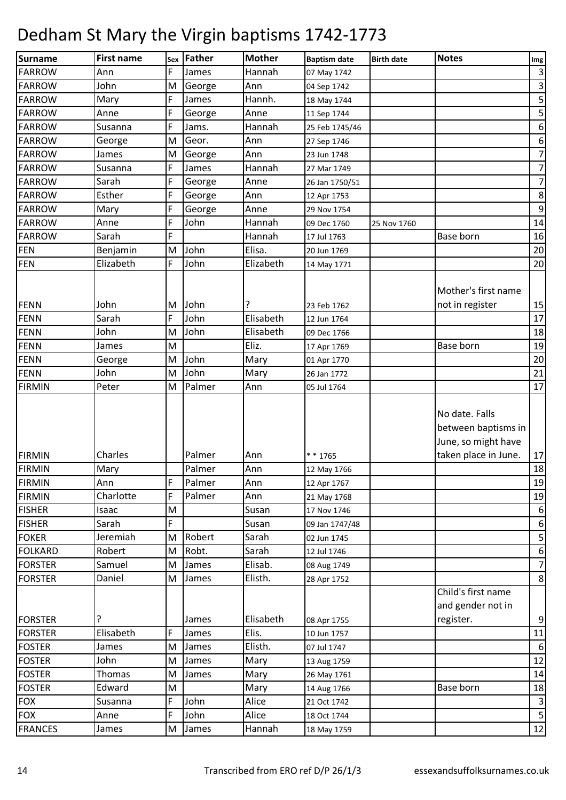| <b>Surname</b> | <b>First name</b> | Sex | <b>Father</b> | <b>Mother</b> | <b>Baptism date</b> | <b>Birth date</b> | <b>Notes</b>                                                                         | Img                     |
|----------------|-------------------|-----|---------------|---------------|---------------------|-------------------|--------------------------------------------------------------------------------------|-------------------------|
| <b>FARROW</b>  | Ann               | F   | James         | Hannah        | 07 May 1742         |                   |                                                                                      | $\overline{\mathbf{3}}$ |
| <b>FARROW</b>  | John              | M   | George        | Ann           | 04 Sep 1742         |                   |                                                                                      | $\mathbf{3}$            |
| <b>FARROW</b>  | Mary              | F   | James         | Hannh.        | 18 May 1744         |                   |                                                                                      | $\overline{\mathbf{5}}$ |
| <b>FARROW</b>  | Anne              | F   | George        | Anne          | 11 Sep 1744         |                   |                                                                                      | 5                       |
| <b>FARROW</b>  | Susanna           | F   | Jams.         | Hannah        | 25 Feb 1745/46      |                   |                                                                                      | 6                       |
| <b>FARROW</b>  | George            | M   | Geor.         | Ann           | 27 Sep 1746         |                   |                                                                                      | $\boldsymbol{6}$        |
| <b>FARROW</b>  | James             | M   | George        | Ann           | 23 Jun 1748         |                   |                                                                                      | $\overline{7}$          |
| <b>FARROW</b>  | Susanna           | F   | James         | Hannah        | 27 Mar 1749         |                   |                                                                                      | $\overline{7}$          |
| <b>FARROW</b>  | Sarah             | F   | George        | Anne          | 26 Jan 1750/51      |                   |                                                                                      | $\overline{7}$          |
| <b>FARROW</b>  | Esther            | F   | George        | Ann           | 12 Apr 1753         |                   |                                                                                      | $\bf 8$                 |
| <b>FARROW</b>  | Mary              | F   | George        | Anne          | 29 Nov 1754         |                   |                                                                                      | $\boldsymbol{9}$        |
| <b>FARROW</b>  | Anne              | F   | John          | Hannah        | 09 Dec 1760         | 25 Nov 1760       |                                                                                      | 14                      |
| <b>FARROW</b>  | Sarah             | F   |               | Hannah        | 17 Jul 1763         |                   | Base born                                                                            | 16                      |
| <b>FEN</b>     | Benjamin          | M   | John          | Elisa.        | 20 Jun 1769         |                   |                                                                                      | 20                      |
| <b>FEN</b>     | Elizabeth         | F   | John          | Elizabeth     | 14 May 1771         |                   |                                                                                      | 20                      |
|                |                   |     |               |               |                     |                   |                                                                                      |                         |
|                |                   |     |               |               |                     |                   | Mother's first name                                                                  |                         |
| <b>FENN</b>    | John              | M   | John          | ?             | 23 Feb 1762         |                   | not in register                                                                      | 15                      |
| <b>FENN</b>    | Sarah             | F   | John          | Elisabeth     | 12 Jun 1764         |                   |                                                                                      | 17                      |
| FENN           | John              | M   | John          | Elisabeth     | 09 Dec 1766         |                   |                                                                                      | 18                      |
| FENN           | James             | M   |               | Eliz.         | 17 Apr 1769         |                   | Base born                                                                            | 19                      |
| <b>FENN</b>    | George            | M   | John          | Mary          | 01 Apr 1770         |                   |                                                                                      | 20                      |
| <b>FENN</b>    | John              | M   | John          | Mary          | 26 Jan 1772         |                   |                                                                                      | 21                      |
| <b>FIRMIN</b>  | Peter             | M   | Palmer        | Ann           | 05 Jul 1764         |                   |                                                                                      | 17                      |
| <b>FIRMIN</b>  | Charles           |     | Palmer        | Ann           | * * 1765            |                   | No date. Falls<br>between baptisms in<br>June, so might have<br>taken place in June. | 17                      |
| <b>FIRMIN</b>  | Mary              |     | Palmer        | Ann           | 12 May 1766         |                   |                                                                                      | 18                      |
| <b>FIRMIN</b>  | Ann               | F   | Palmer        | Ann           | 12 Apr 1767         |                   |                                                                                      | 19                      |
| <b>FIRMIN</b>  | Charlotte         | F   | Palmer        | Ann           | 21 May 1768         |                   |                                                                                      | 19                      |
| <b>FISHER</b>  | Isaac             | M   |               | Susan         | 17 Nov 1746         |                   |                                                                                      | 6                       |
| <b>FISHER</b>  | Sarah             | F   |               | Susan         | 09 Jan 1747/48      |                   |                                                                                      | $\boldsymbol{6}$        |
| <b>FOKER</b>   | Jeremiah          | M   | Robert        | Sarah         | 02 Jun 1745         |                   |                                                                                      | $\overline{5}$          |
| <b>FOLKARD</b> | Robert            | M   | Robt.         | Sarah         | 12 Jul 1746         |                   |                                                                                      | 6                       |
| <b>FORSTER</b> | Samuel            | M   | James         | Elisab.       | 08 Aug 1749         |                   |                                                                                      | 7                       |
| <b>FORSTER</b> | Daniel            | M   | James         | Elisth.       | 28 Apr 1752         |                   |                                                                                      | 8 <sup>1</sup>          |
|                |                   |     |               |               |                     |                   | Child's first name<br>and gender not in                                              |                         |
| <b>FORSTER</b> | ?                 |     | James         | Elisabeth     | 08 Apr 1755         |                   | register.                                                                            | $\overline{9}$          |
| <b>FORSTER</b> | Elisabeth         | F   | James         | Elis.         | 10 Jun 1757         |                   |                                                                                      | 11                      |
| <b>FOSTER</b>  | James             | M   | James         | Elisth.       | 07 Jul 1747         |                   |                                                                                      | 6                       |
| <b>FOSTER</b>  | John              | M   | James         | Mary          | 13 Aug 1759         |                   |                                                                                      | 12                      |
| <b>FOSTER</b>  | Thomas            | M   | James         | Mary          | 26 May 1761         |                   |                                                                                      | 14                      |
| <b>FOSTER</b>  | Edward            | M   |               | Mary          | 14 Aug 1766         |                   | Base born                                                                            | 18                      |
| <b>FOX</b>     | Susanna           | F   | John          | Alice         | 21 Oct 1742         |                   |                                                                                      | $\vert$                 |
| <b>FOX</b>     | Anne              | F   | John          | Alice         | 18 Oct 1744         |                   |                                                                                      | 5 <sub>l</sub>          |
| <b>FRANCES</b> | James             | M   | James         | Hannah        | 18 May 1759         |                   |                                                                                      | 12                      |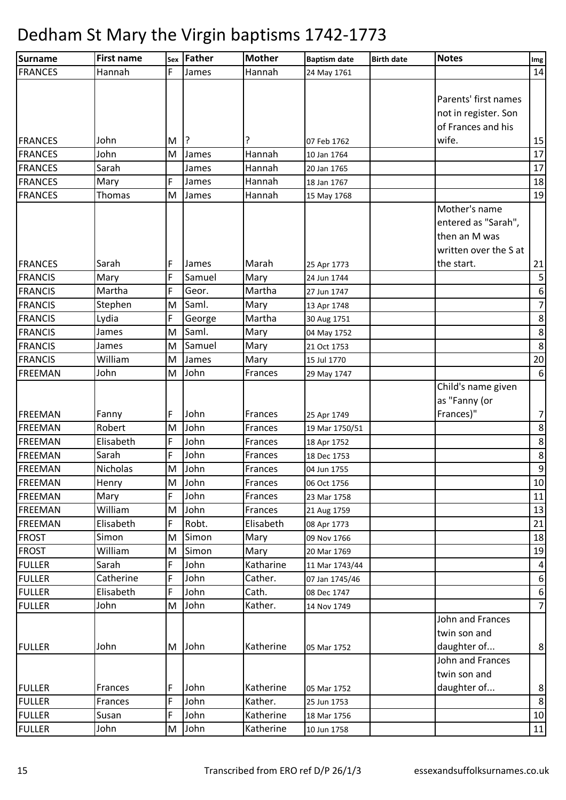| <b>Surname</b> | <b>First name</b> | Sex | Father | <b>Mother</b> | <b>Baptism date</b> | <b>Birth date</b> | <b>Notes</b>          | Img              |
|----------------|-------------------|-----|--------|---------------|---------------------|-------------------|-----------------------|------------------|
| <b>FRANCES</b> | Hannah            | F   | James  | Hannah        | 24 May 1761         |                   |                       | 14               |
|                |                   |     |        |               |                     |                   |                       |                  |
|                |                   |     |        |               |                     |                   | Parents' first names  |                  |
|                |                   |     |        |               |                     |                   | not in register. Son  |                  |
|                |                   |     |        |               |                     |                   | of Frances and his    |                  |
| <b>FRANCES</b> | John              | M   | ļ?     | ?             | 07 Feb 1762         |                   | wife.                 | 15               |
| <b>FRANCES</b> | John              | M   | James  | Hannah        | 10 Jan 1764         |                   |                       | 17               |
| <b>FRANCES</b> | Sarah             |     | James  | Hannah        | 20 Jan 1765         |                   |                       | 17               |
| <b>FRANCES</b> | Mary              | F   | James  | Hannah        | 18 Jan 1767         |                   |                       | 18               |
| <b>FRANCES</b> | Thomas            | M   | James  | Hannah        | 15 May 1768         |                   |                       | 19               |
|                |                   |     |        |               |                     |                   | Mother's name         |                  |
|                |                   |     |        |               |                     |                   | entered as "Sarah",   |                  |
|                |                   |     |        |               |                     |                   | then an M was         |                  |
|                |                   |     |        |               |                     |                   | written over the S at |                  |
| <b>FRANCES</b> | Sarah             | F   | James  | Marah         | 25 Apr 1773         |                   | the start.            | 21               |
| <b>FRANCIS</b> | Mary              | F   | Samuel | Mary          | 24 Jun 1744         |                   |                       | 5                |
| <b>FRANCIS</b> | Martha            | F   | Geor.  | Martha        | 27 Jun 1747         |                   |                       | $6\phantom{1}6$  |
| <b>FRANCIS</b> | Stephen           | M   | Saml.  | Mary          | 13 Apr 1748         |                   |                       | $\overline{7}$   |
| <b>FRANCIS</b> | Lydia             | F   | George | Martha        | 30 Aug 1751         |                   |                       | 8                |
| <b>FRANCIS</b> | James             | M   | Saml.  | Mary          | 04 May 1752         |                   |                       | $\,8\,$          |
| <b>FRANCIS</b> | James             | M   | Samuel | Mary          | 21 Oct 1753         |                   |                       | $\,8\,$          |
| <b>FRANCIS</b> | William           | M   | James  | Mary          | 15 Jul 1770         |                   |                       | 20               |
| <b>FREEMAN</b> | John              | M   | John   | Frances       | 29 May 1747         |                   |                       | $6\,$            |
|                |                   |     |        |               |                     |                   | Child's name given    |                  |
|                |                   |     |        |               |                     |                   | as "Fanny (or         |                  |
| FREEMAN        | Fanny             | F   | John   | Frances       | 25 Apr 1749         |                   | Frances)"             | $\overline{7}$   |
| <b>FREEMAN</b> | Robert            | M   | John   | Frances       | 19 Mar 1750/51      |                   |                       | 8                |
| <b>FREEMAN</b> | Elisabeth         | F   | John   | Frances       | 18 Apr 1752         |                   |                       | $\,8\,$          |
| <b>FREEMAN</b> | Sarah             | F   | John   | Frances       | 18 Dec 1753         |                   |                       | 8                |
| FREEMAN        | Nicholas          | M   | John   | Frances       | 04 Jun 1755         |                   |                       | $\overline{9}$   |
| <b>FREEMAN</b> | Henry             | M   | John   | Frances       | 06 Oct 1756         |                   |                       | 10               |
| <b>FREEMAN</b> | Mary              | F   | John   | Frances       | 23 Mar 1758         |                   |                       | 11               |
| FREEMAN        | William           | M   | John   | Frances       | 21 Aug 1759         |                   |                       | 13               |
| <b>FREEMAN</b> | Elisabeth         | F   | Robt.  | Elisabeth     | 08 Apr 1773         |                   |                       | 21               |
| <b>FROST</b>   | Simon             | M   | Simon  | Mary          | 09 Nov 1766         |                   |                       | 18               |
| <b>FROST</b>   | William           | M   | Simon  | Mary          | 20 Mar 1769         |                   |                       | 19               |
| <b>FULLER</b>  | Sarah             | F   | John   | Katharine     | 11 Mar 1743/44      |                   |                       | $\overline{4}$   |
| <b>FULLER</b>  | Catherine         | F   | John   | Cather.       | 07 Jan 1745/46      |                   |                       | $6 \overline{6}$ |
| <b>FULLER</b>  | Elisabeth         | F   | John   | Cath.         | 08 Dec 1747         |                   |                       | $\boldsymbol{6}$ |
| <b>FULLER</b>  | John              | M   | John   | Kather.       | 14 Nov 1749         |                   |                       | $\overline{7}$   |
|                |                   |     |        |               |                     |                   | John and Frances      |                  |
|                |                   |     |        |               |                     |                   | twin son and          |                  |
| <b>FULLER</b>  | John              | M   | John   | Katherine     | 05 Mar 1752         |                   | daughter of           | 8 <sup>2</sup>   |
|                |                   |     |        |               |                     |                   | John and Frances      |                  |
|                |                   |     |        |               |                     |                   | twin son and          |                  |
| <b>FULLER</b>  | Frances           | F   | John   | Katherine     | 05 Mar 1752         |                   | daughter of           | 8 <sup>°</sup>   |
| <b>FULLER</b>  | Frances           | F   | John   | Kather.       | 25 Jun 1753         |                   |                       | 8                |
| <b>FULLER</b>  | Susan             | F   | John   | Katherine     | 18 Mar 1756         |                   |                       | 10               |
| <b>FULLER</b>  | John              | M   | John   | Katherine     | 10 Jun 1758         |                   |                       | 11               |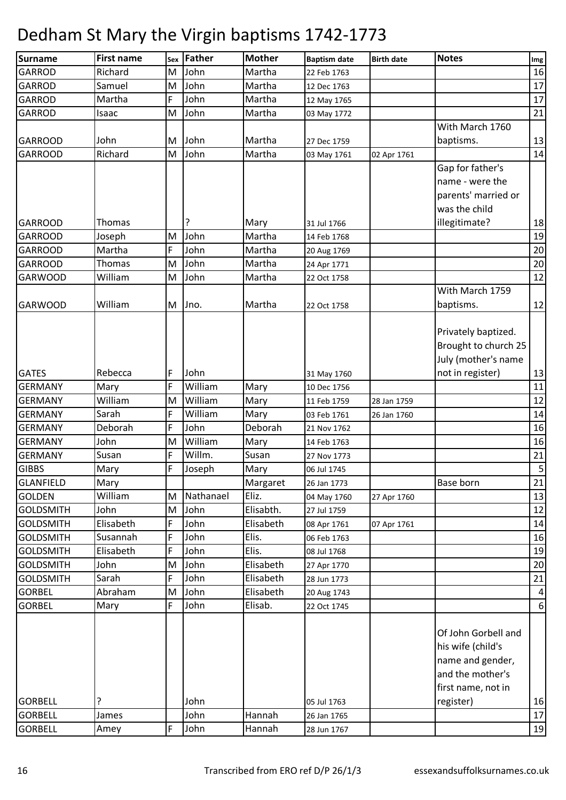| <b>Surname</b>   | <b>First name</b> | Sex | Father    | <b>Mother</b> | <b>Baptism date</b> | <b>Birth date</b> | <b>Notes</b>         | $\mathop{\textsf{Img}}$ |
|------------------|-------------------|-----|-----------|---------------|---------------------|-------------------|----------------------|-------------------------|
| <b>GARROD</b>    | Richard           | M   | John      | Martha        | 22 Feb 1763         |                   |                      | 16                      |
| <b>GARROD</b>    | Samuel            | M   | John      | Martha        | 12 Dec 1763         |                   |                      | 17                      |
| <b>GARROD</b>    | Martha            | F   | John      | Martha        | 12 May 1765         |                   |                      | $17\,$                  |
| <b>GARROD</b>    | Isaac             | M   | John      | Martha        | 03 May 1772         |                   |                      | 21                      |
|                  |                   |     |           |               |                     |                   | With March 1760      |                         |
| <b>GARROOD</b>   | John              | м   | John      | Martha        | 27 Dec 1759         |                   | baptisms.            | 13                      |
| <b>GARROOD</b>   | Richard           | M   | John      | Martha        | 03 May 1761         | 02 Apr 1761       |                      | 14                      |
|                  |                   |     |           |               |                     |                   | Gap for father's     |                         |
|                  |                   |     |           |               |                     |                   | name - were the      |                         |
|                  |                   |     |           |               |                     |                   | parents' married or  |                         |
|                  |                   |     |           |               |                     |                   | was the child        |                         |
| <b>GARROOD</b>   | Thomas            |     | ?         | Mary          | 31 Jul 1766         |                   | illegitimate?        | 18                      |
| <b>GARROOD</b>   | Joseph            | M   | John      | Martha        | 14 Feb 1768         |                   |                      | 19                      |
| <b>GARROOD</b>   | Martha            | F   | John      | Martha        | 20 Aug 1769         |                   |                      | 20                      |
| <b>GARROOD</b>   | Thomas            | M   | John      | Martha        | 24 Apr 1771         |                   |                      | 20                      |
| <b>GARWOOD</b>   | William           | M   | John      | Martha        | 22 Oct 1758         |                   |                      | 12                      |
|                  |                   |     |           |               |                     |                   | With March 1759      |                         |
| <b>GARWOOD</b>   | William           | M   | Jno.      | Martha        | 22 Oct 1758         |                   | baptisms.            | 12                      |
|                  |                   |     |           |               |                     |                   |                      |                         |
|                  |                   |     |           |               |                     |                   | Privately baptized.  |                         |
|                  |                   |     |           |               |                     |                   | Brought to church 25 |                         |
|                  |                   |     |           |               |                     |                   | July (mother's name  |                         |
| <b>GATES</b>     | Rebecca           | F   | John      |               | 31 May 1760         |                   | not in register)     | 13                      |
| <b>GERMANY</b>   | Mary              | F   | William   | Mary          | 10 Dec 1756         |                   |                      | 11                      |
| <b>GERMANY</b>   | William           | M   | William   | Mary          | 11 Feb 1759         | 28 Jan 1759       |                      | 12                      |
| <b>GERMANY</b>   | Sarah             | F   | William   | Mary          | 03 Feb 1761         | 26 Jan 1760       |                      | 14                      |
| <b>GERMANY</b>   | Deborah           | F   | John      | Deborah       | 21 Nov 1762         |                   |                      | 16                      |
| <b>GERMANY</b>   | John              | M   | William   | Mary          | 14 Feb 1763         |                   |                      | 16                      |
| <b>GERMANY</b>   | Susan             | F   | Willm.    | Susan         | 27 Nov 1773         |                   |                      | 21                      |
| <b>GIBBS</b>     | Mary              | F   | Joseph    | Mary          | 06 Jul 1745         |                   |                      | 5                       |
| <b>GLANFIELD</b> | Mary              |     |           | Margaret      | 26 Jan 1773         |                   | <b>Base born</b>     | 21                      |
| <b>GOLDEN</b>    | William           | M   | Nathanael | Eliz.         | 04 May 1760         | 27 Apr 1760       |                      | 13                      |
| <b>GOLDSMITH</b> | John              | M   | John      | Elisabth.     | 27 Jul 1759         |                   |                      | 12                      |
| <b>GOLDSMITH</b> | Elisabeth         | F   | John      | Elisabeth     | 08 Apr 1761         | 07 Apr 1761       |                      | 14                      |
| <b>GOLDSMITH</b> | Susannah          | F   | John      | Elis.         | 06 Feb 1763         |                   |                      | 16                      |
| <b>GOLDSMITH</b> | Elisabeth         | F   | John      | Elis.         | 08 Jul 1768         |                   |                      | 19                      |
| <b>GOLDSMITH</b> | John              | M   | John      | Elisabeth     | 27 Apr 1770         |                   |                      | 20                      |
| <b>GOLDSMITH</b> | Sarah             | F   | John      | Elisabeth     | 28 Jun 1773         |                   |                      | 21                      |
| <b>GORBEL</b>    | Abraham           | M   | John      | Elisabeth     | 20 Aug 1743         |                   |                      | $\overline{a}$          |
| <b>GORBEL</b>    | Mary              | F   | John      | Elisab.       | 22 Oct 1745         |                   |                      | $6\,$                   |
|                  |                   |     |           |               |                     |                   |                      |                         |
|                  |                   |     |           |               |                     |                   | Of John Gorbell and  |                         |
|                  |                   |     |           |               |                     |                   | his wife (child's    |                         |
|                  |                   |     |           |               |                     |                   | name and gender,     |                         |
|                  |                   |     |           |               |                     |                   | and the mother's     |                         |
|                  |                   |     |           |               |                     |                   | first name, not in   |                         |
| <b>GORBELL</b>   | ŗ                 |     | John      |               | 05 Jul 1763         |                   | register)            | 16                      |
| <b>GORBELL</b>   | James             |     | John      | Hannah        | 26 Jan 1765         |                   |                      | 17                      |
| <b>GORBELL</b>   | Amey              | F   | John      | Hannah        | 28 Jun 1767         |                   |                      | 19                      |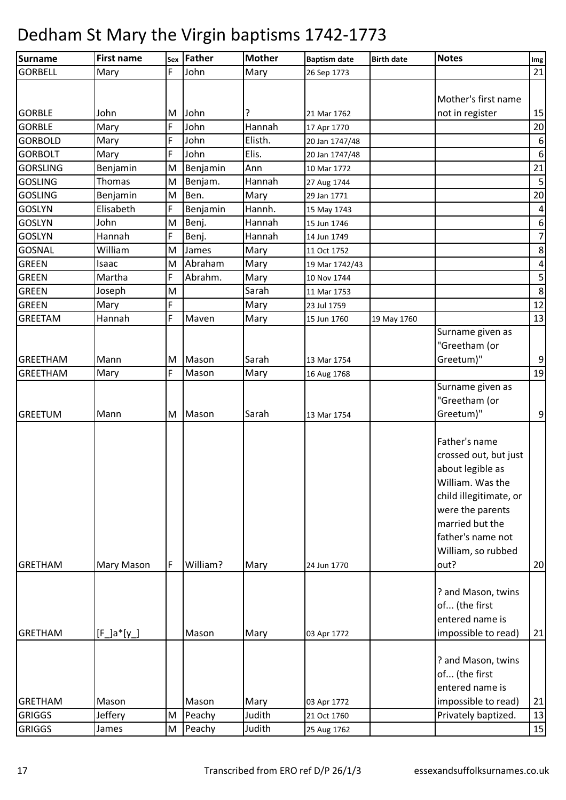| Surname         | <b>First name</b> | Sex | <b>Father</b> | <b>Mother</b> | <b>Baptism date</b> | <b>Birth date</b> | <b>Notes</b>                            | Img              |
|-----------------|-------------------|-----|---------------|---------------|---------------------|-------------------|-----------------------------------------|------------------|
| <b>GORBELL</b>  | Mary              | F   | John          | Mary          | 26 Sep 1773         |                   |                                         | 21               |
|                 |                   |     |               |               |                     |                   |                                         |                  |
|                 |                   |     |               |               |                     |                   | Mother's first name                     |                  |
| <b>GORBLE</b>   | John              | M   | John          |               | 21 Mar 1762         |                   | not in register                         | 15               |
| <b>GORBLE</b>   | Mary              | F   | John          | Hannah        | 17 Apr 1770         |                   |                                         | 20               |
| <b>GORBOLD</b>  | Mary              | F   | John          | Elisth.       | 20 Jan 1747/48      |                   |                                         | 6                |
| <b>GORBOLT</b>  | Mary              | F   | John          | Elis.         | 20 Jan 1747/48      |                   |                                         | $6 \overline{6}$ |
| <b>GORSLING</b> | Benjamin          | M   | Benjamin      | Ann           | 10 Mar 1772         |                   |                                         | 21               |
| <b>GOSLING</b>  | Thomas            | M   | Benjam.       | Hannah        | 27 Aug 1744         |                   |                                         | 5 <sup>1</sup>   |
| <b>GOSLING</b>  | Benjamin          | M   | Ben.          | Mary          | 29 Jan 1771         |                   |                                         | 20               |
| <b>GOSLYN</b>   | Elisabeth         | F   | Benjamin      | Hannh.        | 15 May 1743         |                   |                                         | $\vert$          |
| <b>GOSLYN</b>   | John              | M   | Benj.         | Hannah        | 15 Jun 1746         |                   |                                         | 6                |
| <b>GOSLYN</b>   | Hannah            | F   | Benj.         | Hannah        | 14 Jun 1749         |                   |                                         | $\overline{7}$   |
| <b>GOSNAL</b>   | William           | M   | James         | Mary          | 11 Oct 1752         |                   |                                         | 8 <sup>1</sup>   |
| <b>GREEN</b>    | Isaac             | M   | Abraham       | Mary          | 19 Mar 1742/43      |                   |                                         | 4                |
| <b>GREEN</b>    | Martha            | F   | Abrahm.       | Mary          | 10 Nov 1744         |                   |                                         | $\overline{5}$   |
| <b>GREEN</b>    | Joseph            | M   |               | Sarah         | 11 Mar 1753         |                   |                                         | 8                |
| <b>GREEN</b>    | Mary              | F   |               | Mary          | 23 Jul 1759         |                   |                                         | 12               |
| GREETAM         | Hannah            | F   | Maven         | Mary          | 15 Jun 1760         | 19 May 1760       |                                         | 13               |
|                 |                   |     |               |               |                     |                   | Surname given as                        |                  |
|                 |                   |     |               |               |                     |                   | "Greetham (or                           |                  |
| <b>GREETHAM</b> | Mann              | M   | Mason         | Sarah         | 13 Mar 1754         |                   | Greetum)"                               | 9                |
| <b>GREETHAM</b> | Mary              | F   | Mason         | Mary          | 16 Aug 1768         |                   |                                         | 19               |
|                 |                   |     |               |               |                     |                   | Surname given as                        |                  |
|                 |                   |     |               |               |                     |                   | "Greetham (or                           |                  |
| <b>GREETUM</b>  | Mann              | M   | Mason         | Sarah         | 13 Mar 1754         |                   | Greetum)"                               | 9                |
|                 |                   |     |               |               |                     |                   |                                         |                  |
|                 |                   |     |               |               |                     |                   | Father's name                           |                  |
|                 |                   |     |               |               |                     |                   | crossed out, but just                   |                  |
|                 |                   |     |               |               |                     |                   | about legible as                        |                  |
|                 |                   |     |               |               |                     |                   | William. Was the                        |                  |
|                 |                   |     |               |               |                     |                   | child illegitimate, or                  |                  |
|                 |                   |     |               |               |                     |                   | were the parents                        |                  |
|                 |                   |     |               |               |                     |                   | married but the                         |                  |
|                 |                   |     |               |               |                     |                   | father's name not<br>William, so rubbed |                  |
| <b>GRETHAM</b>  |                   | F   | William?      |               |                     |                   | out?                                    |                  |
|                 | Mary Mason        |     |               | Mary          | 24 Jun 1770         |                   |                                         | 20               |
|                 |                   |     |               |               |                     |                   | ? and Mason, twins                      |                  |
|                 |                   |     |               |               |                     |                   | of (the first                           |                  |
|                 |                   |     |               |               |                     |                   | entered name is                         |                  |
| <b>GRETHAM</b>  | $[F_l]a*[y_l]$    |     | Mason         | Mary          | 03 Apr 1772         |                   | impossible to read)                     | 21               |
|                 |                   |     |               |               |                     |                   |                                         |                  |
|                 |                   |     |               |               |                     |                   | ? and Mason, twins                      |                  |
|                 |                   |     |               |               |                     |                   | of (the first                           |                  |
|                 |                   |     |               |               |                     |                   | entered name is                         |                  |
| <b>GRETHAM</b>  | Mason             |     | Mason         | Mary          | 03 Apr 1772         |                   | impossible to read)                     | 21               |
| <b>GRIGGS</b>   | Jeffery           | M   | Peachy        | Judith        | 21 Oct 1760         |                   | Privately baptized.                     | 13               |
| <b>GRIGGS</b>   | James             | M   | Peachy        | Judith        | 25 Aug 1762         |                   |                                         | 15               |
|                 |                   |     |               |               |                     |                   |                                         |                  |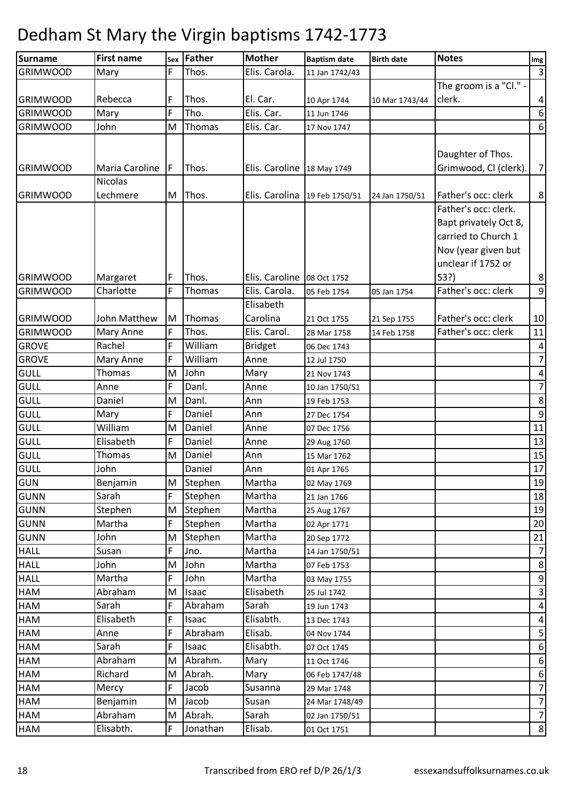| <b>Surname</b>  | <b>First name</b> | Sex | Father   | <b>Mother</b>  | <b>Baptism date</b>           | <b>Birth date</b> | <b>Notes</b>           | Img                     |
|-----------------|-------------------|-----|----------|----------------|-------------------------------|-------------------|------------------------|-------------------------|
| <b>GRIMWOOD</b> | Mary              | F   | Thos.    | Elis. Carola.  | 11 Jan 1742/43                |                   |                        | $\vert$ 3               |
|                 |                   |     |          |                |                               |                   | The groom is a "Cl." - |                         |
| <b>GRIMWOOD</b> | Rebecca           | F   | Thos.    | El. Car.       | 10 Apr 1744                   | 10 Mar 1743/44    | clerk.                 | $\vert$                 |
| <b>GRIMWOOD</b> | Mary              | F   | Tho.     | Elis. Car.     | 11 Jun 1746                   |                   |                        | $6 \mid$                |
| <b>GRIMWOOD</b> | John              | M   | Thomas   | Elis. Car.     | 17 Nov 1747                   |                   |                        | 6                       |
|                 |                   |     |          |                |                               |                   |                        |                         |
|                 |                   |     |          |                |                               |                   | Daughter of Thos.      |                         |
| <b>GRIMWOOD</b> | Maria Caroline    | F   | Thos.    | Elis. Caroline | 18 May 1749                   |                   | Grimwood, Cl (clerk).  | 7                       |
|                 | <b>Nicolas</b>    |     |          |                |                               |                   |                        |                         |
| <b>GRIMWOOD</b> | Lechmere          | M   | Thos.    |                | Elis. Carolina 19 Feb 1750/51 | 24 Jan 1750/51    | Father's occ: clerk    | 8                       |
|                 |                   |     |          |                |                               |                   | Father's occ: clerk.   |                         |
|                 |                   |     |          |                |                               |                   | Bapt privately Oct 8,  |                         |
|                 |                   |     |          |                |                               |                   | carried to Church 1    |                         |
|                 |                   |     |          |                |                               |                   | Nov (year given but    |                         |
|                 |                   |     |          |                |                               |                   | unclear if 1752 or     |                         |
| <b>GRIMWOOD</b> | Margaret          | F   | Thos.    | Elis. Caroline | 08 Oct 1752                   |                   | 53?)                   | 8                       |
| <b>GRIMWOOD</b> | Charlotte         | F   | Thomas   | Elis. Carola.  | 05 Feb 1754                   | 05 Jan 1754       | Father's occ: clerk    | $\overline{9}$          |
|                 |                   |     |          | Elisabeth      |                               |                   |                        |                         |
| <b>GRIMWOOD</b> | John Matthew      | M   | Thomas   | Carolina       | 21 Oct 1755                   | 21 Sep 1755       | Father's occ: clerk    | 10                      |
| <b>GRIMWOOD</b> | Mary Anne         | F   | Thos.    | Elis. Carol.   | 28 Mar 1758                   | 14 Feb 1758       | Father's occ: clerk    | 11                      |
| <b>GROVE</b>    | Rachel            | F   | William  | <b>Bridget</b> | 06 Dec 1743                   |                   |                        | 4                       |
| <b>GROVE</b>    | Mary Anne         | F   | William  | Anne           | 12 Jul 1750                   |                   |                        | $\overline{7}$          |
| <b>GULL</b>     | Thomas            | M   | John     | Mary           | 21 Nov 1743                   |                   |                        | $\vert 4 \vert$         |
| <b>GULL</b>     | Anne              | F   | Danl.    | Anne           | 10 Jan 1750/51                |                   |                        | $\overline{7}$          |
| <b>GULL</b>     | Daniel            | M   | Danl.    | Ann            | 19 Feb 1753                   |                   |                        | $\boldsymbol{8}$        |
| <b>GULL</b>     | Mary              | F   | Daniel   | Ann            | 27 Dec 1754                   |                   |                        | $\overline{9}$          |
| <b>GULL</b>     | William           | M   | Daniel   | Anne           | 07 Dec 1756                   |                   |                        | 11                      |
| <b>GULL</b>     | Elisabeth         | F   | Daniel   | Anne           | 29 Aug 1760                   |                   |                        | 13                      |
| <b>GULL</b>     | Thomas            | M   | Daniel   | Ann            | 15 Mar 1762                   |                   |                        | 15                      |
| <b>GULL</b>     | John              |     | Daniel   | Ann            | 01 Apr 1765                   |                   |                        | 17                      |
| <b>GUN</b>      | Benjamin          | M   | Stephen  | Martha         | 02 May 1769                   |                   |                        | 19                      |
| <b>GUNN</b>     | Sarah             | F   | Stephen  | Martha         | 21 Jan 1766                   |                   |                        | 18                      |
| <b>GUNN</b>     | Stephen           | M   | Stephen  | Martha         | 25 Aug 1767                   |                   |                        | 19                      |
| <b>GUNN</b>     | Martha            | F   | Stephen  | Martha         | 02 Apr 1771                   |                   |                        | 20                      |
| <b>GUNN</b>     | John              | M   | Stephen  | Martha         | 20 Sep 1772                   |                   |                        | 21                      |
| <b>HALL</b>     | Susan             | F   | Jno.     | Martha         | 14 Jan 1750/51                |                   |                        | 7                       |
| <b>HALL</b>     | John              | M   | John     | Martha         | 07 Feb 1753                   |                   |                        | 8                       |
| <b>HALL</b>     | Martha            | F   | John     | Martha         | 03 May 1755                   |                   |                        | 9                       |
| HAM             | Abraham           | M   | Isaac    | Elisabeth      | 25 Jul 1742                   |                   |                        | $\overline{\mathbf{3}}$ |
| <b>HAM</b>      | Sarah             | F   | Abraham  | Sarah          | 19 Jun 1743                   |                   |                        | $\vert$                 |
| <b>HAM</b>      | Elisabeth         | F   | Isaac    | Elisabth.      | 13 Dec 1743                   |                   |                        | $\vert$                 |
| HAM             | Anne              | F   | Abraham  | Elisab.        | 04 Nov 1744                   |                   |                        | $\mathsf{5}$            |
| HAM             | Sarah             | F   | Isaac    | Elisabth.      | 07 Oct 1745                   |                   |                        | $6 \mid$                |
| HAM             | Abraham           | M   | Abrahm.  | Mary           | 11 Oct 1746                   |                   |                        | 6 <sup>1</sup>          |
| <b>HAM</b>      | Richard           | M   | Abrah.   | Mary           | 06 Feb 1747/48                |                   |                        | 6                       |
| <b>HAM</b>      | Mercy             | F   | Jacob    | Susanna        | 29 Mar 1748                   |                   |                        | 7                       |
| HAM             | Benjamin          | M   | Jacob    | Susan          | 24 Mar 1748/49                |                   |                        | 7                       |
| HAM             | Abraham           | M   | Abrah.   | Sarah          | 02 Jan 1750/51                |                   |                        | 7                       |
| HAM             | Elisabth.         | F   | Jonathan | Elisab.        | 01 Oct 1751                   |                   |                        | 8                       |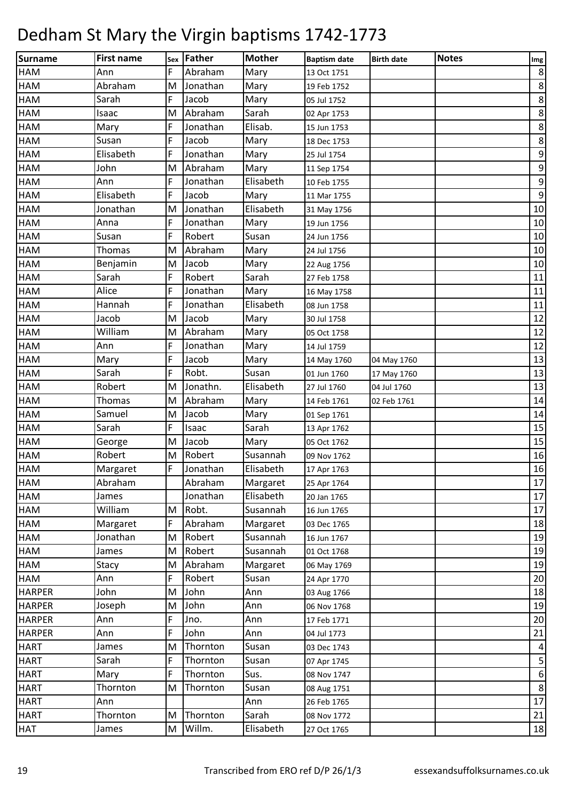| Surname       | <b>First name</b> | Sex | Father   | <b>Mother</b> | <b>Baptism date</b> | <b>Birth date</b> | <b>Notes</b> | <b>Img</b>       |
|---------------|-------------------|-----|----------|---------------|---------------------|-------------------|--------------|------------------|
| <b>HAM</b>    | Ann               | F   | Abraham  | Mary          | 13 Oct 1751         |                   |              | $\overline{8}$   |
| <b>HAM</b>    | Abraham           | M   | Jonathan | Mary          | 19 Feb 1752         |                   |              | 8                |
| <b>HAM</b>    | Sarah             | F   | Jacob    | Mary          | 05 Jul 1752         |                   |              | 8 <sup>1</sup>   |
| HAM           | Isaac             | M   | Abraham  | Sarah         | 02 Apr 1753         |                   |              | 8 <sup>1</sup>   |
| <b>HAM</b>    | Mary              | F   | Jonathan | Elisab.       | 15 Jun 1753         |                   |              | 8 <sup>1</sup>   |
| <b>HAM</b>    | Susan             | F   | Jacob    | Mary          | 18 Dec 1753         |                   |              | $\boldsymbol{8}$ |
| <b>HAM</b>    | Elisabeth         | F   | Jonathan | Mary          | 25 Jul 1754         |                   |              | $\boldsymbol{9}$ |
| <b>HAM</b>    | John              | M   | Abraham  | Mary          | 11 Sep 1754         |                   |              | $\overline{9}$   |
| <b>HAM</b>    | Ann               | F   | Jonathan | Elisabeth     | 10 Feb 1755         |                   |              | $\overline{9}$   |
| <b>HAM</b>    | Elisabeth         | F   | Jacob    | Mary          | 11 Mar 1755         |                   |              | $\overline{9}$   |
| <b>HAM</b>    | Jonathan          | M   | Jonathan | Elisabeth     | 31 May 1756         |                   |              | 10               |
| <b>HAM</b>    | Anna              | F   | Jonathan | Mary          | 19 Jun 1756         |                   |              | 10               |
| <b>HAM</b>    | Susan             | F   | Robert   | Susan         | 24 Jun 1756         |                   |              | $10\,$           |
| <b>HAM</b>    | Thomas            | M   | Abraham  | Mary          | 24 Jul 1756         |                   |              | 10               |
| <b>HAM</b>    | Benjamin          | M   | Jacob    | Mary          | 22 Aug 1756         |                   |              | 10               |
| <b>HAM</b>    | Sarah             | F   | Robert   | Sarah         | 27 Feb 1758         |                   |              | 11               |
| <b>HAM</b>    | Alice             | F   | Jonathan | Mary          | 16 May 1758         |                   |              | 11               |
| <b>HAM</b>    | Hannah            | F   | Jonathan | Elisabeth     | 08 Jun 1758         |                   |              | 11               |
| <b>HAM</b>    | Jacob             | M   | Jacob    | Mary          | 30 Jul 1758         |                   |              | 12               |
| <b>HAM</b>    | William           | M   | Abraham  | Mary          | 05 Oct 1758         |                   |              | 12               |
| <b>HAM</b>    | Ann               | F   | Jonathan | Mary          | 14 Jul 1759         |                   |              | 12               |
| <b>HAM</b>    | Mary              | F   | Jacob    | Mary          | 14 May 1760         | 04 May 1760       |              | 13               |
| <b>HAM</b>    | Sarah             | F   | Robt.    | Susan         | 01 Jun 1760         | 17 May 1760       |              | 13               |
| <b>HAM</b>    | Robert            | M   | Jonathn. | Elisabeth     | 27 Jul 1760         | 04 Jul 1760       |              | 13               |
| <b>HAM</b>    | Thomas            | M   | Abraham  | Mary          | 14 Feb 1761         | 02 Feb 1761       |              | 14               |
| <b>HAM</b>    | Samuel            | M   | Jacob    | Mary          | 01 Sep 1761         |                   |              | 14               |
| <b>HAM</b>    | Sarah             | F   | Isaac    | Sarah         | 13 Apr 1762         |                   |              | 15               |
| <b>HAM</b>    | George            | M   | Jacob    | Mary          | 05 Oct 1762         |                   |              | 15               |
| <b>HAM</b>    | Robert            | M   | Robert   | Susannah      | 09 Nov 1762         |                   |              | 16               |
| <b>HAM</b>    | Margaret          | F   | Jonathan | Elisabeth     | 17 Apr 1763         |                   |              | 16               |
| <b>HAM</b>    | Abraham           |     | Abraham  | Margaret      | 25 Apr 1764         |                   |              | 17               |
| <b>HAM</b>    | James             |     | Jonathan | Elisabeth     | 20 Jan 1765         |                   |              | 17               |
| HAM           | William           | M   | Robt.    | Susannah      | 16 Jun 1765         |                   |              | 17               |
| HAM           | Margaret          | F   | Abraham  | Margaret      | 03 Dec 1765         |                   |              | 18               |
| <b>HAM</b>    | Jonathan          | M   | Robert   | Susannah      | 16 Jun 1767         |                   |              | 19               |
| HAM           | James             | M   | Robert   | Susannah      | 01 Oct 1768         |                   |              | 19               |
| HAM           | Stacy             | M   | Abraham  | Margaret      | 06 May 1769         |                   |              | 19               |
| HAM           | Ann               | F   | Robert   | Susan         | 24 Apr 1770         |                   |              | 20               |
| <b>HARPER</b> | John              | M   | John     | Ann           | 03 Aug 1766         |                   |              | 18               |
| <b>HARPER</b> | Joseph            | M   | John     | Ann           | 06 Nov 1768         |                   |              | 19               |
| <b>HARPER</b> | Ann               | F   | Jno.     | Ann           | 17 Feb 1771         |                   |              | 20               |
| <b>HARPER</b> | Ann               | F   | John     | Ann           | 04 Jul 1773         |                   |              | 21               |
| <b>HART</b>   | James             | M   | Thornton | Susan         | 03 Dec 1743         |                   |              | $\overline{4}$   |
| <b>HART</b>   | Sarah             | F   | Thornton | Susan         | 07 Apr 1745         |                   |              | 5 <sup>1</sup>   |
| <b>HART</b>   | Mary              | F   | Thornton | Sus.          | 08 Nov 1747         |                   |              | 6                |
| <b>HART</b>   | Thornton          | M   | Thornton | Susan         | 08 Aug 1751         |                   |              | 8 <sup>1</sup>   |
| <b>HART</b>   | Ann               |     |          | Ann           | 26 Feb 1765         |                   |              | 17               |
| <b>HART</b>   | Thornton          | M   | Thornton | Sarah         | 08 Nov 1772         |                   |              | 21               |
| <b>HAT</b>    | James             | M   | Willm.   | Elisabeth     | 27 Oct 1765         |                   |              | 18               |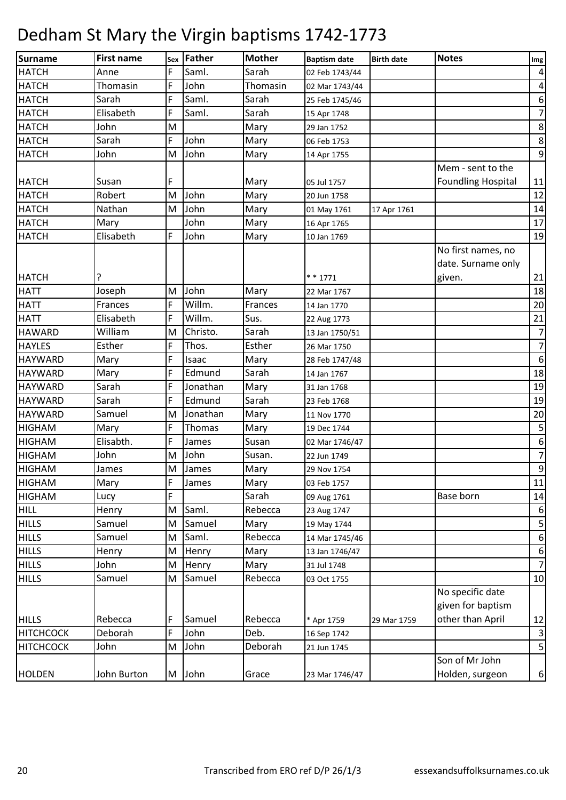| Surname          | <b>First name</b> |   | sex Father   | <b>Mother</b> | <b>Baptism date</b> | <b>Birth date</b> | <b>Notes</b>              | Img              |
|------------------|-------------------|---|--------------|---------------|---------------------|-------------------|---------------------------|------------------|
| <b>HATCH</b>     | Anne              | F | Saml.        | Sarah         | 02 Feb 1743/44      |                   |                           | $\pmb{4}$        |
| <b>HATCH</b>     | Thomasin          | F | John         | Thomasin      | 02 Mar 1743/44      |                   |                           | $\pmb{4}$        |
| <b>HATCH</b>     | Sarah             | F | Saml.        | Sarah         | 25 Feb 1745/46      |                   |                           | $\boldsymbol{6}$ |
| <b>HATCH</b>     | Elisabeth         | F | Saml.        | Sarah         | 15 Apr 1748         |                   |                           | $\overline{7}$   |
| <b>HATCH</b>     | John              | M |              | Mary          | 29 Jan 1752         |                   |                           | $\bf 8$          |
| <b>HATCH</b>     | Sarah             | F | John         | Mary          | 06 Feb 1753         |                   |                           | $\boldsymbol{8}$ |
| <b>HATCH</b>     | John              | M | John         | Mary          | 14 Apr 1755         |                   |                           | $\overline{9}$   |
|                  |                   |   |              |               |                     |                   | Mem - sent to the         |                  |
| <b>HATCH</b>     | Susan             | F |              | Mary          | 05 Jul 1757         |                   | <b>Foundling Hospital</b> | 11               |
| <b>HATCH</b>     | Robert            | M | John         | Mary          | 20 Jun 1758         |                   |                           | 12               |
| <b>HATCH</b>     | Nathan            | M | John         | Mary          | 01 May 1761         | 17 Apr 1761       |                           | 14               |
| <b>HATCH</b>     | Mary              |   | John         | Mary          | 16 Apr 1765         |                   |                           | 17               |
| <b>HATCH</b>     | Elisabeth         | F | John         | Mary          | 10 Jan 1769         |                   |                           | 19               |
|                  |                   |   |              |               |                     |                   | No first names, no        |                  |
|                  |                   |   |              |               |                     |                   | date. Surname only        |                  |
| <b>HATCH</b>     |                   |   |              |               | $* * 1771$          |                   | given.                    | 21               |
| <b>HATT</b>      | Joseph            | M | John         | Mary          | 22 Mar 1767         |                   |                           | 18               |
| <b>HATT</b>      | Frances           | F | Willm.       | Frances       | 14 Jan 1770         |                   |                           | 20               |
| <b>HATT</b>      | Elisabeth         | F | Willm.       | Sus.          | 22 Aug 1773         |                   |                           | 21               |
| <b>HAWARD</b>    | William           | M | Christo.     | Sarah         | 13 Jan 1750/51      |                   |                           | $\overline{7}$   |
| <b>HAYLES</b>    | Esther            | F | Thos.        | Esther        | 26 Mar 1750         |                   |                           | $\overline{7}$   |
| <b>HAYWARD</b>   | Mary              | F | <b>Isaac</b> | Mary          | 28 Feb 1747/48      |                   |                           | $\boldsymbol{6}$ |
| <b>HAYWARD</b>   | Mary              | F | Edmund       | Sarah         | 14 Jan 1767         |                   |                           | 18               |
| <b>HAYWARD</b>   | Sarah             | F | Jonathan     | Mary          | 31 Jan 1768         |                   |                           | 19               |
| <b>HAYWARD</b>   | Sarah             | F | Edmund       | Sarah         | 23 Feb 1768         |                   |                           | 19               |
| <b>HAYWARD</b>   | Samuel            | M | Jonathan     | Mary          | 11 Nov 1770         |                   |                           | 20               |
| <b>HIGHAM</b>    | Mary              | F | Thomas       | Mary          | 19 Dec 1744         |                   |                           | 5                |
| <b>HIGHAM</b>    | Elisabth.         | F | James        | Susan         | 02 Mar 1746/47      |                   |                           | $\boldsymbol{6}$ |
| <b>HIGHAM</b>    | John              | M | John         | Susan.        | 22 Jun 1749         |                   |                           | $\overline{7}$   |
| <b>HIGHAM</b>    | James             | M | James        | Mary          | 29 Nov 1754         |                   |                           | $\overline{9}$   |
| <b>HIGHAM</b>    | Mary              | F | James        | Mary          | 03 Feb 1757         |                   |                           | 11               |
| <b>HIGHAM</b>    | Lucy              | F |              | Sarah         | 09 Aug 1761         |                   | Base born                 | 14               |
| <b>HILL</b>      | Henry             | M | Saml.        | Rebecca       | 23 Aug 1747         |                   |                           | $\boldsymbol{6}$ |
| <b>HILLS</b>     | Samuel            | M | Samuel       | Mary          | 19 May 1744         |                   |                           | 5                |
| <b>HILLS</b>     | Samuel            | M | Saml.        | Rebecca       | 14 Mar 1745/46      |                   |                           | $6 \overline{6}$ |
| <b>HILLS</b>     | Henry             | M | Henry        | Mary          | 13 Jan 1746/47      |                   |                           | $\boldsymbol{6}$ |
| <b>HILLS</b>     | John              | M | Henry        | Mary          | 31 Jul 1748         |                   |                           | 7                |
| <b>HILLS</b>     | Samuel            | M | Samuel       | Rebecca       | 03 Oct 1755         |                   |                           | 10               |
|                  |                   |   |              |               |                     |                   | No specific date          |                  |
|                  |                   |   |              |               |                     |                   | given for baptism         |                  |
| <b>HILLS</b>     | Rebecca           | F | Samuel       | Rebecca       | * Apr 1759          | 29 Mar 1759       | other than April          | 12               |
| <b>HITCHCOCK</b> | Deborah           | F | John         | Deb.          | 16 Sep 1742         |                   |                           | $\vert$ 3        |
| <b>HITCHCOCK</b> | John              | M | John         | Deborah       | 21 Jun 1745         |                   |                           | 5 <sup>1</sup>   |
|                  |                   |   |              |               |                     |                   | Son of Mr John            |                  |
| <b>HOLDEN</b>    | John Burton       |   | M John       | Grace         | 23 Mar 1746/47      |                   | Holden, surgeon           | $6 \mid$         |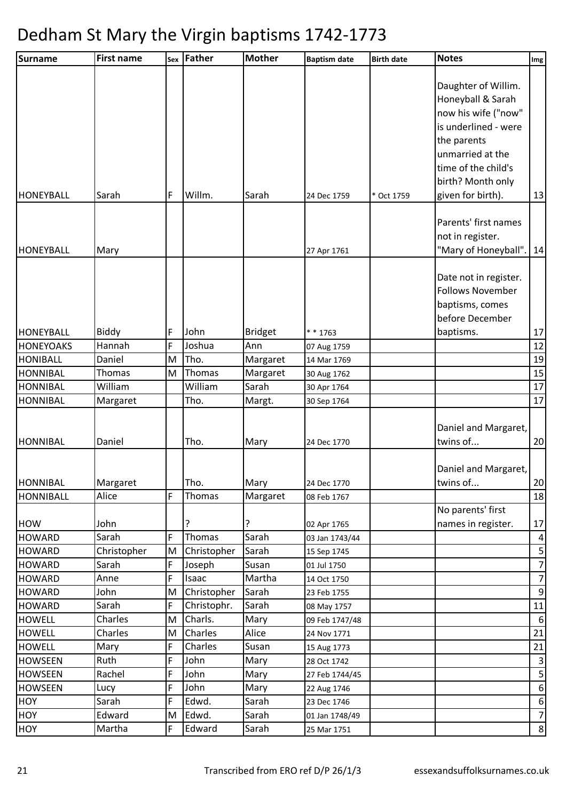| <b>Surname</b>               | <b>First name</b> | Sex | Father         | <b>Mother</b>  | <b>Baptism date</b>        | <b>Birth date</b> | <b>Notes</b>                     | Img              |
|------------------------------|-------------------|-----|----------------|----------------|----------------------------|-------------------|----------------------------------|------------------|
|                              |                   |     |                |                |                            |                   |                                  |                  |
|                              |                   |     |                |                |                            |                   | Daughter of Willim.              |                  |
|                              |                   |     |                |                |                            |                   | Honeyball & Sarah                |                  |
|                              |                   |     |                |                |                            |                   | now his wife ("now"              |                  |
|                              |                   |     |                |                |                            |                   | is underlined - were             |                  |
|                              |                   |     |                |                |                            |                   | the parents                      |                  |
|                              |                   |     |                |                |                            |                   | unmarried at the                 |                  |
|                              |                   |     |                |                |                            |                   | time of the child's              |                  |
|                              |                   |     |                |                |                            |                   | birth? Month only                |                  |
| HONEYBALL                    | Sarah             | F   | Willm.         | Sarah          | 24 Dec 1759                | * Oct 1759        | given for birth).                | 13               |
|                              |                   |     |                |                |                            |                   |                                  |                  |
|                              |                   |     |                |                |                            |                   | Parents' first names             |                  |
|                              |                   |     |                |                |                            |                   | not in register.                 |                  |
| HONEYBALL                    | Mary              |     |                |                | 27 Apr 1761                |                   | "Mary of Honeyball".             | 14               |
|                              |                   |     |                |                |                            |                   |                                  |                  |
|                              |                   |     |                |                |                            |                   | Date not in register.            |                  |
|                              |                   |     |                |                |                            |                   | <b>Follows November</b>          |                  |
|                              |                   |     |                |                |                            |                   | baptisms, comes                  |                  |
|                              |                   |     |                |                |                            |                   | before December                  |                  |
| HONEYBALL                    | Biddy             | F   | John           | <b>Bridget</b> | * * 1763                   |                   | baptisms.                        | 17               |
| <b>HONEYOAKS</b>             | Hannah            | F   | Joshua         | Ann            | 07 Aug 1759                |                   |                                  | 12               |
| <b>HONIBALL</b>              | Daniel            | M   | Tho.           | Margaret       | 14 Mar 1769                |                   |                                  | 19               |
| <b>HONNIBAL</b>              | Thomas            | M   | Thomas         | Margaret       | 30 Aug 1762                |                   |                                  | 15               |
| <b>HONNIBAL</b>              | William           |     | William        | Sarah          | 30 Apr 1764                |                   |                                  | 17               |
| <b>HONNIBAL</b>              | Margaret          |     | Tho.           | Margt.         | 30 Sep 1764                |                   |                                  | 17               |
|                              |                   |     |                |                |                            |                   |                                  |                  |
|                              |                   |     |                |                |                            |                   | Daniel and Margaret,             |                  |
| <b>HONNIBAL</b>              | Daniel            |     | Tho.           | Mary           | 24 Dec 1770                |                   | twins of                         | 20               |
|                              |                   |     |                |                |                            |                   |                                  |                  |
|                              |                   |     |                |                |                            |                   | Daniel and Margaret,<br>twins of |                  |
| <b>HONNIBAL</b><br>HONNIBALL | Margaret<br>Alice | F   | Tho.<br>Thomas | Mary           | 24 Dec 1770<br>08 Feb 1767 |                   |                                  | 20<br>18         |
|                              |                   |     |                | Margaret       |                            |                   | No parents' first                |                  |
| <b>HOW</b>                   | John              |     | ?              | ?              | 02 Apr 1765                |                   | names in register.               | 17               |
| <b>HOWARD</b>                | Sarah             | F   | Thomas         | Sarah          | 03 Jan 1743/44             |                   |                                  | 4                |
| <b>HOWARD</b>                | Christopher       | M   | Christopher    | Sarah          | 15 Sep 1745                |                   |                                  | 5                |
| <b>HOWARD</b>                | Sarah             | F   | Joseph         | Susan          | 01 Jul 1750                |                   |                                  | $\overline{7}$   |
| <b>HOWARD</b>                | Anne              | F   | Isaac          | Martha         | 14 Oct 1750                |                   |                                  | $\overline{7}$   |
| <b>HOWARD</b>                | John              | M   | Christopher    | Sarah          | 23 Feb 1755                |                   |                                  | 9                |
| <b>HOWARD</b>                | Sarah             | F   | Christophr.    | Sarah          | 08 May 1757                |                   |                                  | 11               |
| <b>HOWELL</b>                | Charles           | M   | Charls.        | Mary           | 09 Feb 1747/48             |                   |                                  | 6                |
| <b>HOWELL</b>                | Charles           | M   | Charles        | Alice          | 24 Nov 1771                |                   |                                  | 21               |
| <b>HOWELL</b>                | Mary              | F   | Charles        | Susan          | 15 Aug 1773                |                   |                                  | 21               |
| <b>HOWSEEN</b>               | Ruth              | F   | John           | Mary           | 28 Oct 1742                |                   |                                  | 3                |
| <b>HOWSEEN</b>               | Rachel            | F   | John           | Mary           | 27 Feb 1744/45             |                   |                                  | 5                |
| <b>HOWSEEN</b>               | Lucy              | F   | John           | Mary           | 22 Aug 1746                |                   |                                  | 6                |
| HOY                          | Sarah             | F   | Edwd.          | Sarah          | 23 Dec 1746                |                   |                                  | $\boldsymbol{6}$ |
| <b>HOY</b>                   | Edward            | M   | Edwd.          | Sarah          | 01 Jan 1748/49             |                   |                                  | $\overline{7}$   |
| <b>HOY</b>                   | Martha            | F   | Edward         | Sarah          | 25 Mar 1751                |                   |                                  | $\boldsymbol{8}$ |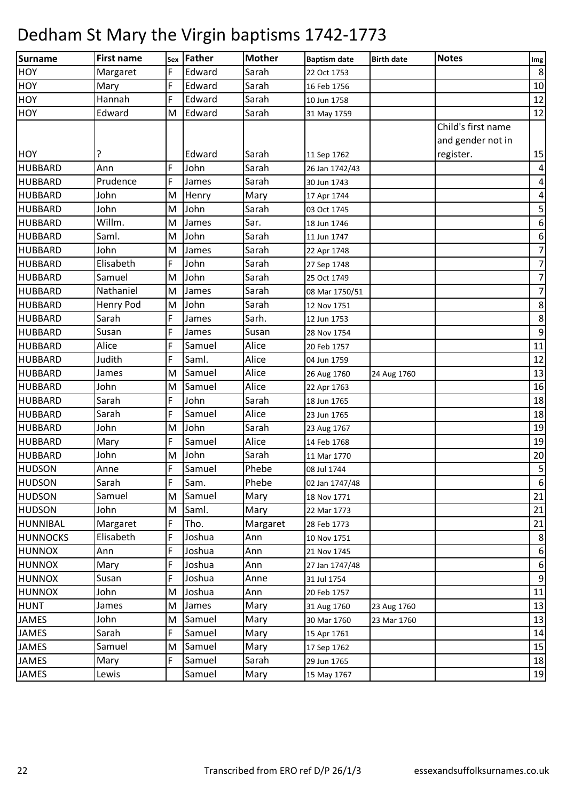| <b>Surname</b>  | <b>First name</b> | Sex | Father | <b>Mother</b> | <b>Baptism date</b> | <b>Birth date</b> | <b>Notes</b>       | Img              |
|-----------------|-------------------|-----|--------|---------------|---------------------|-------------------|--------------------|------------------|
| <b>HOY</b>      | Margaret          | F   | Edward | Sarah         | 22 Oct 1753         |                   |                    | 8 <sup>°</sup>   |
| <b>HOY</b>      | Mary              | F   | Edward | Sarah         | 16 Feb 1756         |                   |                    | 10               |
| <b>HOY</b>      | Hannah            | F   | Edward | Sarah         | 10 Jun 1758         |                   |                    | 12               |
| <b>HOY</b>      | Edward            | M   | Edward | Sarah         | 31 May 1759         |                   |                    | 12               |
|                 |                   |     |        |               |                     |                   | Child's first name |                  |
|                 |                   |     |        |               |                     |                   | and gender not in  |                  |
| <b>HOY</b>      | ?                 |     | Edward | Sarah         | 11 Sep 1762         |                   | register.          | 15               |
| <b>HUBBARD</b>  | Ann               | F   | John   | Sarah         | 26 Jan 1742/43      |                   |                    | $\vert 4 \vert$  |
| <b>HUBBARD</b>  | Prudence          | F   | James  | Sarah         | 30 Jun 1743         |                   |                    | 4                |
| <b>HUBBARD</b>  | John              | M   | Henry  | Mary          | 17 Apr 1744         |                   |                    | $\vert 4 \vert$  |
| <b>HUBBARD</b>  | John              | M   | John   | Sarah         | 03 Oct 1745         |                   |                    | 5 <sup>1</sup>   |
| HUBBARD         | Willm.            | M   | James  | Sar.          | 18 Jun 1746         |                   |                    | $\boldsymbol{6}$ |
| <b>HUBBARD</b>  | Saml.             | M   | John   | Sarah         | 11 Jun 1747         |                   |                    | 6                |
| <b>HUBBARD</b>  | John              | M   | James  | Sarah         | 22 Apr 1748         |                   |                    | 7                |
| <b>HUBBARD</b>  | Elisabeth         | F   | John   | Sarah         | 27 Sep 1748         |                   |                    | 7                |
| <b>HUBBARD</b>  | Samuel            | M   | John   | Sarah         | 25 Oct 1749         |                   |                    | $\overline{7}$   |
| HUBBARD         | Nathaniel         | M   | James  | Sarah         | 08 Mar 1750/51      |                   |                    | 7                |
| <b>HUBBARD</b>  | <b>Henry Pod</b>  | M   | John   | Sarah         | 12 Nov 1751         |                   |                    | $\bf 8$          |
| <b>HUBBARD</b>  | Sarah             | F   | James  | Sarh.         | 12 Jun 1753         |                   |                    | $\bf 8$          |
| <b>HUBBARD</b>  | Susan             | F   | James  | Susan         | 28 Nov 1754         |                   |                    | $\overline{9}$   |
| <b>HUBBARD</b>  | Alice             | F   | Samuel | Alice         | 20 Feb 1757         |                   |                    | 11               |
| HUBBARD         | Judith            | F   | Saml.  | Alice         | 04 Jun 1759         |                   |                    | $12\,$           |
| <b>HUBBARD</b>  | James             | M   | Samuel | Alice         | 26 Aug 1760         | 24 Aug 1760       |                    | 13               |
| <b>HUBBARD</b>  | John              | M   | Samuel | Alice         | 22 Apr 1763         |                   |                    | 16               |
| <b>HUBBARD</b>  | Sarah             | F   | John   | Sarah         | 18 Jun 1765         |                   |                    | 18               |
| <b>HUBBARD</b>  | Sarah             | F   | Samuel | Alice         | 23 Jun 1765         |                   |                    | 18               |
| <b>HUBBARD</b>  | John              | M   | John   | Sarah         | 23 Aug 1767         |                   |                    | 19               |
| <b>HUBBARD</b>  | Mary              | F   | Samuel | Alice         | 14 Feb 1768         |                   |                    | 19               |
| <b>HUBBARD</b>  | John              | M   | John   | Sarah         | 11 Mar 1770         |                   |                    | 20               |
| <b>HUDSON</b>   | Anne              | F   | Samuel | Phebe         | 08 Jul 1744         |                   |                    | 5 <sup>1</sup>   |
| <b>HUDSON</b>   | Sarah             | F   | Sam.   | Phebe         | 02 Jan 1747/48      |                   |                    | 6                |
| <b>HUDSON</b>   | Samuel            | M   | Samuel | Mary          | 18 Nov 1771         |                   |                    | 21               |
| <b>HUDSON</b>   | John              | M   | Saml.  | Mary          | 22 Mar 1773         |                   |                    | 21               |
| HUNNIBAL        | Margaret          | F   | Tho.   | Margaret      | 28 Feb 1773         |                   |                    | 21               |
| <b>HUNNOCKS</b> | Elisabeth         | F   | Joshua | Ann           | 10 Nov 1751         |                   |                    | 8 <sup>1</sup>   |
| <b>HUNNOX</b>   | Ann               | F   | Joshua | Ann           | 21 Nov 1745         |                   |                    | 6 <sup>1</sup>   |
| <b>HUNNOX</b>   | Mary              | F   | Joshua | Ann           | 27 Jan 1747/48      |                   |                    | $6 \mid$         |
| <b>HUNNOX</b>   | Susan             | F   | Joshua | Anne          | 31 Jul 1754         |                   |                    | $\overline{9}$   |
| <b>HUNNOX</b>   | John              | M   | Joshua | Ann           | 20 Feb 1757         |                   |                    | 11               |
| <b>HUNT</b>     | James             | M   | James  | Mary          | 31 Aug 1760         | 23 Aug 1760       |                    | 13               |
| JAMES           | John              | M   | Samuel | Mary          | 30 Mar 1760         | 23 Mar 1760       |                    | 13               |
| <b>JAMES</b>    | Sarah             | F   | Samuel | Mary          | 15 Apr 1761         |                   |                    | 14               |
| <b>JAMES</b>    | Samuel            | M   | Samuel | Mary          | 17 Sep 1762         |                   |                    | 15               |
| JAMES           | Mary              | F.  | Samuel | Sarah         | 29 Jun 1765         |                   |                    | 18               |
| <b>JAMES</b>    | Lewis             |     | Samuel | Mary          | 15 May 1767         |                   |                    | 19               |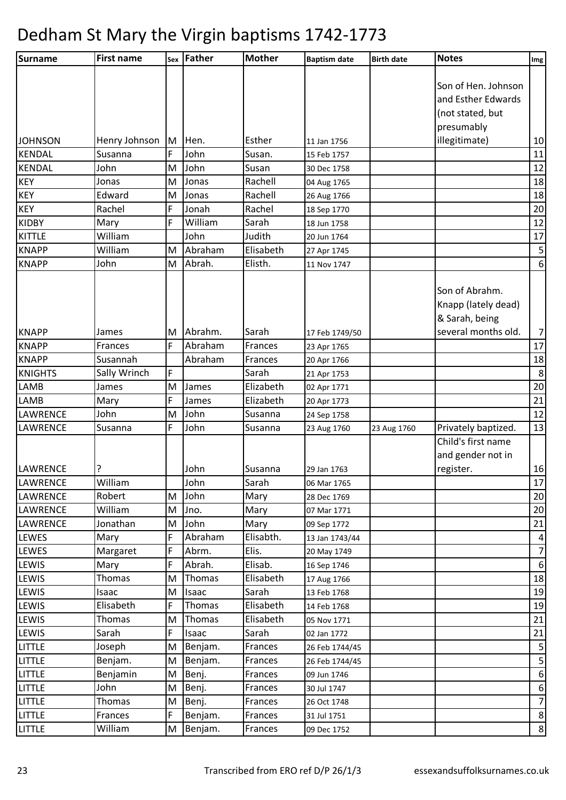| Surname         | <b>First name</b> | Sex | <b>Father</b> | <b>Mother</b> | <b>Baptism date</b> | <b>Birth date</b> | <b>Notes</b>        | Im <sub>g</sub> |
|-----------------|-------------------|-----|---------------|---------------|---------------------|-------------------|---------------------|-----------------|
|                 |                   |     |               |               |                     |                   |                     |                 |
|                 |                   |     |               |               |                     |                   | Son of Hen. Johnson |                 |
|                 |                   |     |               |               |                     |                   | and Esther Edwards  |                 |
|                 |                   |     |               |               |                     |                   | (not stated, but    |                 |
|                 |                   |     |               |               |                     |                   | presumably          |                 |
| <b>JOHNSON</b>  | Henry Johnson     | M   | Hen.          | Esther        | 11 Jan 1756         |                   | illegitimate)       | 10              |
| <b>KENDAL</b>   | Susanna           | F   | John          | Susan.        | 15 Feb 1757         |                   |                     | 11              |
| <b>KENDAL</b>   | John              | M   | John          | Susan         | 30 Dec 1758         |                   |                     | 12              |
| <b>KEY</b>      | Jonas             | M   | Jonas         | Rachell       | 04 Aug 1765         |                   |                     | 18              |
| <b>KEY</b>      | Edward            | M   | Jonas         | Rachell       | 26 Aug 1766         |                   |                     | 18              |
| <b>KEY</b>      | Rachel            | F   | Jonah         | Rachel        | 18 Sep 1770         |                   |                     | 20              |
| <b>KIDBY</b>    | Mary              | F   | William       | Sarah         | 18 Jun 1758         |                   |                     | 12              |
| <b>KITTLE</b>   | William           |     | John          | Judith        | 20 Jun 1764         |                   |                     | 17              |
| <b>KNAPP</b>    | William           | M   | Abraham       | Elisabeth     | 27 Apr 1745         |                   |                     | 5               |
| <b>KNAPP</b>    | John              | M   | Abrah.        | Elisth.       | 11 Nov 1747         |                   |                     | 6               |
|                 |                   |     |               |               |                     |                   |                     |                 |
|                 |                   |     |               |               |                     |                   | Son of Abrahm.      |                 |
|                 |                   |     |               |               |                     |                   | Knapp (lately dead) |                 |
|                 |                   |     |               |               |                     |                   | & Sarah, being      |                 |
| <b>KNAPP</b>    | James             | M   | Abrahm.       | Sarah         | 17 Feb 1749/50      |                   | several months old. | 7               |
| <b>KNAPP</b>    | Frances           | F   | Abraham       | Frances       | 23 Apr 1765         |                   |                     | 17              |
| <b>KNAPP</b>    | Susannah          |     | Abraham       | Frances       | 20 Apr 1766         |                   |                     | 18              |
| <b>KNIGHTS</b>  | Sally Wrinch      | F   |               | Sarah         | 21 Apr 1753         |                   |                     | 8               |
| <b>LAMB</b>     | James             | M   | James         | Elizabeth     | 02 Apr 1771         |                   |                     | 20              |
| <b>LAMB</b>     | Mary              | F   | James         | Elizabeth     | 20 Apr 1773         |                   |                     | 21              |
| LAWRENCE        | John              | M   | John          | Susanna       | 24 Sep 1758         |                   |                     | 12              |
| <b>LAWRENCE</b> | Susanna           | F   | John          | Susanna       | 23 Aug 1760         | 23 Aug 1760       | Privately baptized. | 13              |
|                 |                   |     |               |               |                     |                   | Child's first name  |                 |
|                 |                   |     |               |               |                     |                   | and gender not in   |                 |
| LAWRENCE        | ?                 |     | John          | Susanna       | 29 Jan 1763         |                   | register.           | 16              |
| LAWRENCE        | William           |     | John          | Sarah         | 06 Mar 1765         |                   |                     | 17              |
| LAWRENCE        | Robert            | M   | John          | Mary          | 28 Dec 1769         |                   |                     | 20              |
| <b>LAWRENCE</b> | William           | M   | Jno.          | Mary          | 07 Mar 1771         |                   |                     | 20              |
| LAWRENCE        | Jonathan          | M   | John          | Mary          | 09 Sep 1772         |                   |                     | 21              |
| LEWES           | Mary              | F   | Abraham       | Elisabth.     | 13 Jan 1743/44      |                   |                     | $\overline{4}$  |
| LEWES           | Margaret          | F   | Abrm.         | Elis.         | 20 May 1749         |                   |                     | 7               |
| <b>LEWIS</b>    | Mary              | F   | Abrah.        | Elisab.       | 16 Sep 1746         |                   |                     | 6               |
| LEWIS           | Thomas            | M   | Thomas        | Elisabeth     | 17 Aug 1766         |                   |                     | 18              |
| <b>LEWIS</b>    | Isaac             | M   | Isaac         | Sarah         | 13 Feb 1768         |                   |                     | 19              |
| LEWIS           | Elisabeth         | F   | Thomas        | Elisabeth     | 14 Feb 1768         |                   |                     | 19              |
| LEWIS           | Thomas            | M   | Thomas        | Elisabeth     | 05 Nov 1771         |                   |                     | 21              |
| <b>LEWIS</b>    | Sarah             | F   | Isaac         | Sarah         | 02 Jan 1772         |                   |                     | 21              |
| LITTLE          | Joseph            | M   | Benjam.       | Frances       | 26 Feb 1744/45      |                   |                     | 5 <sup>1</sup>  |
| <b>LITTLE</b>   | Benjam.           | M   | Benjam.       | Frances       | 26 Feb 1744/45      |                   |                     | $\mathbf{5}$    |
| LITTLE          | Benjamin          | M   | Benj.         | Frances       | 09 Jun 1746         |                   |                     | $6 \mid$        |
| LITTLE          | John              | M   | Benj.         | Frances       | 30 Jul 1747         |                   |                     | 6               |
| <b>LITTLE</b>   | Thomas            | M   | Benj.         | Frances       | 26 Oct 1748         |                   |                     | 7               |
| LITTLE          | Frances           | F   | Benjam.       | Frances       | 31 Jul 1751         |                   |                     | 8               |
| LITTLE          | William           | M   | Benjam.       | Frances       | 09 Dec 1752         |                   |                     | 8               |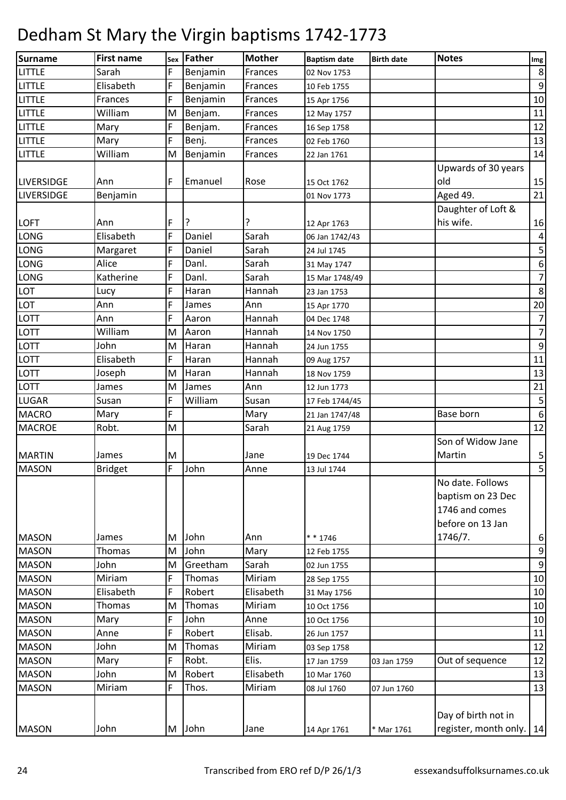| Surname           | <b>First name</b> | Sex | Father   | <b>Mother</b> | <b>Baptism date</b> | <b>Birth date</b> | <b>Notes</b>          | $\mathop{\textsf{Img}}$ |
|-------------------|-------------------|-----|----------|---------------|---------------------|-------------------|-----------------------|-------------------------|
| LITTLE            | Sarah             | F   | Benjamin | Frances       | 02 Nov 1753         |                   |                       | $\boldsymbol{8}$        |
| LITTLE            | Elisabeth         | F   | Benjamin | Frances       | 10 Feb 1755         |                   |                       | $\boldsymbol{9}$        |
| LITTLE            | Frances           | F   | Benjamin | Frances       | 15 Apr 1756         |                   |                       | $10\,$                  |
| LITTLE            | William           | M   | Benjam.  | Frances       | 12 May 1757         |                   |                       | 11                      |
| LITTLE            | Mary              | F   | Benjam.  | Frances       | 16 Sep 1758         |                   |                       | 12                      |
| LITTLE            | Mary              | F   | Benj.    | Frances       | 02 Feb 1760         |                   |                       | 13                      |
| <b>LITTLE</b>     | William           | M   | Benjamin | Frances       | 22 Jan 1761         |                   |                       | 14                      |
|                   |                   |     |          |               |                     |                   | Upwards of 30 years   |                         |
| <b>LIVERSIDGE</b> | Ann               | F   | Emanuel  | Rose          | 15 Oct 1762         |                   | old                   | 15                      |
| <b>LIVERSIDGE</b> | Benjamin          |     |          |               | 01 Nov 1773         |                   | Aged 49.              | 21                      |
|                   |                   |     |          |               |                     |                   | Daughter of Loft &    |                         |
| <b>LOFT</b>       | Ann               | F   |          |               | 12 Apr 1763         |                   | his wife.             | 16                      |
| LONG              | Elisabeth         | F   | Daniel   | Sarah         | 06 Jan 1742/43      |                   |                       | $\overline{a}$          |
| <b>LONG</b>       | Margaret          | F   | Daniel   | Sarah         | 24 Jul 1745         |                   |                       | 5                       |
| LONG              | Alice             | F   | Danl.    | Sarah         | 31 May 1747         |                   |                       | $6 \mid$                |
| LONG              | Katherine         | F   | Danl.    | Sarah         | 15 Mar 1748/49      |                   |                       | $\overline{7}$          |
| LOT               | Lucy              | F   | Haran    | Hannah        | 23 Jan 1753         |                   |                       | $\bf 8$                 |
| LOT               | Ann               | F   | James    | Ann           | 15 Apr 1770         |                   |                       | 20                      |
| LOTT              | Ann               | F   | Aaron    | Hannah        | 04 Dec 1748         |                   |                       | $\overline{7}$          |
| <b>LOTT</b>       | William           | M   | Aaron    | Hannah        | 14 Nov 1750         |                   |                       | $\overline{7}$          |
| <b>LOTT</b>       | John              | M   | Haran    | Hannah        | 24 Jun 1755         |                   |                       | $\overline{9}$          |
| LOTT              | Elisabeth         | F   | Haran    | Hannah        | 09 Aug 1757         |                   |                       | 11                      |
| LOTT              | Joseph            | M   | Haran    | Hannah        | 18 Nov 1759         |                   |                       | 13                      |
| <b>LOTT</b>       | James             | M   | James    | Ann           | 12 Jun 1773         |                   |                       | 21                      |
| <b>LUGAR</b>      | Susan             | F   | William  | Susan         | 17 Feb 1744/45      |                   |                       | $\mathsf S$             |
| <b>MACRO</b>      | Mary              | F   |          | Mary          | 21 Jan 1747/48      |                   | Base born             | 6                       |
| <b>MACROE</b>     | Robt.             | M   |          | Sarah         | 21 Aug 1759         |                   |                       | 12                      |
|                   |                   |     |          |               |                     |                   | Son of Widow Jane     |                         |
| <b>MARTIN</b>     | James             | M   |          | Jane          | 19 Dec 1744         |                   | Martin                | 5                       |
| <b>MASON</b>      | <b>Bridget</b>    | F   | John     | Anne          | 13 Jul 1744         |                   |                       | $\overline{5}$          |
|                   |                   |     |          |               |                     |                   | No date. Follows      |                         |
|                   |                   |     |          |               |                     |                   | baptism on 23 Dec     |                         |
|                   |                   |     |          |               |                     |                   | 1746 and comes        |                         |
|                   |                   |     |          |               |                     |                   | before on 13 Jan      |                         |
| <b>MASON</b>      | James             | M   | John     | Ann           | * * 1746            |                   | 1746/7.               | 6                       |
| <b>MASON</b>      | Thomas            | M   | John     | Mary          | 12 Feb 1755         |                   |                       | $\overline{9}$          |
| <b>MASON</b>      | John              | M   | Greetham | Sarah         | 02 Jun 1755         |                   |                       | $\boldsymbol{9}$        |
| <b>MASON</b>      | Miriam            | F   | Thomas   | Miriam        | 28 Sep 1755         |                   |                       | 10                      |
| <b>MASON</b>      | Elisabeth         | F   | Robert   | Elisabeth     | 31 May 1756         |                   |                       | 10                      |
| <b>MASON</b>      | Thomas            | M   | Thomas   | Miriam        | 10 Oct 1756         |                   |                       | 10                      |
| <b>MASON</b>      | Mary              | F   | John     | Anne          | 10 Oct 1756         |                   |                       | 10                      |
| <b>MASON</b>      | Anne              | F   | Robert   | Elisab.       | 26 Jun 1757         |                   |                       | 11                      |
| <b>MASON</b>      | John              | M   | Thomas   | Miriam        | 03 Sep 1758         |                   |                       | 12                      |
| <b>MASON</b>      | Mary              | F   | Robt.    | Elis.         | 17 Jan 1759         | 03 Jan 1759       | Out of sequence       | 12                      |
| <b>MASON</b>      | John              | M   | Robert   | Elisabeth     | 10 Mar 1760         |                   |                       | 13                      |
| <b>MASON</b>      | Miriam            | F   | Thos.    | Miriam        | 08 Jul 1760         | 07 Jun 1760       |                       | 13                      |
|                   |                   |     |          |               |                     |                   |                       |                         |
|                   |                   |     |          |               |                     |                   | Day of birth not in   |                         |
| <b>MASON</b>      | John              |     | M John   | Jane          | 14 Apr 1761         | * Mar 1761        | register, month only. | 14                      |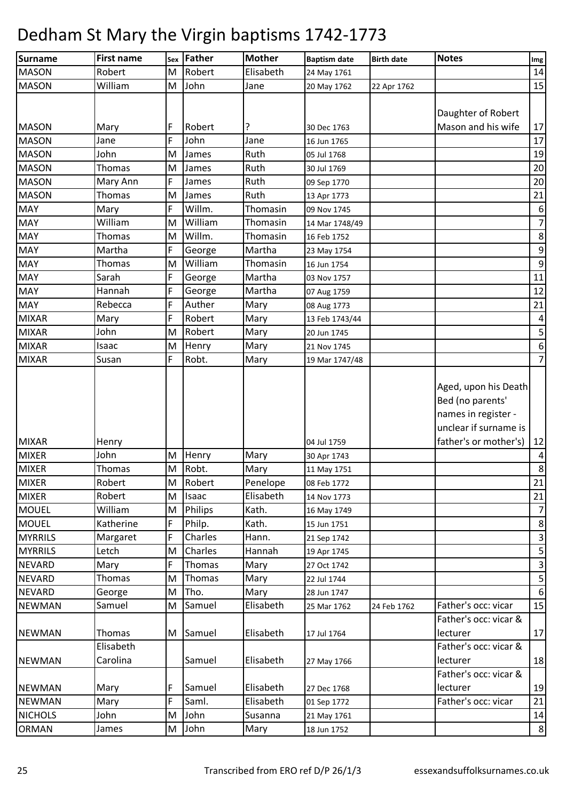| <b>Surname</b> | <b>First name</b> | Sex | <b>Father</b> | <b>Mother</b> | <b>Baptism date</b> | <b>Birth date</b> | <b>Notes</b>                                                                             | Img                     |
|----------------|-------------------|-----|---------------|---------------|---------------------|-------------------|------------------------------------------------------------------------------------------|-------------------------|
| <b>MASON</b>   | Robert            | M   | Robert        | Elisabeth     | 24 May 1761         |                   |                                                                                          | 14                      |
| <b>MASON</b>   | William           | M   | John          | Jane          | 20 May 1762         | 22 Apr 1762       |                                                                                          | 15                      |
|                |                   |     |               |               |                     |                   |                                                                                          |                         |
|                |                   |     |               |               |                     |                   | Daughter of Robert                                                                       |                         |
| <b>MASON</b>   | Mary              | F   | Robert        | ?             | 30 Dec 1763         |                   | Mason and his wife                                                                       | 17                      |
| <b>MASON</b>   | Jane              | F   | John          | Jane          | 16 Jun 1765         |                   |                                                                                          | 17                      |
| <b>MASON</b>   | John              | M   | James         | Ruth          | 05 Jul 1768         |                   |                                                                                          | 19                      |
| <b>MASON</b>   | Thomas            | M   | James         | Ruth          | 30 Jul 1769         |                   |                                                                                          | 20                      |
| <b>MASON</b>   | Mary Ann          | F   | James         | Ruth          | 09 Sep 1770         |                   |                                                                                          | 20                      |
| <b>MASON</b>   | Thomas            | M   | James         | Ruth          | 13 Apr 1773         |                   |                                                                                          | 21                      |
| <b>MAY</b>     | Mary              | F   | Willm.        | Thomasin      | 09 Nov 1745         |                   |                                                                                          | $\boldsymbol{6}$        |
| <b>MAY</b>     | William           | M   | William       | Thomasin      | 14 Mar 1748/49      |                   |                                                                                          | 7                       |
| MAY            | Thomas            | M   | Willm.        | Thomasin      | 16 Feb 1752         |                   |                                                                                          | 8 <sup>1</sup>          |
| <b>MAY</b>     | Martha            | F   | George        | Martha        | 23 May 1754         |                   |                                                                                          | $\overline{9}$          |
| MAY            | Thomas            | M   | William       | Thomasin      | 16 Jun 1754         |                   |                                                                                          | $\overline{9}$          |
| <b>MAY</b>     | Sarah             | F   | George        | Martha        | 03 Nov 1757         |                   |                                                                                          | 11                      |
| <b>MAY</b>     | Hannah            | F   | George        | Martha        | 07 Aug 1759         |                   |                                                                                          | 12                      |
| <b>MAY</b>     | Rebecca           | F   | Auther        | Mary          | 08 Aug 1773         |                   |                                                                                          | 21                      |
| <b>MIXAR</b>   | Mary              | F   | Robert        | Mary          | 13 Feb 1743/44      |                   |                                                                                          | $\vert 4 \vert$         |
| <b>MIXAR</b>   | John              | M   | Robert        | Mary          | 20 Jun 1745         |                   |                                                                                          | $\overline{\mathbf{5}}$ |
| <b>MIXAR</b>   | Isaac             | M   | Henry         | Mary          | 21 Nov 1745         |                   |                                                                                          | $6 \overline{}$         |
| <b>MIXAR</b>   | Susan             | F   | Robt.         | Mary          | 19 Mar 1747/48      |                   |                                                                                          | 7                       |
|                |                   |     |               |               |                     |                   | Aged, upon his Death<br>Bed (no parents'<br>names in register -<br>unclear if surname is |                         |
| <b>MIXAR</b>   | Henry             |     |               |               | 04 Jul 1759         |                   | father's or mother's)                                                                    | 12                      |
| <b>MIXER</b>   | John              | M   | Henry         | Mary          | 30 Apr 1743         |                   |                                                                                          | $\vert 4 \vert$         |
| <b>MIXER</b>   | Thomas            | M   | Robt.         | Mary          | 11 May 1751         |                   |                                                                                          | 8                       |
| <b>MIXER</b>   | Robert            | M   | Robert        | Penelope      | 08 Feb 1772         |                   |                                                                                          | 21                      |
| <b>MIXER</b>   | Robert            | M   | Isaac         | Elisabeth     | 14 Nov 1773         |                   |                                                                                          | 21                      |
| <b>MOUEL</b>   | William           | M   | Philips       | Kath.         | 16 May 1749         |                   |                                                                                          | 7                       |
| <b>MOUEL</b>   | Katherine         | F   | Philp.        | Kath.         | 15 Jun 1751         |                   |                                                                                          | 8 <sup>1</sup>          |
| <b>MYRRILS</b> | Margaret          | F   | Charles       | Hann.         | 21 Sep 1742         |                   |                                                                                          | $\overline{\mathbf{3}}$ |
| <b>MYRRILS</b> | Letch             | M   | Charles       | Hannah        | 19 Apr 1745         |                   |                                                                                          | 5 <sup>1</sup>          |
| <b>NEVARD</b>  | Mary              | F   | Thomas        | Mary          | 27 Oct 1742         |                   |                                                                                          | $\overline{\mathbf{3}}$ |
| <b>NEVARD</b>  | Thomas            | M   | Thomas        | Mary          | 22 Jul 1744         |                   |                                                                                          | $\overline{5}$          |
| <b>NEVARD</b>  | George            | M   | Tho.          | Mary          | 28 Jun 1747         |                   |                                                                                          | 6                       |
| <b>NEWMAN</b>  | Samuel            | M   | Samuel        | Elisabeth     | 25 Mar 1762         | 24 Feb 1762       | Father's occ: vicar                                                                      | 15                      |
|                |                   |     |               |               |                     |                   | Father's occ: vicar &                                                                    |                         |
| <b>NEWMAN</b>  | Thomas            | M   | Samuel        | Elisabeth     | 17 Jul 1764         |                   | lecturer                                                                                 | 17                      |
|                | Elisabeth         |     |               |               |                     |                   | Father's occ: vicar &                                                                    |                         |
| <b>NEWMAN</b>  | Carolina          |     | Samuel        | Elisabeth     | 27 May 1766         |                   | lecturer                                                                                 | 18                      |
|                |                   |     |               |               |                     |                   | Father's occ: vicar &                                                                    |                         |
| <b>NEWMAN</b>  | Mary              | F   | Samuel        | Elisabeth     | 27 Dec 1768         |                   | lecturer                                                                                 | 19                      |
| <b>NEWMAN</b>  | Mary              | F   | Saml.         | Elisabeth     | 01 Sep 1772         |                   | Father's occ: vicar                                                                      | 21                      |
| <b>NICHOLS</b> | John              | M   | John          | Susanna       | 21 May 1761         |                   |                                                                                          | 14                      |
| ORMAN          | James             | M   | John          | Mary          | 18 Jun 1752         |                   |                                                                                          | 8 <sup>°</sup>          |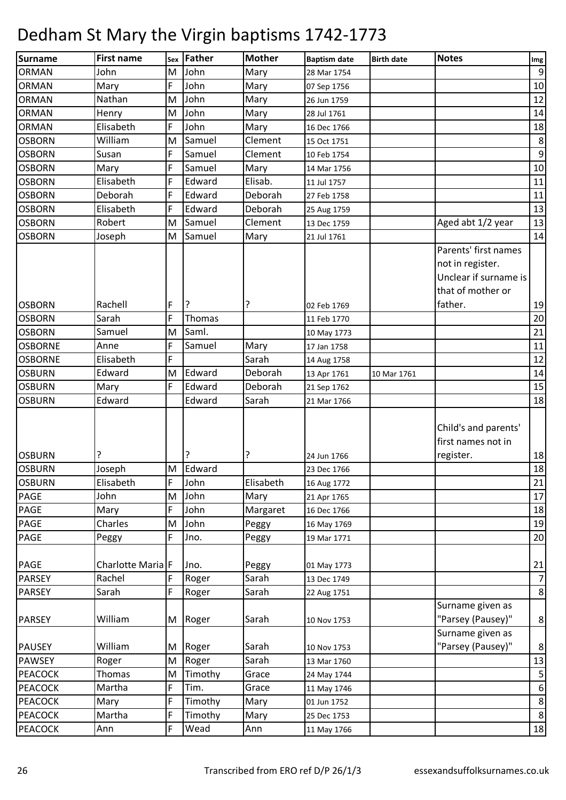| <b>Surname</b> | <b>First name</b>              | Sex | Father  | <b>Mother</b> | <b>Baptism date</b>        | <b>Birth date</b> | <b>Notes</b>                                                                                      | Img              |
|----------------|--------------------------------|-----|---------|---------------|----------------------------|-------------------|---------------------------------------------------------------------------------------------------|------------------|
| <b>ORMAN</b>   | John                           | M   | John    | Mary          | 28 Mar 1754                |                   |                                                                                                   | $\overline{9}$   |
| <b>ORMAN</b>   | Mary                           | F   | John    | Mary          | 07 Sep 1756                |                   |                                                                                                   | 10               |
| <b>ORMAN</b>   | Nathan                         | M   | John    | Mary          | 26 Jun 1759                |                   |                                                                                                   | 12               |
| <b>ORMAN</b>   | Henry                          | M   | John    | Mary          | 28 Jul 1761                |                   |                                                                                                   | 14               |
| <b>ORMAN</b>   | Elisabeth                      | F   | John    | Mary          | 16 Dec 1766                |                   |                                                                                                   | 18               |
| <b>OSBORN</b>  | William                        | M   | Samuel  | Clement       | 15 Oct 1751                |                   |                                                                                                   | $\bf 8$          |
| <b>OSBORN</b>  | Susan                          | F   | Samuel  | Clement       | 10 Feb 1754                |                   |                                                                                                   | $\overline{9}$   |
| <b>OSBORN</b>  | Mary                           | F   | Samuel  | Mary          | 14 Mar 1756                |                   |                                                                                                   | $10\,$           |
| <b>OSBORN</b>  | Elisabeth                      | F   | Edward  | Elisab.       | 11 Jul 1757                |                   |                                                                                                   | 11               |
| <b>OSBORN</b>  | Deborah                        | F   | Edward  | Deborah       | 27 Feb 1758                |                   |                                                                                                   | 11               |
| <b>OSBORN</b>  | Elisabeth                      | F   | Edward  | Deborah       | 25 Aug 1759                |                   |                                                                                                   | 13               |
| <b>OSBORN</b>  | Robert                         | M   | Samuel  | Clement       | 13 Dec 1759                |                   | Aged abt 1/2 year                                                                                 | 13               |
| <b>OSBORN</b>  | Joseph                         | M   | Samuel  | Mary          | 21 Jul 1761                |                   |                                                                                                   | 14               |
| <b>OSBORN</b>  | Rachell                        | F   |         | ŗ             | 02 Feb 1769                |                   | Parents' first names<br>not in register.<br>Unclear if surname is<br>that of mother or<br>father. | 19               |
| <b>OSBORN</b>  | Sarah                          | F   | Thomas  |               | 11 Feb 1770                |                   |                                                                                                   | 20               |
| <b>OSBORN</b>  | Samuel                         | M   | Saml.   |               | 10 May 1773                |                   |                                                                                                   | 21               |
| <b>OSBORNE</b> | Anne                           | F   | Samuel  | Mary          | 17 Jan 1758                |                   |                                                                                                   | 11               |
| <b>OSBORNE</b> | Elisabeth                      | F   |         | Sarah         |                            |                   |                                                                                                   | 12               |
| <b>OSBURN</b>  | Edward                         | M   | Edward  | Deborah       | 14 Aug 1758                |                   |                                                                                                   |                  |
| <b>OSBURN</b>  | Mary                           | F   | Edward  | Deborah       | 13 Apr 1761                | 10 Mar 1761       |                                                                                                   | 14<br>15         |
| <b>OSBURN</b>  | Edward                         |     | Edward  | Sarah         | 21 Sep 1762<br>21 Mar 1766 |                   |                                                                                                   | 18               |
| <b>OSBURN</b>  |                                |     |         | ?             | 24 Jun 1766                |                   | Child's and parents'<br>first names not in<br>register.                                           | 18               |
| <b>OSBURN</b>  | Joseph                         | M   | Edward  |               | 23 Dec 1766                |                   |                                                                                                   | 18               |
| <b>OSBURN</b>  | Elisabeth                      | F   | John    | Elisabeth     | 16 Aug 1772                |                   |                                                                                                   | 21               |
| PAGE           | John                           | M   | John    | Mary          | 21 Apr 1765                |                   |                                                                                                   | 17               |
| PAGE           | Mary                           | F   | John    | Margaret      | 16 Dec 1766                |                   |                                                                                                   | 18               |
| PAGE           | Charles                        | M   | John    | Peggy         | 16 May 1769                |                   |                                                                                                   | 19               |
| PAGE           | Peggy                          | F   | Jno.    | Peggy         | 19 Mar 1771                |                   |                                                                                                   | 20               |
| <b>PAGE</b>    | Charlotte Maria <sup>[F]</sup> |     | Jno.    | Peggy         | 01 May 1773                |                   |                                                                                                   | 21               |
| PARSEY         | Rachel                         | F   | Roger   | Sarah         | 13 Dec 1749                |                   |                                                                                                   | 7                |
| PARSEY         | Sarah                          | F   | Roger   | Sarah         | 22 Aug 1751                |                   |                                                                                                   | 8 <sup>1</sup>   |
| <b>PARSEY</b>  | William                        | M   | Roger   | Sarah         | 10 Nov 1753                |                   | Surname given as<br>"Parsey (Pausey)"                                                             | 8 <sup>1</sup>   |
| <b>PAUSEY</b>  | William                        | M   | Roger   | Sarah         | 10 Nov 1753                |                   | Surname given as<br>"Parsey (Pausey)"                                                             | $\bf 8$          |
| PAWSEY         | Roger                          | M   | Roger   | Sarah         | 13 Mar 1760                |                   |                                                                                                   | 13               |
| <b>PEACOCK</b> | Thomas                         | M   | Timothy | Grace         | 24 May 1744                |                   |                                                                                                   | $\mathsf S$      |
| <b>PEACOCK</b> | Martha                         | F   | Tim.    | Grace         | 11 May 1746                |                   |                                                                                                   | $6 \overline{}$  |
| <b>PEACOCK</b> | Mary                           | F   | Timothy | Mary          | 01 Jun 1752                |                   |                                                                                                   | $\boldsymbol{8}$ |
| <b>PEACOCK</b> | Martha                         | F   | Timothy | Mary          | 25 Dec 1753                |                   |                                                                                                   | 8                |
| <b>PEACOCK</b> | Ann                            | F   | Wead    | Ann           | 11 May 1766                |                   |                                                                                                   | 18               |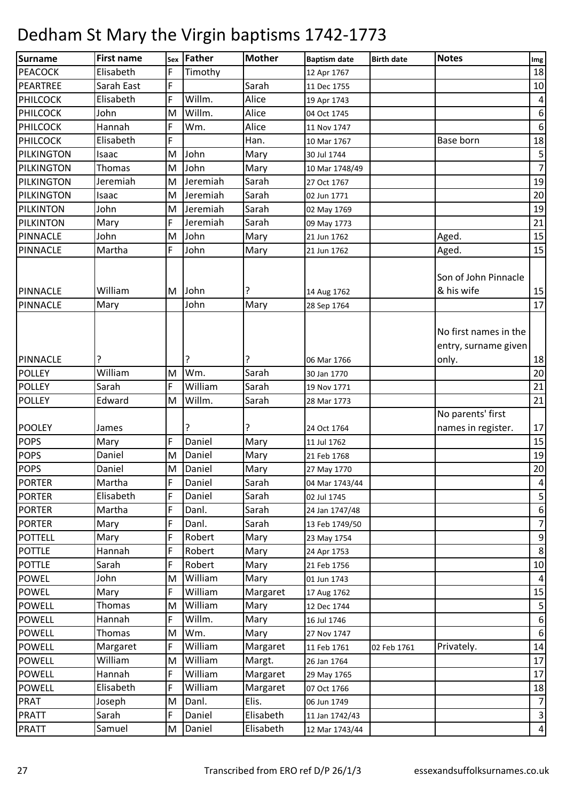| <b>Surname</b>  | <b>First name</b> | Sex | Father   | <b>Mother</b> | <b>Baptism date</b> | <b>Birth date</b> | <b>Notes</b>          | Img                      |
|-----------------|-------------------|-----|----------|---------------|---------------------|-------------------|-----------------------|--------------------------|
| <b>PEACOCK</b>  | Elisabeth         | F   | Timothy  |               | 12 Apr 1767         |                   |                       | 18                       |
| PEARTREE        | Sarah East        | F   |          | Sarah         | 11 Dec 1755         |                   |                       | 10                       |
| PHILCOCK        | Elisabeth         | F   | Willm.   | Alice         | 19 Apr 1743         |                   |                       | $\vert$                  |
| <b>PHILCOCK</b> | John              | M   | Willm.   | Alice         | 04 Oct 1745         |                   |                       | $\boldsymbol{6}$         |
| <b>PHILCOCK</b> | Hannah            | F   | Wm.      | Alice         | 11 Nov 1747         |                   |                       | $6 \mid$                 |
| <b>PHILCOCK</b> | Elisabeth         | F   |          | Han.          | 10 Mar 1767         |                   | Base born             | 18                       |
| PILKINGTON      | Isaac             | M   | John     | Mary          | 30 Jul 1744         |                   |                       | $\overline{\mathbf{5}}$  |
| PILKINGTON      | Thomas            | M   | John     | Mary          | 10 Mar 1748/49      |                   |                       | 7                        |
| PILKINGTON      | Jeremiah          | M   | Jeremiah | Sarah         | 27 Oct 1767         |                   |                       | 19                       |
| PILKINGTON      | Isaac             | M   | Jeremiah | Sarah         | 02 Jun 1771         |                   |                       | 20                       |
| PILKINTON       | John              | M   | Jeremiah | Sarah         | 02 May 1769         |                   |                       | 19                       |
| PILKINTON       | Mary              | F   | Jeremiah | Sarah         | 09 May 1773         |                   |                       | 21                       |
| PINNACLE        | John              | M   | John     | Mary          | 21 Jun 1762         |                   | Aged.                 | 15                       |
| PINNACLE        | Martha            | F   | John     | Mary          | 21 Jun 1762         |                   | Aged.                 | 15                       |
|                 |                   |     |          |               |                     |                   | Son of John Pinnacle  |                          |
| <b>PINNACLE</b> | William           | M   | John     | ?             | 14 Aug 1762         |                   | & his wife            | 15                       |
| PINNACLE        | Mary              |     | John     | Mary          | 28 Sep 1764         |                   |                       | 17                       |
|                 |                   |     |          |               |                     |                   |                       |                          |
|                 |                   |     |          |               |                     |                   | No first names in the |                          |
|                 |                   |     |          |               |                     |                   | entry, surname given  |                          |
| PINNACLE        | ?                 |     | ?        | ?             | 06 Mar 1766         |                   | only.                 | 18                       |
| <b>POLLEY</b>   | William           | M   | Wm.      | Sarah         | 30 Jan 1770         |                   |                       | 20                       |
| <b>POLLEY</b>   | Sarah             | F   | William  | Sarah         | 19 Nov 1771         |                   |                       | 21                       |
| <b>POLLEY</b>   | Edward            | M   | Willm.   | Sarah         | 28 Mar 1773         |                   |                       | 21                       |
|                 |                   |     |          |               |                     |                   | No parents' first     |                          |
| <b>POOLEY</b>   | James             |     | ?        | ?             | 24 Oct 1764         |                   | names in register.    | 17                       |
| <b>POPS</b>     | Mary              | F   | Daniel   | Mary          | 11 Jul 1762         |                   |                       | 15                       |
| <b>POPS</b>     | Daniel            | M   | Daniel   | Mary          | 21 Feb 1768         |                   |                       | 19                       |
| <b>POPS</b>     | Daniel            | M   | Daniel   | Mary          | 27 May 1770         |                   |                       | 20                       |
| <b>PORTER</b>   | Martha            | F   | Daniel   | Sarah         | 04 Mar 1743/44      |                   |                       | $\vert$                  |
| <b>PORTER</b>   | Elisabeth         | F   | Daniel   | Sarah         | 02 Jul 1745         |                   |                       | $\overline{\phantom{a}}$ |
| <b>PORTER</b>   | Martha            | F   | Danl.    | Sarah         | 24 Jan 1747/48      |                   |                       | $6 \mid$                 |
| <b>PORTER</b>   | Mary              | F   | Danl.    | Sarah         | 13 Feb 1749/50      |                   |                       | 7 <sup>1</sup>           |
| <b>POTTELL</b>  | Mary              | F   | Robert   | Mary          | 23 May 1754         |                   |                       | $\overline{9}$           |
| <b>POTTLE</b>   | Hannah            | F   | Robert   | Mary          | 24 Apr 1753         |                   |                       | 8 <sup>1</sup>           |
| <b>POTTLE</b>   | Sarah             | F   | Robert   | Mary          | 21 Feb 1756         |                   |                       | 10                       |
| <b>POWEL</b>    | John              | M   | William  | Mary          | 01 Jun 1743         |                   |                       | $\overline{a}$           |
| <b>POWEL</b>    | Mary              | F   | William  | Margaret      | 17 Aug 1762         |                   |                       | 15                       |
| <b>POWELL</b>   | Thomas            | M   | William  | Mary          | 12 Dec 1744         |                   |                       | 5 <sup>1</sup>           |
| <b>POWELL</b>   | Hannah            | F   | Willm.   | Mary          | 16 Jul 1746         |                   |                       | 6 <sup>1</sup>           |
| <b>POWELL</b>   | Thomas            | M   | Wm.      | Mary          | 27 Nov 1747         |                   |                       | $6 \mid$                 |
| <b>POWELL</b>   | Margaret          | F   | William  | Margaret      | 11 Feb 1761         | 02 Feb 1761       | Privately.            | 14                       |
| <b>POWELL</b>   | William           | M   | William  | Margt.        | 26 Jan 1764         |                   |                       | 17                       |
| <b>POWELL</b>   | Hannah            | F   | William  | Margaret      | 29 May 1765         |                   |                       | 17                       |
| <b>POWELL</b>   | Elisabeth         | F   | William  | Margaret      | 07 Oct 1766         |                   |                       | 18                       |
| <b>PRAT</b>     | Joseph            | M   | Danl.    | Elis.         | 06 Jun 1749         |                   |                       | 7                        |
| <b>PRATT</b>    | Sarah             | F   | Daniel   | Elisabeth     | 11 Jan 1742/43      |                   |                       | $\overline{\mathbf{3}}$  |
| PRATT           | Samuel            | M   | Daniel   | Elisabeth     | 12 Mar 1743/44      |                   |                       | 4                        |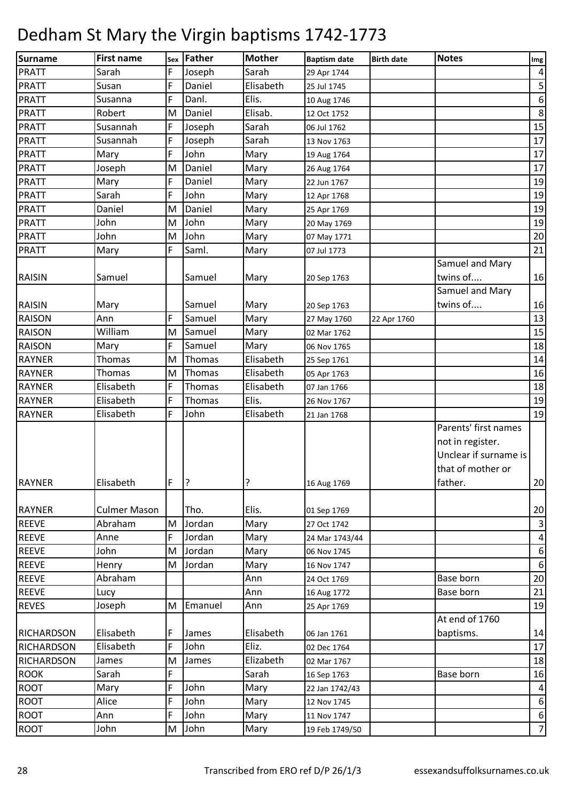| Surname                      | <b>First name</b>              |   | sex Father     | <b>Mother</b> | <b>Baptism date</b>        | <b>Birth date</b> | <b>Notes</b>                                                                                      | $\mathop{\textsf{Img}}$             |
|------------------------------|--------------------------------|---|----------------|---------------|----------------------------|-------------------|---------------------------------------------------------------------------------------------------|-------------------------------------|
| <b>PRATT</b>                 | Sarah                          | F | Joseph         | Sarah         | 29 Apr 1744                |                   |                                                                                                   | $\overline{4}$                      |
| PRATT                        | Susan                          | F | Daniel         | Elisabeth     | 25 Jul 1745                |                   |                                                                                                   | $\overline{5}$                      |
| PRATT                        | Susanna                        | F | Danl.          | Elis.         | 10 Aug 1746                |                   |                                                                                                   | $\boldsymbol{6}$                    |
| <b>PRATT</b>                 | Robert                         | M | Daniel         | Elisab.       | 12 Oct 1752                |                   |                                                                                                   | 8                                   |
| <b>PRATT</b>                 | Susannah                       | F | Joseph         | Sarah         | 06 Jul 1762                |                   |                                                                                                   | 15                                  |
| <b>PRATT</b>                 | Susannah                       | F | Joseph         | Sarah         | 13 Nov 1763                |                   |                                                                                                   | 17                                  |
| <b>PRATT</b>                 | Mary                           | F | John           | Mary          | 19 Aug 1764                |                   |                                                                                                   | 17                                  |
| PRATT                        | Joseph                         | M | Daniel         | Mary          | 26 Aug 1764                |                   |                                                                                                   | 17                                  |
| PRATT                        | Mary                           | F | Daniel         | Mary          | 22 Jun 1767                |                   |                                                                                                   | 19                                  |
| <b>PRATT</b>                 | Sarah                          | F | John           | Mary          | 12 Apr 1768                |                   |                                                                                                   | 19                                  |
| <b>PRATT</b>                 | Daniel                         | M | Daniel         | Mary          | 25 Apr 1769                |                   |                                                                                                   | 19                                  |
| PRATT                        | John                           | M | John           | Mary          | 20 May 1769                |                   |                                                                                                   | 19                                  |
| PRATT                        | John                           | M | John           | Mary          | 07 May 1771                |                   |                                                                                                   | 20                                  |
| <b>PRATT</b>                 | Mary                           | F | Saml.          | Mary          | 07 Jul 1773                |                   |                                                                                                   | 21                                  |
| <b>RAISIN</b>                | Samuel                         |   | Samuel         | Mary          | 20 Sep 1763                |                   | Samuel and Mary<br>twins of<br>Samuel and Mary                                                    | 16                                  |
| <b>RAISIN</b>                | Mary                           |   | Samuel         | Mary          | 20 Sep 1763                |                   | twins of                                                                                          | 16                                  |
| <b>RAISON</b>                | Ann                            | F | Samuel         | Mary          | 27 May 1760                | 22 Apr 1760       |                                                                                                   | 13                                  |
| <b>RAISON</b>                | William                        | M | Samuel         | Mary          | 02 Mar 1762                |                   |                                                                                                   | 15                                  |
| <b>RAISON</b>                | Mary                           | F | Samuel         | Mary          | 06 Nov 1765                |                   |                                                                                                   | 18                                  |
| <b>RAYNER</b>                | Thomas                         | M | Thomas         | Elisabeth     | 25 Sep 1761                |                   |                                                                                                   | 14                                  |
| <b>RAYNER</b>                | Thomas                         | M | Thomas         | Elisabeth     | 05 Apr 1763                |                   |                                                                                                   | 16                                  |
| <b>RAYNER</b>                | Elisabeth                      | F | Thomas         | Elisabeth     | 07 Jan 1766                |                   |                                                                                                   | 18                                  |
| <b>RAYNER</b>                | Elisabeth                      | F | Thomas         | Elis.         | 26 Nov 1767                |                   |                                                                                                   | 19                                  |
| <b>RAYNER</b>                | Elisabeth                      | F | John           | Elisabeth     | 21 Jan 1768                |                   |                                                                                                   | 19                                  |
| <b>RAYNER</b>                | Elisabeth                      | F | <u> ?</u>      | ?             | 16 Aug 1769                |                   | Parents' first names<br>not in register.<br>Unclear if surname is<br>that of mother or<br>father. | 20                                  |
|                              |                                |   |                |               |                            |                   |                                                                                                   |                                     |
| <b>RAYNER</b>                | <b>Culmer Mason</b><br>Abraham | M | Tho.<br>Jordan | Elis.         | 01 Sep 1769                |                   |                                                                                                   | 20                                  |
| <b>REEVE</b>                 | Anne                           | F | Jordan         | Mary<br>Mary  | 27 Oct 1742                |                   |                                                                                                   | $\vert$ 3                           |
| <b>REEVE</b><br><b>REEVE</b> | John                           | M | Jordan         | Mary          | 24 Mar 1743/44             |                   |                                                                                                   | $\vert 4 \vert$<br>$6 \overline{6}$ |
| <b>REEVE</b>                 | Henry                          | M | Jordan         |               | 06 Nov 1745<br>16 Nov 1747 |                   |                                                                                                   | $6 \overline{6}$                    |
| <b>REEVE</b>                 | Abraham                        |   |                | Mary<br>Ann   |                            |                   | Base born                                                                                         | 20                                  |
| <b>REEVE</b>                 |                                |   |                | Ann           | 24 Oct 1769                |                   | Base born                                                                                         | 21                                  |
| <b>REVES</b>                 | Lucy<br>Joseph                 | M | Emanuel        | Ann           | 16 Aug 1772                |                   |                                                                                                   | 19                                  |
|                              |                                |   |                |               | 25 Apr 1769                |                   | At end of 1760                                                                                    |                                     |
| <b>RICHARDSON</b>            | Elisabeth                      | F | James          | Elisabeth     | 06 Jan 1761                |                   | baptisms.                                                                                         | 14                                  |
| <b>RICHARDSON</b>            | Elisabeth                      | F | John           | Eliz.         | 02 Dec 1764                |                   |                                                                                                   | 17                                  |
| <b>RICHARDSON</b>            | James                          | M | James          | Elizabeth     | 02 Mar 1767                |                   |                                                                                                   | 18                                  |
| <b>ROOK</b>                  | Sarah                          | F |                | Sarah         | 16 Sep 1763                |                   | Base born                                                                                         | 16                                  |
| <b>ROOT</b>                  | Mary                           | F | John           | Mary          | 22 Jan 1742/43             |                   |                                                                                                   | $\overline{a}$                      |
| <b>ROOT</b>                  | Alice                          | F | John           | Mary          | 12 Nov 1745                |                   |                                                                                                   | $6 \overline{6}$                    |
| <b>ROOT</b>                  | Ann                            | F | John           | Mary          | 11 Nov 1747                |                   |                                                                                                   | $6 \overline{6}$                    |
| <b>ROOT</b>                  | John                           | M | John           | Mary          | 19 Feb 1749/50             |                   |                                                                                                   | 7                                   |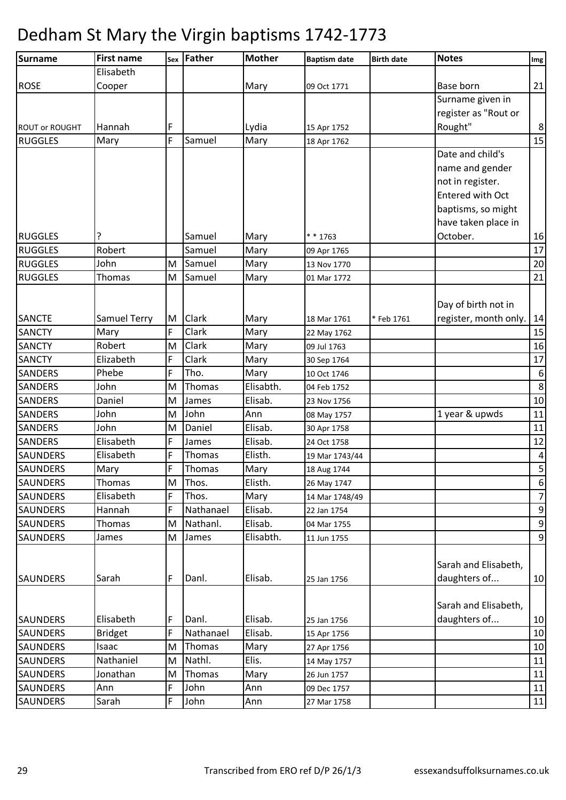| <b>Surname</b>        | <b>First name</b> | Sex | Father    | <b>Mother</b> | <b>Baptism date</b> | <b>Birth date</b> | <b>Notes</b>            | Im <sub>g</sub>  |
|-----------------------|-------------------|-----|-----------|---------------|---------------------|-------------------|-------------------------|------------------|
|                       | Elisabeth         |     |           |               |                     |                   |                         |                  |
| <b>ROSE</b>           | Cooper            |     |           | Mary          | 09 Oct 1771         |                   | <b>Base born</b>        | 21               |
|                       |                   |     |           |               |                     |                   | Surname given in        |                  |
|                       |                   |     |           |               |                     |                   | register as "Rout or    |                  |
| <b>ROUT or ROUGHT</b> | Hannah            | F   |           | Lydia         | 15 Apr 1752         |                   | Rought"                 | 8                |
| <b>RUGGLES</b>        | Mary              | F   | Samuel    | Mary          | 18 Apr 1762         |                   |                         | 15               |
|                       |                   |     |           |               |                     |                   | Date and child's        |                  |
|                       |                   |     |           |               |                     |                   | name and gender         |                  |
|                       |                   |     |           |               |                     |                   | not in register.        |                  |
|                       |                   |     |           |               |                     |                   | <b>Entered with Oct</b> |                  |
|                       |                   |     |           |               |                     |                   | baptisms, so might      |                  |
|                       |                   |     |           |               |                     |                   | have taken place in     |                  |
| <b>RUGGLES</b>        |                   |     | Samuel    | Mary          | * * 1763            |                   | October.                | 16               |
| <b>RUGGLES</b>        | Robert            |     | Samuel    | Mary          | 09 Apr 1765         |                   |                         | 17               |
| <b>RUGGLES</b>        | John              | M   | Samuel    | Mary          | 13 Nov 1770         |                   |                         | 20               |
| <b>RUGGLES</b>        | Thomas            | M   | Samuel    | Mary          | 01 Mar 1772         |                   |                         | 21               |
|                       |                   |     |           |               |                     |                   |                         |                  |
|                       |                   |     |           |               |                     |                   | Day of birth not in     |                  |
| <b>SANCTE</b>         | Samuel Terry      | M   | Clark     | Mary          | 18 Mar 1761         | * Feb 1761        | register, month only.   | 14               |
| <b>SANCTY</b>         | Mary              | F   | Clark     | Mary          | 22 May 1762         |                   |                         | 15               |
| <b>SANCTY</b>         | Robert            | M   | Clark     | Mary          | 09 Jul 1763         |                   |                         | 16               |
| <b>SANCTY</b>         | Elizabeth         | F   | Clark     | Mary          | 30 Sep 1764         |                   |                         | 17               |
| <b>SANDERS</b>        | Phebe             | F   | Tho.      | Mary          | 10 Oct 1746         |                   |                         | $\boldsymbol{6}$ |
| <b>SANDERS</b>        | John              | M   | Thomas    | Elisabth.     | 04 Feb 1752         |                   |                         | 8                |
| <b>SANDERS</b>        | Daniel            | M   | James     | Elisab.       | 23 Nov 1756         |                   |                         | 10               |
| <b>SANDERS</b>        | John              | M   | John      | Ann           | 08 May 1757         |                   | 1 year & upwds          | $11\,$           |
| <b>SANDERS</b>        | John              | M   | Daniel    | Elisab.       | 30 Apr 1758         |                   |                         | 11               |
| <b>SANDERS</b>        | Elisabeth         | F   | James     | Elisab.       | 24 Oct 1758         |                   |                         | 12               |
| <b>SAUNDERS</b>       | Elisabeth         | F   | Thomas    | Elisth.       | 19 Mar 1743/44      |                   |                         | 4                |
| <b>SAUNDERS</b>       | Mary              | F   | Thomas    | Mary          | 18 Aug 1744         |                   |                         | $\overline{5}$   |
| <b>SAUNDERS</b>       | Thomas            | M   | Thos.     | Elisth.       | 26 May 1747         |                   |                         | $6 \mid$         |
| <b>SAUNDERS</b>       | Elisabeth         | F   | Thos.     | Mary          | 14 Mar 1748/49      |                   |                         | $\overline{7}$   |
| <b>SAUNDERS</b>       | Hannah            | F   | Nathanael | Elisab.       | 22 Jan 1754         |                   |                         | $\overline{9}$   |
| <b>SAUNDERS</b>       | Thomas            | M   | Nathanl.  | Elisab.       | 04 Mar 1755         |                   |                         | $\overline{9}$   |
| <b>SAUNDERS</b>       | James             | M   | James     | Elisabth.     | 11 Jun 1755         |                   |                         | $\overline{9}$   |
|                       |                   |     |           |               |                     |                   |                         |                  |
|                       |                   |     |           |               |                     |                   | Sarah and Elisabeth,    |                  |
| <b>SAUNDERS</b>       | Sarah             | F   | Danl.     | Elisab.       | 25 Jan 1756         |                   | daughters of            | 10               |
|                       |                   |     |           |               |                     |                   |                         |                  |
|                       |                   |     |           |               |                     |                   | Sarah and Elisabeth,    |                  |
| <b>SAUNDERS</b>       | Elisabeth         | F   | Danl.     | Elisab.       | 25 Jan 1756         |                   | daughters of            | 10               |
| <b>SAUNDERS</b>       | <b>Bridget</b>    | F   | Nathanael | Elisab.       | 15 Apr 1756         |                   |                         | 10               |
| <b>SAUNDERS</b>       | Isaac             | M   | Thomas    | Mary          | 27 Apr 1756         |                   |                         | 10               |
| <b>SAUNDERS</b>       | Nathaniel         | M   | Nathl.    | Elis.         | 14 May 1757         |                   |                         | 11               |
| <b>SAUNDERS</b>       | Jonathan          | M   | Thomas    | Mary          | 26 Jun 1757         |                   |                         | 11               |
| <b>SAUNDERS</b>       | Ann               | F   | John      | Ann           | 09 Dec 1757         |                   |                         | 11               |
| <b>SAUNDERS</b>       | Sarah             | F   | John      | Ann           | 27 Mar 1758         |                   |                         | 11               |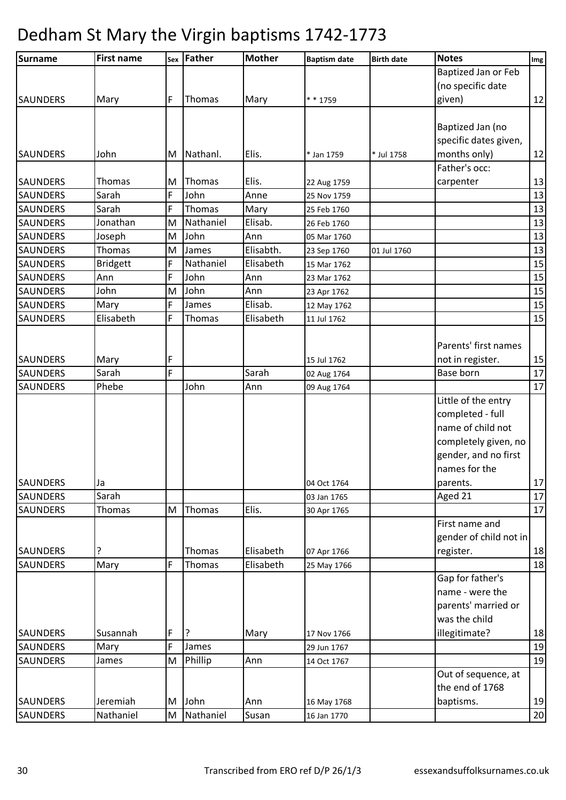| <b>Surname</b>  | <b>First name</b> | Sex | Father    | <b>Mother</b> | <b>Baptism date</b> | <b>Birth date</b> | <b>Notes</b>           | Img |
|-----------------|-------------------|-----|-----------|---------------|---------------------|-------------------|------------------------|-----|
|                 |                   |     |           |               |                     |                   | Baptized Jan or Feb    |     |
|                 |                   |     |           |               |                     |                   | (no specific date      |     |
| <b>SAUNDERS</b> | Mary              | F   | Thomas    | Mary          | * * 1759            |                   | given)                 | 12  |
|                 |                   |     |           |               |                     |                   |                        |     |
|                 |                   |     |           |               |                     |                   | Baptized Jan (no       |     |
|                 |                   |     |           |               |                     |                   | specific dates given,  |     |
| <b>SAUNDERS</b> | John              | M   | Nathanl.  | Elis.         | * Jan 1759          | * Jul 1758        | months only)           | 12  |
|                 |                   |     |           |               |                     |                   | Father's occ:          |     |
| <b>SAUNDERS</b> | Thomas            | M   | Thomas    | Elis.         | 22 Aug 1759         |                   | carpenter              | 13  |
| <b>SAUNDERS</b> | Sarah             | F   | John      | Anne          | 25 Nov 1759         |                   |                        | 13  |
| <b>SAUNDERS</b> | Sarah             | F   | Thomas    | Mary          | 25 Feb 1760         |                   |                        | 13  |
| <b>SAUNDERS</b> | Jonathan          | M   | Nathaniel | Elisab.       | 26 Feb 1760         |                   |                        | 13  |
| <b>SAUNDERS</b> | Joseph            | M   | John      | Ann           | 05 Mar 1760         |                   |                        | 13  |
| <b>SAUNDERS</b> | <b>Thomas</b>     | M   | James     | Elisabth.     | 23 Sep 1760         | 01 Jul 1760       |                        | 13  |
| <b>SAUNDERS</b> | <b>Bridgett</b>   | F   | Nathaniel | Elisabeth     | 15 Mar 1762         |                   |                        | 15  |
| <b>SAUNDERS</b> | Ann               | F   | John      | Ann           | 23 Mar 1762         |                   |                        | 15  |
| <b>SAUNDERS</b> | John              | M   | John      | Ann           | 23 Apr 1762         |                   |                        | 15  |
| <b>SAUNDERS</b> | Mary              | F   | James     | Elisab.       | 12 May 1762         |                   |                        | 15  |
| <b>SAUNDERS</b> | Elisabeth         | F   | Thomas    | Elisabeth     | 11 Jul 1762         |                   |                        | 15  |
|                 |                   |     |           |               |                     |                   |                        |     |
|                 |                   |     |           |               |                     |                   | Parents' first names   |     |
| <b>SAUNDERS</b> | Mary              | F   |           |               | 15 Jul 1762         |                   | not in register.       | 15  |
| <b>SAUNDERS</b> | Sarah             | F   |           | Sarah         | 02 Aug 1764         |                   | Base born              | 17  |
| <b>SAUNDERS</b> | Phebe             |     | John      | Ann           | 09 Aug 1764         |                   |                        | 17  |
|                 |                   |     |           |               |                     |                   | Little of the entry    |     |
|                 |                   |     |           |               |                     |                   | completed - full       |     |
|                 |                   |     |           |               |                     |                   | name of child not      |     |
|                 |                   |     |           |               |                     |                   | completely given, no   |     |
|                 |                   |     |           |               |                     |                   | gender, and no first   |     |
|                 |                   |     |           |               |                     |                   | names for the          |     |
| <b>SAUNDERS</b> | Ja                |     |           |               | 04 Oct 1764         |                   | parents.               | 17  |
| <b>SAUNDERS</b> | Sarah             |     |           |               | 03 Jan 1765         |                   | Aged 21                | 17  |
| <b>SAUNDERS</b> | Thomas            | M   | Thomas    | Elis.         | 30 Apr 1765         |                   |                        | 17  |
|                 |                   |     |           |               |                     |                   | First name and         |     |
|                 |                   |     |           |               |                     |                   | gender of child not in |     |
| <b>SAUNDERS</b> | ?                 |     | Thomas    | Elisabeth     | 07 Apr 1766         |                   | register.              | 18  |
| <b>SAUNDERS</b> | Mary              | F   | Thomas    | Elisabeth     | 25 May 1766         |                   |                        | 18  |
|                 |                   |     |           |               |                     |                   | Gap for father's       |     |
|                 |                   |     |           |               |                     |                   | name - were the        |     |
|                 |                   |     |           |               |                     |                   | parents' married or    |     |
|                 |                   |     |           |               |                     |                   | was the child          |     |
| <b>SAUNDERS</b> | Susannah          | F   | י?        | Mary          | 17 Nov 1766         |                   | illegitimate?          | 18  |
| <b>SAUNDERS</b> | Mary              | F   | James     |               | 29 Jun 1767         |                   |                        | 19  |
| <b>SAUNDERS</b> | James             | M   | Phillip   | Ann           | 14 Oct 1767         |                   |                        | 19  |
|                 |                   |     |           |               |                     |                   | Out of sequence, at    |     |
|                 |                   |     |           |               |                     |                   | the end of 1768        |     |
| <b>SAUNDERS</b> | Jeremiah          | M   | John      | Ann           | 16 May 1768         |                   | baptisms.              | 19  |
| <b>SAUNDERS</b> | Nathaniel         | M   | Nathaniel | Susan         | 16 Jan 1770         |                   |                        | 20  |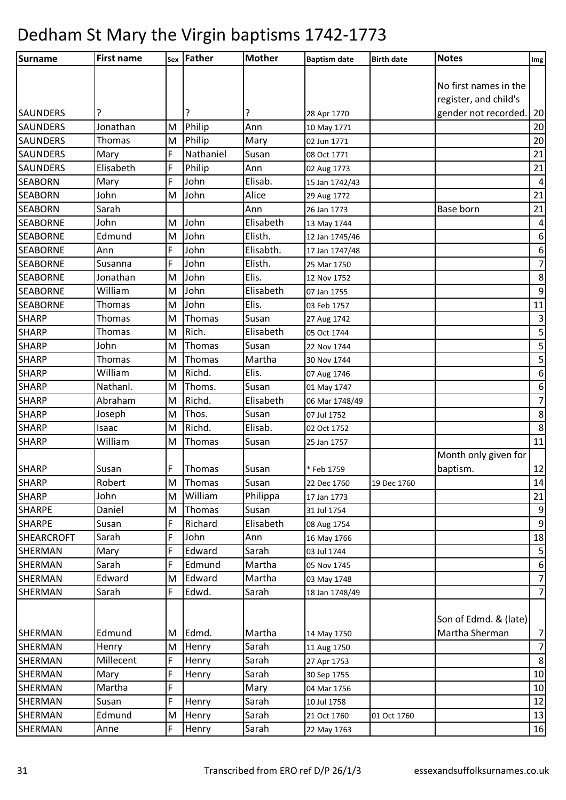| Surname         | <b>First name</b> | Sex | Father    | <b>Mother</b> | <b>Baptism date</b> | <b>Birth date</b> | <b>Notes</b>          | Img                     |
|-----------------|-------------------|-----|-----------|---------------|---------------------|-------------------|-----------------------|-------------------------|
|                 |                   |     |           |               |                     |                   |                       |                         |
|                 |                   |     |           |               |                     |                   | No first names in the |                         |
|                 |                   |     |           |               |                     |                   | register, and child's |                         |
| <b>SAUNDERS</b> |                   |     |           | ?             | 28 Apr 1770         |                   | gender not recorded.  | 20                      |
| <b>SAUNDERS</b> | Jonathan          | M   | Philip    | Ann           | 10 May 1771         |                   |                       | 20                      |
| <b>SAUNDERS</b> | Thomas            | M   | Philip    | Mary          | 02 Jun 1771         |                   |                       | 20                      |
| <b>SAUNDERS</b> | Mary              | F   | Nathaniel | Susan         | 08 Oct 1771         |                   |                       | 21                      |
| <b>SAUNDERS</b> | Elisabeth         | F   | Philip    | Ann           | 02 Aug 1773         |                   |                       | 21                      |
| <b>SEABORN</b>  | Mary              | F   | John      | Elisab.       | 15 Jan 1742/43      |                   |                       | 4                       |
| <b>SEABORN</b>  | John              | M   | John      | Alice         | 29 Aug 1772         |                   |                       | 21                      |
| <b>SEABORN</b>  | Sarah             |     |           | Ann           | 26 Jan 1773         |                   | Base born             | 21                      |
| <b>SEABORNE</b> | John              | M   | John      | Elisabeth     | 13 May 1744         |                   |                       | 4                       |
| <b>SEABORNE</b> | Edmund            | M   | John      | Elisth.       | 12 Jan 1745/46      |                   |                       | $\boldsymbol{6}$        |
| <b>SEABORNE</b> | Ann               | F   | John      | Elisabth.     | 17 Jan 1747/48      |                   |                       | 6                       |
| <b>SEABORNE</b> | Susanna           | F   | John      | Elisth.       | 25 Mar 1750         |                   |                       | $\overline{7}$          |
| <b>SEABORNE</b> | Jonathan          | M   | John      | Elis.         | 12 Nov 1752         |                   |                       | $\bf 8$                 |
| <b>SEABORNE</b> | William           | M   | John      | Elisabeth     | 07 Jan 1755         |                   |                       | $\boldsymbol{9}$        |
| <b>SEABORNE</b> | Thomas            | M   | John      | Elis.         | 03 Feb 1757         |                   |                       | 11                      |
| <b>SHARP</b>    | Thomas            | M   | Thomas    | Susan         | 27 Aug 1742         |                   |                       | $\mathsf 3$             |
| <b>SHARP</b>    | Thomas            | M   | Rich.     | Elisabeth     | 05 Oct 1744         |                   |                       | $\overline{\mathbf{5}}$ |
| <b>SHARP</b>    | John              | M   | Thomas    | Susan         | 22 Nov 1744         |                   |                       | $\overline{\mathbf{5}}$ |
| <b>SHARP</b>    | Thomas            | M   | Thomas    | Martha        | 30 Nov 1744         |                   |                       | 5                       |
| <b>SHARP</b>    | William           | M   | Richd.    | Elis.         | 07 Aug 1746         |                   |                       | $\boldsymbol{6}$        |
| <b>SHARP</b>    | Nathanl.          | M   | Thoms.    | Susan         | 01 May 1747         |                   |                       | 6                       |
| <b>SHARP</b>    | Abraham           | M   | Richd.    | Elisabeth     | 06 Mar 1748/49      |                   |                       | $\overline{7}$          |
| <b>SHARP</b>    | Joseph            | M   | Thos.     | Susan         | 07 Jul 1752         |                   |                       | $\bf 8$                 |
| <b>SHARP</b>    | Isaac             | M   | Richd.    | Elisab.       | 02 Oct 1752         |                   |                       | $\bf 8$                 |
| <b>SHARP</b>    | William           | M   | Thomas    | Susan         | 25 Jan 1757         |                   |                       | 11                      |
|                 |                   |     |           |               |                     |                   | Month only given for  |                         |
| <b>SHARP</b>    | Susan             | F   | Thomas    | Susan         | * Feb 1759          |                   | baptism.              | 12                      |
| <b>SHARP</b>    | Robert            | M   | Thomas    | Susan         | 22 Dec 1760         | 19 Dec 1760       |                       | 14                      |
| <b>SHARP</b>    | John              | M   | William   | Philippa      | 17 Jan 1773         |                   |                       | 21                      |
| <b>SHARPE</b>   | Daniel            | M   | Thomas    | Susan         | 31 Jul 1754         |                   |                       | $\overline{9}$          |
| <b>SHARPE</b>   | Susan             | F   | Richard   | Elisabeth     | 08 Aug 1754         |                   |                       | $\overline{9}$          |
| SHEARCROFT      | Sarah             | F   | John      | Ann           | 16 May 1766         |                   |                       | 18                      |
| <b>SHERMAN</b>  | Mary              | F   | Edward    | Sarah         | 03 Jul 1744         |                   |                       | $\overline{\mathbf{5}}$ |
| SHERMAN         | Sarah             | F   | Edmund    | Martha        | 05 Nov 1745         |                   |                       | 6                       |
| SHERMAN         | Edward            | M   | Edward    | Martha        | 03 May 1748         |                   |                       | 7                       |
| <b>SHERMAN</b>  | Sarah             | F   | Edwd.     | Sarah         | 18 Jan 1748/49      |                   |                       | 7                       |
|                 |                   |     |           |               |                     |                   |                       |                         |
|                 |                   |     |           |               |                     |                   | Son of Edmd. & (late) |                         |
| SHERMAN         | Edmund            | M   | Edmd.     | Martha        | 14 May 1750         |                   | Martha Sherman        | 7 <sup>1</sup>          |
| <b>SHERMAN</b>  | Henry             | M   | Henry     | Sarah         | 11 Aug 1750         |                   |                       | 7                       |
| <b>SHERMAN</b>  | Millecent         | F   | Henry     | Sarah         | 27 Apr 1753         |                   |                       | 8                       |
| <b>SHERMAN</b>  | Mary              | F   | Henry     | Sarah         | 30 Sep 1755         |                   |                       | 10                      |
| <b>SHERMAN</b>  | Martha            | F   |           | Mary          | 04 Mar 1756         |                   |                       | 10                      |
| SHERMAN         | Susan             | F   | Henry     | Sarah         | 10 Jul 1758         |                   |                       | 12                      |
| SHERMAN         | Edmund            | M   | Henry     | Sarah         | 21 Oct 1760         | 01 Oct 1760       |                       | 13                      |
| SHERMAN         | Anne              | F   | Henry     | Sarah         | 22 May 1763         |                   |                       | 16                      |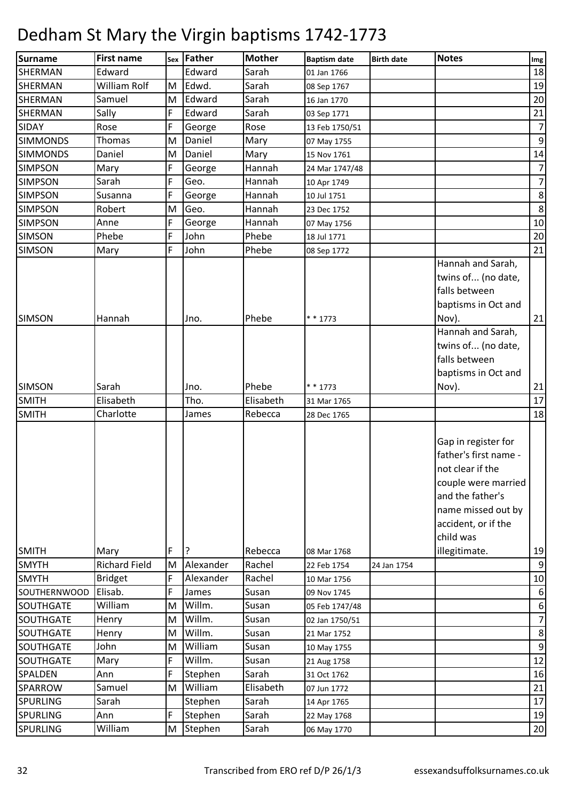| Sarah<br>Edward<br>Edward<br>01 Jan 1766<br>William Rolf<br>Edwd.<br>Sarah<br>M<br>08 Sep 1767<br>Samuel<br>Edward<br>Sarah<br>20<br>M<br>16 Jan 1770<br>21<br>Sally<br>Edward<br>F<br>Sarah<br>03 Sep 1771<br>Rose<br>F<br>George<br>Rose<br>13 Feb 1750/51<br>Thomas<br>Daniel<br>Mary<br>M<br>07 May 1755<br>Daniel<br>Daniel<br>Mary<br>M<br>15 Nov 1761<br>F<br>Hannah<br>Mary<br>George<br>24 Mar 1747/48<br>Sarah<br>F<br>Geo.<br>Hannah<br>10 Apr 1749<br>F<br>Susanna<br>George<br>Hannah<br>10 Jul 1751<br>Robert<br>Geo.<br>Hannah<br>M<br>23 Dec 1752<br>F<br>Anne<br>George<br>Hannah<br>07 May 1756<br>F<br>John<br>Phebe<br>Phebe<br>18 Jul 1771<br>F<br>John<br>Phebe<br>21<br><b>SIMSON</b><br>Mary<br>08 Sep 1772<br>Hannah and Sarah,<br>twins of (no date,<br>falls between<br>baptisms in Oct and<br>Phebe<br>Hannah<br>Nov).<br>$* * 1773$<br>Jno.<br>Hannah and Sarah,<br>twins of (no date,<br>falls between<br>baptisms in Oct and<br>Phebe<br><b>SIMSON</b><br>Sarah<br>Nov).<br>$* * 1773$<br>Jno.<br><b>SMITH</b><br>Elisabeth<br>Tho.<br>Elisabeth<br>31 Mar 1765<br><b>SMITH</b><br>Charlotte<br>Rebecca<br>James<br>28 Dec 1765<br>Gap in register for<br>father's first name -<br>not clear if the<br>couple were married<br>and the father's<br>name missed out by<br>accident, or if the<br>child was<br>illegitimate.<br>F<br>?<br>Rebecca<br>Mary<br>08 Mar 1768<br><b>Richard Field</b><br>Alexander<br>Rachel<br>M<br>24 Jan 1754<br>22 Feb 1754<br>Rachel<br>F<br>Alexander<br><b>Bridget</b><br>10 Mar 1756<br>Elisab.<br>F<br>James<br>Susan<br>09 Nov 1745<br>William<br>Willm.<br>Susan<br>M<br>05 Feb 1747/48<br>Willm.<br>Susan<br>Henry<br>M<br>02 Jan 1750/51<br>Willm.<br>Henry<br>M<br>Susan<br>21 Mar 1752<br>William<br>John<br>Susan<br><b>SOUTHGATE</b><br>M<br>10 May 1755<br>Willm.<br>12<br>SOUTHGATE<br>F<br>Mary<br>Susan<br>21 Aug 1758<br>Sarah<br>Ann<br>F<br>Stephen<br><b>SPALDEN</b><br>31 Oct 1762<br>William<br>Elisabeth<br>21<br>Samuel<br>M<br><b>SPARROW</b><br>07 Jun 1772<br><b>SPURLING</b><br>Sarah<br>Stephen<br>Sarah<br>14 Apr 1765<br>F<br>Stephen<br>Sarah<br><b>SPURLING</b><br>Ann<br>22 May 1768 | <b>Surname</b>      | <b>First name</b> |   | sex Father | <b>Mother</b> | <b>Baptism date</b> | <b>Birth date</b> | <b>Notes</b> | Img |
|------------------------------------------------------------------------------------------------------------------------------------------------------------------------------------------------------------------------------------------------------------------------------------------------------------------------------------------------------------------------------------------------------------------------------------------------------------------------------------------------------------------------------------------------------------------------------------------------------------------------------------------------------------------------------------------------------------------------------------------------------------------------------------------------------------------------------------------------------------------------------------------------------------------------------------------------------------------------------------------------------------------------------------------------------------------------------------------------------------------------------------------------------------------------------------------------------------------------------------------------------------------------------------------------------------------------------------------------------------------------------------------------------------------------------------------------------------------------------------------------------------------------------------------------------------------------------------------------------------------------------------------------------------------------------------------------------------------------------------------------------------------------------------------------------------------------------------------------------------------------------------------------------------------------------------------------------------------------------------------------------------------------------------------------------------------------------------------------------------------------------------------------------------------------------------|---------------------|-------------------|---|------------|---------------|---------------------|-------------------|--------------|-----|
| 7<br>10<br>20<br>21<br>18<br>10<br>$6 \mid$                                                                                                                                                                                                                                                                                                                                                                                                                                                                                                                                                                                                                                                                                                                                                                                                                                                                                                                                                                                                                                                                                                                                                                                                                                                                                                                                                                                                                                                                                                                                                                                                                                                                                                                                                                                                                                                                                                                                                                                                                                                                                                                                        | SHERMAN             |                   |   |            |               |                     |                   |              | 18  |
| 7<br>$\overline{9}$<br>14<br>7 <sup>1</sup><br>8 <sup>1</sup><br>8 <sup>1</sup><br>21<br>17                                                                                                                                                                                                                                                                                                                                                                                                                                                                                                                                                                                                                                                                                                                                                                                                                                                                                                                                                                                                                                                                                                                                                                                                                                                                                                                                                                                                                                                                                                                                                                                                                                                                                                                                                                                                                                                                                                                                                                                                                                                                                        | <b>SHERMAN</b>      |                   |   |            |               |                     |                   |              | 19  |
|                                                                                                                                                                                                                                                                                                                                                                                                                                                                                                                                                                                                                                                                                                                                                                                                                                                                                                                                                                                                                                                                                                                                                                                                                                                                                                                                                                                                                                                                                                                                                                                                                                                                                                                                                                                                                                                                                                                                                                                                                                                                                                                                                                                    | <b>SHERMAN</b>      |                   |   |            |               |                     |                   |              |     |
|                                                                                                                                                                                                                                                                                                                                                                                                                                                                                                                                                                                                                                                                                                                                                                                                                                                                                                                                                                                                                                                                                                                                                                                                                                                                                                                                                                                                                                                                                                                                                                                                                                                                                                                                                                                                                                                                                                                                                                                                                                                                                                                                                                                    | <b>SHERMAN</b>      |                   |   |            |               |                     |                   |              |     |
|                                                                                                                                                                                                                                                                                                                                                                                                                                                                                                                                                                                                                                                                                                                                                                                                                                                                                                                                                                                                                                                                                                                                                                                                                                                                                                                                                                                                                                                                                                                                                                                                                                                                                                                                                                                                                                                                                                                                                                                                                                                                                                                                                                                    | <b>SIDAY</b>        |                   |   |            |               |                     |                   |              |     |
|                                                                                                                                                                                                                                                                                                                                                                                                                                                                                                                                                                                                                                                                                                                                                                                                                                                                                                                                                                                                                                                                                                                                                                                                                                                                                                                                                                                                                                                                                                                                                                                                                                                                                                                                                                                                                                                                                                                                                                                                                                                                                                                                                                                    | <b>SIMMONDS</b>     |                   |   |            |               |                     |                   |              |     |
|                                                                                                                                                                                                                                                                                                                                                                                                                                                                                                                                                                                                                                                                                                                                                                                                                                                                                                                                                                                                                                                                                                                                                                                                                                                                                                                                                                                                                                                                                                                                                                                                                                                                                                                                                                                                                                                                                                                                                                                                                                                                                                                                                                                    | <b>SIMMONDS</b>     |                   |   |            |               |                     |                   |              |     |
|                                                                                                                                                                                                                                                                                                                                                                                                                                                                                                                                                                                                                                                                                                                                                                                                                                                                                                                                                                                                                                                                                                                                                                                                                                                                                                                                                                                                                                                                                                                                                                                                                                                                                                                                                                                                                                                                                                                                                                                                                                                                                                                                                                                    | <b>SIMPSON</b>      |                   |   |            |               |                     |                   |              |     |
|                                                                                                                                                                                                                                                                                                                                                                                                                                                                                                                                                                                                                                                                                                                                                                                                                                                                                                                                                                                                                                                                                                                                                                                                                                                                                                                                                                                                                                                                                                                                                                                                                                                                                                                                                                                                                                                                                                                                                                                                                                                                                                                                                                                    | <b>SIMPSON</b>      |                   |   |            |               |                     |                   |              |     |
|                                                                                                                                                                                                                                                                                                                                                                                                                                                                                                                                                                                                                                                                                                                                                                                                                                                                                                                                                                                                                                                                                                                                                                                                                                                                                                                                                                                                                                                                                                                                                                                                                                                                                                                                                                                                                                                                                                                                                                                                                                                                                                                                                                                    | <b>SIMPSON</b>      |                   |   |            |               |                     |                   |              |     |
|                                                                                                                                                                                                                                                                                                                                                                                                                                                                                                                                                                                                                                                                                                                                                                                                                                                                                                                                                                                                                                                                                                                                                                                                                                                                                                                                                                                                                                                                                                                                                                                                                                                                                                                                                                                                                                                                                                                                                                                                                                                                                                                                                                                    | <b>SIMPSON</b>      |                   |   |            |               |                     |                   |              |     |
|                                                                                                                                                                                                                                                                                                                                                                                                                                                                                                                                                                                                                                                                                                                                                                                                                                                                                                                                                                                                                                                                                                                                                                                                                                                                                                                                                                                                                                                                                                                                                                                                                                                                                                                                                                                                                                                                                                                                                                                                                                                                                                                                                                                    | <b>SIMPSON</b>      |                   |   |            |               |                     |                   |              |     |
|                                                                                                                                                                                                                                                                                                                                                                                                                                                                                                                                                                                                                                                                                                                                                                                                                                                                                                                                                                                                                                                                                                                                                                                                                                                                                                                                                                                                                                                                                                                                                                                                                                                                                                                                                                                                                                                                                                                                                                                                                                                                                                                                                                                    | <b>SIMSON</b>       |                   |   |            |               |                     |                   |              |     |
|                                                                                                                                                                                                                                                                                                                                                                                                                                                                                                                                                                                                                                                                                                                                                                                                                                                                                                                                                                                                                                                                                                                                                                                                                                                                                                                                                                                                                                                                                                                                                                                                                                                                                                                                                                                                                                                                                                                                                                                                                                                                                                                                                                                    |                     |                   |   |            |               |                     |                   |              |     |
|                                                                                                                                                                                                                                                                                                                                                                                                                                                                                                                                                                                                                                                                                                                                                                                                                                                                                                                                                                                                                                                                                                                                                                                                                                                                                                                                                                                                                                                                                                                                                                                                                                                                                                                                                                                                                                                                                                                                                                                                                                                                                                                                                                                    | <b>SIMSON</b>       |                   |   |            |               |                     |                   |              |     |
|                                                                                                                                                                                                                                                                                                                                                                                                                                                                                                                                                                                                                                                                                                                                                                                                                                                                                                                                                                                                                                                                                                                                                                                                                                                                                                                                                                                                                                                                                                                                                                                                                                                                                                                                                                                                                                                                                                                                                                                                                                                                                                                                                                                    |                     |                   |   |            |               |                     |                   |              |     |
|                                                                                                                                                                                                                                                                                                                                                                                                                                                                                                                                                                                                                                                                                                                                                                                                                                                                                                                                                                                                                                                                                                                                                                                                                                                                                                                                                                                                                                                                                                                                                                                                                                                                                                                                                                                                                                                                                                                                                                                                                                                                                                                                                                                    |                     |                   |   |            |               |                     |                   |              |     |
| 19<br>8 <sup>1</sup><br>$\overline{9}$<br>16                                                                                                                                                                                                                                                                                                                                                                                                                                                                                                                                                                                                                                                                                                                                                                                                                                                                                                                                                                                                                                                                                                                                                                                                                                                                                                                                                                                                                                                                                                                                                                                                                                                                                                                                                                                                                                                                                                                                                                                                                                                                                                                                       |                     |                   |   |            |               |                     |                   |              |     |
| 9<br>6<br>7<br>17<br>19                                                                                                                                                                                                                                                                                                                                                                                                                                                                                                                                                                                                                                                                                                                                                                                                                                                                                                                                                                                                                                                                                                                                                                                                                                                                                                                                                                                                                                                                                                                                                                                                                                                                                                                                                                                                                                                                                                                                                                                                                                                                                                                                                            |                     |                   |   |            |               |                     |                   |              |     |
|                                                                                                                                                                                                                                                                                                                                                                                                                                                                                                                                                                                                                                                                                                                                                                                                                                                                                                                                                                                                                                                                                                                                                                                                                                                                                                                                                                                                                                                                                                                                                                                                                                                                                                                                                                                                                                                                                                                                                                                                                                                                                                                                                                                    | <b>SMITH</b>        |                   |   |            |               |                     |                   |              |     |
|                                                                                                                                                                                                                                                                                                                                                                                                                                                                                                                                                                                                                                                                                                                                                                                                                                                                                                                                                                                                                                                                                                                                                                                                                                                                                                                                                                                                                                                                                                                                                                                                                                                                                                                                                                                                                                                                                                                                                                                                                                                                                                                                                                                    | <b>SMYTH</b>        |                   |   |            |               |                     |                   |              |     |
|                                                                                                                                                                                                                                                                                                                                                                                                                                                                                                                                                                                                                                                                                                                                                                                                                                                                                                                                                                                                                                                                                                                                                                                                                                                                                                                                                                                                                                                                                                                                                                                                                                                                                                                                                                                                                                                                                                                                                                                                                                                                                                                                                                                    | <b>SMYTH</b>        |                   |   |            |               |                     |                   |              |     |
|                                                                                                                                                                                                                                                                                                                                                                                                                                                                                                                                                                                                                                                                                                                                                                                                                                                                                                                                                                                                                                                                                                                                                                                                                                                                                                                                                                                                                                                                                                                                                                                                                                                                                                                                                                                                                                                                                                                                                                                                                                                                                                                                                                                    | <b>SOUTHERNWOOD</b> |                   |   |            |               |                     |                   |              |     |
|                                                                                                                                                                                                                                                                                                                                                                                                                                                                                                                                                                                                                                                                                                                                                                                                                                                                                                                                                                                                                                                                                                                                                                                                                                                                                                                                                                                                                                                                                                                                                                                                                                                                                                                                                                                                                                                                                                                                                                                                                                                                                                                                                                                    | <b>SOUTHGATE</b>    |                   |   |            |               |                     |                   |              |     |
|                                                                                                                                                                                                                                                                                                                                                                                                                                                                                                                                                                                                                                                                                                                                                                                                                                                                                                                                                                                                                                                                                                                                                                                                                                                                                                                                                                                                                                                                                                                                                                                                                                                                                                                                                                                                                                                                                                                                                                                                                                                                                                                                                                                    | SOUTHGATE           |                   |   |            |               |                     |                   |              |     |
|                                                                                                                                                                                                                                                                                                                                                                                                                                                                                                                                                                                                                                                                                                                                                                                                                                                                                                                                                                                                                                                                                                                                                                                                                                                                                                                                                                                                                                                                                                                                                                                                                                                                                                                                                                                                                                                                                                                                                                                                                                                                                                                                                                                    | <b>SOUTHGATE</b>    |                   |   |            |               |                     |                   |              |     |
|                                                                                                                                                                                                                                                                                                                                                                                                                                                                                                                                                                                                                                                                                                                                                                                                                                                                                                                                                                                                                                                                                                                                                                                                                                                                                                                                                                                                                                                                                                                                                                                                                                                                                                                                                                                                                                                                                                                                                                                                                                                                                                                                                                                    |                     |                   |   |            |               |                     |                   |              |     |
|                                                                                                                                                                                                                                                                                                                                                                                                                                                                                                                                                                                                                                                                                                                                                                                                                                                                                                                                                                                                                                                                                                                                                                                                                                                                                                                                                                                                                                                                                                                                                                                                                                                                                                                                                                                                                                                                                                                                                                                                                                                                                                                                                                                    |                     |                   |   |            |               |                     |                   |              |     |
|                                                                                                                                                                                                                                                                                                                                                                                                                                                                                                                                                                                                                                                                                                                                                                                                                                                                                                                                                                                                                                                                                                                                                                                                                                                                                                                                                                                                                                                                                                                                                                                                                                                                                                                                                                                                                                                                                                                                                                                                                                                                                                                                                                                    |                     |                   |   |            |               |                     |                   |              |     |
|                                                                                                                                                                                                                                                                                                                                                                                                                                                                                                                                                                                                                                                                                                                                                                                                                                                                                                                                                                                                                                                                                                                                                                                                                                                                                                                                                                                                                                                                                                                                                                                                                                                                                                                                                                                                                                                                                                                                                                                                                                                                                                                                                                                    |                     |                   |   |            |               |                     |                   |              |     |
|                                                                                                                                                                                                                                                                                                                                                                                                                                                                                                                                                                                                                                                                                                                                                                                                                                                                                                                                                                                                                                                                                                                                                                                                                                                                                                                                                                                                                                                                                                                                                                                                                                                                                                                                                                                                                                                                                                                                                                                                                                                                                                                                                                                    |                     |                   |   |            |               |                     |                   |              |     |
|                                                                                                                                                                                                                                                                                                                                                                                                                                                                                                                                                                                                                                                                                                                                                                                                                                                                                                                                                                                                                                                                                                                                                                                                                                                                                                                                                                                                                                                                                                                                                                                                                                                                                                                                                                                                                                                                                                                                                                                                                                                                                                                                                                                    |                     |                   |   |            |               |                     |                   |              |     |
|                                                                                                                                                                                                                                                                                                                                                                                                                                                                                                                                                                                                                                                                                                                                                                                                                                                                                                                                                                                                                                                                                                                                                                                                                                                                                                                                                                                                                                                                                                                                                                                                                                                                                                                                                                                                                                                                                                                                                                                                                                                                                                                                                                                    | <b>SPURLING</b>     | William           | M | Stephen    | Sarah         | 06 May 1770         |                   |              | 20  |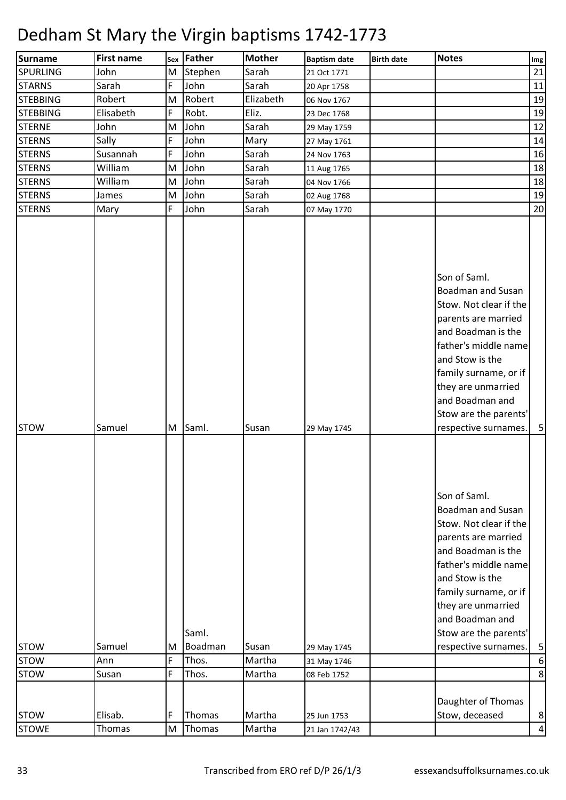| <b>Surname</b>  | <b>First name</b> | Sex | <b>Father</b> | <b>Mother</b> | <b>Baptism date</b> | <b>Birth date</b> | <b>Notes</b>                                                                                                                                                                                                                                          | Img              |
|-----------------|-------------------|-----|---------------|---------------|---------------------|-------------------|-------------------------------------------------------------------------------------------------------------------------------------------------------------------------------------------------------------------------------------------------------|------------------|
| <b>SPURLING</b> | John              | M   | Stephen       | Sarah         | 21 Oct 1771         |                   |                                                                                                                                                                                                                                                       | 21               |
| <b>STARNS</b>   | Sarah             | F   | John          | Sarah         | 20 Apr 1758         |                   |                                                                                                                                                                                                                                                       | 11               |
| <b>STEBBING</b> | Robert            | M   | Robert        | Elizabeth     | 06 Nov 1767         |                   |                                                                                                                                                                                                                                                       | 19               |
| <b>STEBBING</b> | Elisabeth         | F   | Robt.         | Eliz.         | 23 Dec 1768         |                   |                                                                                                                                                                                                                                                       | 19               |
| <b>STERNE</b>   | John              | M   | John          | Sarah         | 29 May 1759         |                   |                                                                                                                                                                                                                                                       | 12               |
| <b>STERNS</b>   | Sally             | F   | John          | Mary          | 27 May 1761         |                   |                                                                                                                                                                                                                                                       | 14               |
| <b>STERNS</b>   | Susannah          | F   | John          | Sarah         | 24 Nov 1763         |                   |                                                                                                                                                                                                                                                       | 16               |
| <b>STERNS</b>   | William           | M   | John          | Sarah         | 11 Aug 1765         |                   |                                                                                                                                                                                                                                                       | 18               |
| <b>STERNS</b>   | William           | M   | John          | Sarah         | 04 Nov 1766         |                   |                                                                                                                                                                                                                                                       | 18               |
| <b>STERNS</b>   | James             | M   | John          | Sarah         | 02 Aug 1768         |                   |                                                                                                                                                                                                                                                       | 19               |
| <b>STERNS</b>   | Mary              | F   | John          | Sarah         | 07 May 1770         |                   |                                                                                                                                                                                                                                                       | 20               |
|                 |                   |     |               |               |                     |                   | Son of Saml.<br><b>Boadman and Susan</b><br>Stow. Not clear if the<br>parents are married<br>and Boadman is the<br>father's middle name<br>and Stow is the<br>family surname, or if<br>they are unmarried<br>and Boadman and<br>Stow are the parents' |                  |
| <b>STOW</b>     | Samuel            | M   | Saml.         | Susan         | 29 May 1745         |                   | respective surnames.                                                                                                                                                                                                                                  | 5                |
|                 |                   |     | Saml.         |               |                     |                   | Son of Saml.<br><b>Boadman and Susan</b><br>Stow. Not clear if the<br>parents are married<br>and Boadman is the<br>father's middle name<br>and Stow is the<br>family surname, or if<br>they are unmarried<br>and Boadman and<br>Stow are the parents' |                  |
| <b>STOW</b>     | Samuel            | M   | Boadman       | Susan         | 29 May 1745         |                   | respective surnames.                                                                                                                                                                                                                                  | 5                |
| <b>STOW</b>     | Ann               | F   | Thos.         | Martha        | 31 May 1746         |                   |                                                                                                                                                                                                                                                       | $\boldsymbol{6}$ |
| <b>STOW</b>     | Susan             | F   | Thos.         | Martha        | 08 Feb 1752         |                   |                                                                                                                                                                                                                                                       | 8                |
| <b>STOW</b>     | Elisab.           | F   | Thomas        | Martha        | 25 Jun 1753         |                   | Daughter of Thomas<br>Stow, deceased                                                                                                                                                                                                                  | $\boldsymbol{8}$ |
| <b>STOWE</b>    | Thomas            | M   | Thomas        | Martha        | 21 Jan 1742/43      |                   |                                                                                                                                                                                                                                                       | $\overline{4}$   |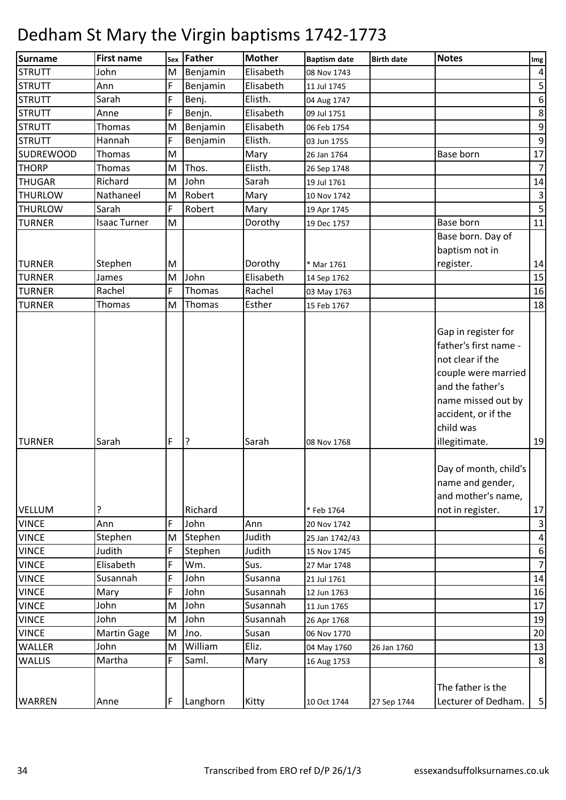| <b>Surname</b>   | <b>First name</b>   | Sex | Father   | <b>Mother</b> | <b>Baptism date</b> | <b>Birth date</b> | <b>Notes</b>                                                                                                                           | Img              |
|------------------|---------------------|-----|----------|---------------|---------------------|-------------------|----------------------------------------------------------------------------------------------------------------------------------------|------------------|
| <b>STRUTT</b>    | John                | M   | Benjamin | Elisabeth     | 08 Nov 1743         |                   |                                                                                                                                        | 4                |
| <b>STRUTT</b>    | Ann                 | F   | Benjamin | Elisabeth     | 11 Jul 1745         |                   |                                                                                                                                        | $\overline{5}$   |
| <b>STRUTT</b>    | Sarah               | F   | Benj.    | Elisth.       | 04 Aug 1747         |                   |                                                                                                                                        | 6 <sup>1</sup>   |
| <b>STRUTT</b>    | Anne                | F   | Benjn.   | Elisabeth     | 09 Jul 1751         |                   |                                                                                                                                        | $\boldsymbol{8}$ |
| <b>STRUTT</b>    | Thomas              | M   | Benjamin | Elisabeth     | 06 Feb 1754         |                   |                                                                                                                                        | 9                |
| <b>STRUTT</b>    | Hannah              | F   | Benjamin | Elisth.       | 03 Jun 1755         |                   |                                                                                                                                        | $\overline{9}$   |
| <b>SUDREWOOD</b> | Thomas              | M   |          | Mary          | 26 Jan 1764         |                   | Base born                                                                                                                              | 17               |
| <b>THORP</b>     | Thomas              | M   | Thos.    | Elisth.       | 26 Sep 1748         |                   |                                                                                                                                        | 7                |
| <b>THUGAR</b>    | Richard             | M   | John     | Sarah         | 19 Jul 1761         |                   |                                                                                                                                        | 14               |
| <b>THURLOW</b>   | Nathaneel           | M   | Robert   | Mary          | 10 Nov 1742         |                   |                                                                                                                                        | $\vert$ 3        |
| <b>THURLOW</b>   | Sarah               | F   | Robert   | Mary          | 19 Apr 1745         |                   |                                                                                                                                        | $\overline{5}$   |
| <b>TURNER</b>    | <b>Isaac Turner</b> | M   |          | Dorothy       | 19 Dec 1757         |                   | Base born                                                                                                                              | 11               |
|                  |                     |     |          |               |                     |                   | Base born. Day of                                                                                                                      |                  |
|                  |                     |     |          |               |                     |                   | baptism not in                                                                                                                         |                  |
| <b>TURNER</b>    | Stephen             | M   |          | Dorothy       | * Mar 1761          |                   | register.                                                                                                                              | 14               |
| <b>TURNER</b>    | James               | M   | John     | Elisabeth     | 14 Sep 1762         |                   |                                                                                                                                        | 15               |
| <b>TURNER</b>    | Rachel              | F   | Thomas   | Rachel        | 03 May 1763         |                   |                                                                                                                                        | 16               |
| <b>TURNER</b>    | Thomas              | M   | Thomas   | Esther        | 15 Feb 1767         |                   |                                                                                                                                        | 18               |
| <b>TURNER</b>    | Sarah               | F   | ?        | Sarah         | 08 Nov 1768         |                   | not clear if the<br>couple were married<br>and the father's<br>name missed out by<br>accident, or if the<br>child was<br>illegitimate. | 19               |
| <b>VELLUM</b>    |                     |     | Richard  |               | *Feb 1764           |                   | Day of month, child's<br>name and gender,<br>and mother's name,<br>not in register.                                                    | 17               |
| <b>VINCE</b>     | Ann                 | F   | John     | Ann           | 20 Nov 1742         |                   |                                                                                                                                        | $\vert$          |
| <b>VINCE</b>     | Stephen             | M   | Stephen  | Judith        | 25 Jan 1742/43      |                   |                                                                                                                                        | $\overline{4}$   |
| <b>VINCE</b>     | Judith              | F   | Stephen  | Judith        | 15 Nov 1745         |                   |                                                                                                                                        | 6                |
| <b>VINCE</b>     | Elisabeth           | F   | Wm.      | Sus.          | 27 Mar 1748         |                   |                                                                                                                                        | 7                |
| <b>VINCE</b>     | Susannah            | F   | John     | Susanna       | 21 Jul 1761         |                   |                                                                                                                                        | 14               |
| <b>VINCE</b>     | Mary                | F   | John     | Susannah      | 12 Jun 1763         |                   |                                                                                                                                        | 16               |
| <b>VINCE</b>     | John                | M   | John     | Susannah      | 11 Jun 1765         |                   |                                                                                                                                        | 17               |
| <b>VINCE</b>     | John                | M   | John     | Susannah      | 26 Apr 1768         |                   |                                                                                                                                        | 19               |
| <b>VINCE</b>     | Martin Gage         | M   | Jno.     | Susan         | 06 Nov 1770         |                   |                                                                                                                                        | 20               |
| WALLER           | John                | M   | William  | Eliz.         | 04 May 1760         | 26 Jan 1760       |                                                                                                                                        | 13               |
| <b>WALLIS</b>    | Martha              | F   | Saml.    | Mary          | 16 Aug 1753         |                   |                                                                                                                                        | 8 <sup>°</sup>   |
| <b>WARREN</b>    | Anne                | F   | Langhorn | Kitty         | 10 Oct 1744         | 27 Sep 1744       | The father is the<br>Lecturer of Dedham.                                                                                               | $\overline{5}$   |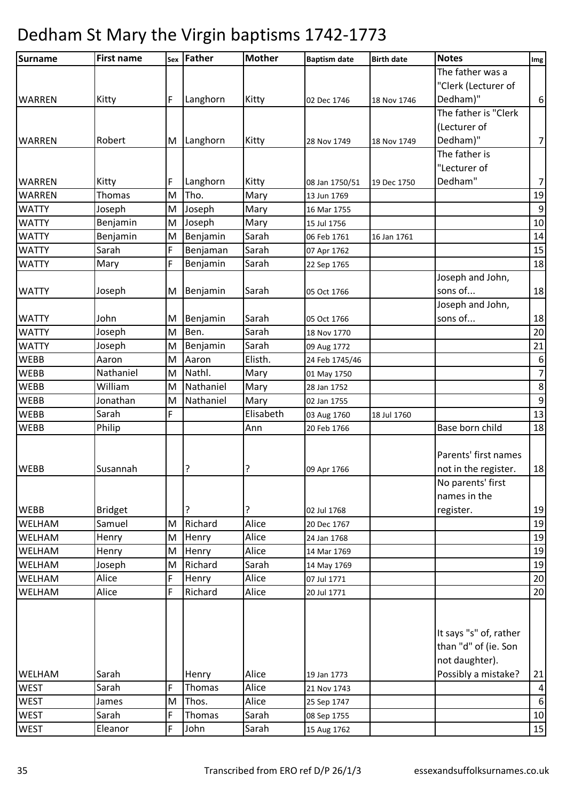| The father was a<br>"Clerk (Lecturer of<br>Dedham)"<br>F<br>Langhorn<br>Kitty<br>Kitty<br>02 Dec 1746<br>18 Nov 1746<br>The father is "Clerk<br>(Lecturer of<br>Dedham)"<br>Robert<br>Langhorn<br>Kitty<br>M<br>28 Nov 1749<br>18 Nov 1749<br>The father is<br>"Lecturer of<br>Dedham"<br>Langhorn<br>Kitty<br>Kitty<br>F.<br>08 Jan 1750/51<br>19 Dec 1750<br>M<br>Tho.<br>Thomas<br>Mary<br>13 Jun 1769<br>Joseph<br><b>WATTY</b><br>Joseph<br>M<br>Mary<br>16 Mar 1755<br>Benjamin<br>M<br>Joseph<br>Mary<br>15 Jul 1756<br>Sarah<br>Benjamin<br>M<br>Benjamin<br>06 Feb 1761<br>16 Jan 1761<br>Sarah<br>Benjaman<br>Sarah<br><b>WATTY</b><br>F<br>07 Apr 1762<br>F<br>Sarah<br>Mary<br>Benjamin<br>22 Sep 1765<br>Joseph and John,<br>Sarah<br>sons of<br>Benjamin<br>Joseph<br>M<br>05 Oct 1766<br>Joseph and John,<br>sons of<br>John<br>Benjamin<br>Sarah<br>M<br>05 Oct 1766<br>Sarah<br>M<br>Ben.<br>Joseph<br>18 Nov 1770<br>Sarah<br><b>WATTY</b><br>Joseph<br>Benjamin<br>M<br>09 Aug 1772<br><b>WEBB</b><br>Elisth.<br>Aaron<br>M<br>Aaron<br>24 Feb 1745/46<br>Nathl.<br>Nathaniel<br>M<br>Mary<br>01 May 1750<br>William<br>Nathaniel<br><b>WEBB</b><br>Mary<br>M<br>28 Jan 1752<br>Jonathan<br>M<br>Nathaniel<br>Mary<br>02 Jan 1755<br>F<br>Elisabeth<br><b>WEBB</b><br>Sarah<br>03 Aug 1760<br>18 Jul 1760<br>Base born child<br>Philip<br>Ann<br>20 Feb 1766<br>Parents' first names<br>Susannah<br>?<br>?<br>not in the register.<br>09 Apr 1766<br>No parents' first<br>names in the<br><b>Bridget</b><br>register.<br>02 Jul 1768<br>Alice<br>Samuel<br>Richard<br>M<br>20 Dec 1767<br>Alice<br>Henry<br>Henry<br>M<br>24 Jan 1768<br>Alice<br>Henry<br>Henry<br>M<br>14 Mar 1769<br>Richard<br>Sarah<br>Joseph<br>M<br>14 May 1769<br>Alice<br>F<br>Alice<br>Henry<br>07 Jul 1771<br>F<br>Alice<br>Richard<br>Alice<br>20 Jul 1771<br>It says "s" of, rather<br>than "d" of (ie. Son<br>not daughter).<br>Possibly a mistake?<br>Sarah<br>Alice<br>Henry<br>19 Jan 1773<br>Sarah<br>F<br>Alice<br>Thomas<br>21 Nov 1743<br>M<br>Thos.<br>Alice<br>James<br>25 Sep 1747<br>Sarah<br>Sarah<br>F<br>Thomas<br>08 Sep 1755<br>Eleanor<br>F<br>John<br>Sarah<br>15 Aug 1762 | Surname       | <b>First name</b> | Sex | Father | <b>Mother</b> | <b>Baptism date</b> | <b>Birth date</b> | <b>Notes</b> | Img |
|-----------------------------------------------------------------------------------------------------------------------------------------------------------------------------------------------------------------------------------------------------------------------------------------------------------------------------------------------------------------------------------------------------------------------------------------------------------------------------------------------------------------------------------------------------------------------------------------------------------------------------------------------------------------------------------------------------------------------------------------------------------------------------------------------------------------------------------------------------------------------------------------------------------------------------------------------------------------------------------------------------------------------------------------------------------------------------------------------------------------------------------------------------------------------------------------------------------------------------------------------------------------------------------------------------------------------------------------------------------------------------------------------------------------------------------------------------------------------------------------------------------------------------------------------------------------------------------------------------------------------------------------------------------------------------------------------------------------------------------------------------------------------------------------------------------------------------------------------------------------------------------------------------------------------------------------------------------------------------------------------------------------------------------------------------------------------------------------------------------------------------------------------------------------------------------------------|---------------|-------------------|-----|--------|---------------|---------------------|-------------------|--------------|-----|
| 21                                                                                                                                                                                                                                                                                                                                                                                                                                                                                                                                                                                                                                                                                                                                                                                                                                                                                                                                                                                                                                                                                                                                                                                                                                                                                                                                                                                                                                                                                                                                                                                                                                                                                                                                                                                                                                                                                                                                                                                                                                                                                                                                                                                            |               |                   |     |        |               |                     |                   |              |     |
| 6<br>$\overline{7}$<br>$\overline{7}$<br>19<br>$9\,$<br>10<br>14<br>15<br>18<br>18<br>18<br>20<br>$\boldsymbol{6}$<br>$\overline{7}$<br>$\bf 8$<br>9<br>13<br>18<br>18<br>19<br>19<br>19<br>19<br>19<br>20<br>20<br>21<br>$\overline{a}$<br>$\,$ 6 $\,$<br>$10\,$<br>15                                                                                                                                                                                                                                                                                                                                                                                                                                                                                                                                                                                                                                                                                                                                                                                                                                                                                                                                                                                                                                                                                                                                                                                                                                                                                                                                                                                                                                                                                                                                                                                                                                                                                                                                                                                                                                                                                                                       |               |                   |     |        |               |                     |                   |              |     |
|                                                                                                                                                                                                                                                                                                                                                                                                                                                                                                                                                                                                                                                                                                                                                                                                                                                                                                                                                                                                                                                                                                                                                                                                                                                                                                                                                                                                                                                                                                                                                                                                                                                                                                                                                                                                                                                                                                                                                                                                                                                                                                                                                                                               | <b>WARREN</b> |                   |     |        |               |                     |                   |              |     |
|                                                                                                                                                                                                                                                                                                                                                                                                                                                                                                                                                                                                                                                                                                                                                                                                                                                                                                                                                                                                                                                                                                                                                                                                                                                                                                                                                                                                                                                                                                                                                                                                                                                                                                                                                                                                                                                                                                                                                                                                                                                                                                                                                                                               |               |                   |     |        |               |                     |                   |              |     |
|                                                                                                                                                                                                                                                                                                                                                                                                                                                                                                                                                                                                                                                                                                                                                                                                                                                                                                                                                                                                                                                                                                                                                                                                                                                                                                                                                                                                                                                                                                                                                                                                                                                                                                                                                                                                                                                                                                                                                                                                                                                                                                                                                                                               |               |                   |     |        |               |                     |                   |              |     |
|                                                                                                                                                                                                                                                                                                                                                                                                                                                                                                                                                                                                                                                                                                                                                                                                                                                                                                                                                                                                                                                                                                                                                                                                                                                                                                                                                                                                                                                                                                                                                                                                                                                                                                                                                                                                                                                                                                                                                                                                                                                                                                                                                                                               | <b>WARREN</b> |                   |     |        |               |                     |                   |              |     |
|                                                                                                                                                                                                                                                                                                                                                                                                                                                                                                                                                                                                                                                                                                                                                                                                                                                                                                                                                                                                                                                                                                                                                                                                                                                                                                                                                                                                                                                                                                                                                                                                                                                                                                                                                                                                                                                                                                                                                                                                                                                                                                                                                                                               |               |                   |     |        |               |                     |                   |              |     |
|                                                                                                                                                                                                                                                                                                                                                                                                                                                                                                                                                                                                                                                                                                                                                                                                                                                                                                                                                                                                                                                                                                                                                                                                                                                                                                                                                                                                                                                                                                                                                                                                                                                                                                                                                                                                                                                                                                                                                                                                                                                                                                                                                                                               |               |                   |     |        |               |                     |                   |              |     |
|                                                                                                                                                                                                                                                                                                                                                                                                                                                                                                                                                                                                                                                                                                                                                                                                                                                                                                                                                                                                                                                                                                                                                                                                                                                                                                                                                                                                                                                                                                                                                                                                                                                                                                                                                                                                                                                                                                                                                                                                                                                                                                                                                                                               | <b>WARREN</b> |                   |     |        |               |                     |                   |              |     |
|                                                                                                                                                                                                                                                                                                                                                                                                                                                                                                                                                                                                                                                                                                                                                                                                                                                                                                                                                                                                                                                                                                                                                                                                                                                                                                                                                                                                                                                                                                                                                                                                                                                                                                                                                                                                                                                                                                                                                                                                                                                                                                                                                                                               | WARREN        |                   |     |        |               |                     |                   |              |     |
|                                                                                                                                                                                                                                                                                                                                                                                                                                                                                                                                                                                                                                                                                                                                                                                                                                                                                                                                                                                                                                                                                                                                                                                                                                                                                                                                                                                                                                                                                                                                                                                                                                                                                                                                                                                                                                                                                                                                                                                                                                                                                                                                                                                               |               |                   |     |        |               |                     |                   |              |     |
|                                                                                                                                                                                                                                                                                                                                                                                                                                                                                                                                                                                                                                                                                                                                                                                                                                                                                                                                                                                                                                                                                                                                                                                                                                                                                                                                                                                                                                                                                                                                                                                                                                                                                                                                                                                                                                                                                                                                                                                                                                                                                                                                                                                               | <b>WATTY</b>  |                   |     |        |               |                     |                   |              |     |
|                                                                                                                                                                                                                                                                                                                                                                                                                                                                                                                                                                                                                                                                                                                                                                                                                                                                                                                                                                                                                                                                                                                                                                                                                                                                                                                                                                                                                                                                                                                                                                                                                                                                                                                                                                                                                                                                                                                                                                                                                                                                                                                                                                                               | <b>WATTY</b>  |                   |     |        |               |                     |                   |              |     |
|                                                                                                                                                                                                                                                                                                                                                                                                                                                                                                                                                                                                                                                                                                                                                                                                                                                                                                                                                                                                                                                                                                                                                                                                                                                                                                                                                                                                                                                                                                                                                                                                                                                                                                                                                                                                                                                                                                                                                                                                                                                                                                                                                                                               |               |                   |     |        |               |                     |                   |              |     |
|                                                                                                                                                                                                                                                                                                                                                                                                                                                                                                                                                                                                                                                                                                                                                                                                                                                                                                                                                                                                                                                                                                                                                                                                                                                                                                                                                                                                                                                                                                                                                                                                                                                                                                                                                                                                                                                                                                                                                                                                                                                                                                                                                                                               | <b>WATTY</b>  |                   |     |        |               |                     |                   |              |     |
|                                                                                                                                                                                                                                                                                                                                                                                                                                                                                                                                                                                                                                                                                                                                                                                                                                                                                                                                                                                                                                                                                                                                                                                                                                                                                                                                                                                                                                                                                                                                                                                                                                                                                                                                                                                                                                                                                                                                                                                                                                                                                                                                                                                               |               |                   |     |        |               |                     |                   |              |     |
|                                                                                                                                                                                                                                                                                                                                                                                                                                                                                                                                                                                                                                                                                                                                                                                                                                                                                                                                                                                                                                                                                                                                                                                                                                                                                                                                                                                                                                                                                                                                                                                                                                                                                                                                                                                                                                                                                                                                                                                                                                                                                                                                                                                               | <b>WATTY</b>  |                   |     |        |               |                     |                   |              |     |
|                                                                                                                                                                                                                                                                                                                                                                                                                                                                                                                                                                                                                                                                                                                                                                                                                                                                                                                                                                                                                                                                                                                                                                                                                                                                                                                                                                                                                                                                                                                                                                                                                                                                                                                                                                                                                                                                                                                                                                                                                                                                                                                                                                                               |               |                   |     |        |               |                     |                   |              |     |
|                                                                                                                                                                                                                                                                                                                                                                                                                                                                                                                                                                                                                                                                                                                                                                                                                                                                                                                                                                                                                                                                                                                                                                                                                                                                                                                                                                                                                                                                                                                                                                                                                                                                                                                                                                                                                                                                                                                                                                                                                                                                                                                                                                                               | <b>WATTY</b>  |                   |     |        |               |                     |                   |              |     |
|                                                                                                                                                                                                                                                                                                                                                                                                                                                                                                                                                                                                                                                                                                                                                                                                                                                                                                                                                                                                                                                                                                                                                                                                                                                                                                                                                                                                                                                                                                                                                                                                                                                                                                                                                                                                                                                                                                                                                                                                                                                                                                                                                                                               | <b>WATTY</b>  |                   |     |        |               |                     |                   |              |     |
|                                                                                                                                                                                                                                                                                                                                                                                                                                                                                                                                                                                                                                                                                                                                                                                                                                                                                                                                                                                                                                                                                                                                                                                                                                                                                                                                                                                                                                                                                                                                                                                                                                                                                                                                                                                                                                                                                                                                                                                                                                                                                                                                                                                               |               |                   |     |        |               |                     |                   |              |     |
|                                                                                                                                                                                                                                                                                                                                                                                                                                                                                                                                                                                                                                                                                                                                                                                                                                                                                                                                                                                                                                                                                                                                                                                                                                                                                                                                                                                                                                                                                                                                                                                                                                                                                                                                                                                                                                                                                                                                                                                                                                                                                                                                                                                               |               |                   |     |        |               |                     |                   |              |     |
|                                                                                                                                                                                                                                                                                                                                                                                                                                                                                                                                                                                                                                                                                                                                                                                                                                                                                                                                                                                                                                                                                                                                                                                                                                                                                                                                                                                                                                                                                                                                                                                                                                                                                                                                                                                                                                                                                                                                                                                                                                                                                                                                                                                               | <b>WEBB</b>   |                   |     |        |               |                     |                   |              |     |
|                                                                                                                                                                                                                                                                                                                                                                                                                                                                                                                                                                                                                                                                                                                                                                                                                                                                                                                                                                                                                                                                                                                                                                                                                                                                                                                                                                                                                                                                                                                                                                                                                                                                                                                                                                                                                                                                                                                                                                                                                                                                                                                                                                                               |               |                   |     |        |               |                     |                   |              |     |
|                                                                                                                                                                                                                                                                                                                                                                                                                                                                                                                                                                                                                                                                                                                                                                                                                                                                                                                                                                                                                                                                                                                                                                                                                                                                                                                                                                                                                                                                                                                                                                                                                                                                                                                                                                                                                                                                                                                                                                                                                                                                                                                                                                                               | <b>WEBB</b>   |                   |     |        |               |                     |                   |              |     |
|                                                                                                                                                                                                                                                                                                                                                                                                                                                                                                                                                                                                                                                                                                                                                                                                                                                                                                                                                                                                                                                                                                                                                                                                                                                                                                                                                                                                                                                                                                                                                                                                                                                                                                                                                                                                                                                                                                                                                                                                                                                                                                                                                                                               |               |                   |     |        |               |                     |                   |              |     |
|                                                                                                                                                                                                                                                                                                                                                                                                                                                                                                                                                                                                                                                                                                                                                                                                                                                                                                                                                                                                                                                                                                                                                                                                                                                                                                                                                                                                                                                                                                                                                                                                                                                                                                                                                                                                                                                                                                                                                                                                                                                                                                                                                                                               | <b>WEBB</b>   |                   |     |        |               |                     |                   |              |     |
|                                                                                                                                                                                                                                                                                                                                                                                                                                                                                                                                                                                                                                                                                                                                                                                                                                                                                                                                                                                                                                                                                                                                                                                                                                                                                                                                                                                                                                                                                                                                                                                                                                                                                                                                                                                                                                                                                                                                                                                                                                                                                                                                                                                               |               |                   |     |        |               |                     |                   |              |     |
|                                                                                                                                                                                                                                                                                                                                                                                                                                                                                                                                                                                                                                                                                                                                                                                                                                                                                                                                                                                                                                                                                                                                                                                                                                                                                                                                                                                                                                                                                                                                                                                                                                                                                                                                                                                                                                                                                                                                                                                                                                                                                                                                                                                               |               |                   |     |        |               |                     |                   |              |     |
|                                                                                                                                                                                                                                                                                                                                                                                                                                                                                                                                                                                                                                                                                                                                                                                                                                                                                                                                                                                                                                                                                                                                                                                                                                                                                                                                                                                                                                                                                                                                                                                                                                                                                                                                                                                                                                                                                                                                                                                                                                                                                                                                                                                               | <b>WEBB</b>   |                   |     |        |               |                     |                   |              |     |
|                                                                                                                                                                                                                                                                                                                                                                                                                                                                                                                                                                                                                                                                                                                                                                                                                                                                                                                                                                                                                                                                                                                                                                                                                                                                                                                                                                                                                                                                                                                                                                                                                                                                                                                                                                                                                                                                                                                                                                                                                                                                                                                                                                                               |               |                   |     |        |               |                     |                   |              |     |
|                                                                                                                                                                                                                                                                                                                                                                                                                                                                                                                                                                                                                                                                                                                                                                                                                                                                                                                                                                                                                                                                                                                                                                                                                                                                                                                                                                                                                                                                                                                                                                                                                                                                                                                                                                                                                                                                                                                                                                                                                                                                                                                                                                                               |               |                   |     |        |               |                     |                   |              |     |
|                                                                                                                                                                                                                                                                                                                                                                                                                                                                                                                                                                                                                                                                                                                                                                                                                                                                                                                                                                                                                                                                                                                                                                                                                                                                                                                                                                                                                                                                                                                                                                                                                                                                                                                                                                                                                                                                                                                                                                                                                                                                                                                                                                                               | <b>WEBB</b>   |                   |     |        |               |                     |                   |              |     |
|                                                                                                                                                                                                                                                                                                                                                                                                                                                                                                                                                                                                                                                                                                                                                                                                                                                                                                                                                                                                                                                                                                                                                                                                                                                                                                                                                                                                                                                                                                                                                                                                                                                                                                                                                                                                                                                                                                                                                                                                                                                                                                                                                                                               | WELHAM        |                   |     |        |               |                     |                   |              |     |
|                                                                                                                                                                                                                                                                                                                                                                                                                                                                                                                                                                                                                                                                                                                                                                                                                                                                                                                                                                                                                                                                                                                                                                                                                                                                                                                                                                                                                                                                                                                                                                                                                                                                                                                                                                                                                                                                                                                                                                                                                                                                                                                                                                                               | WELHAM        |                   |     |        |               |                     |                   |              |     |
|                                                                                                                                                                                                                                                                                                                                                                                                                                                                                                                                                                                                                                                                                                                                                                                                                                                                                                                                                                                                                                                                                                                                                                                                                                                                                                                                                                                                                                                                                                                                                                                                                                                                                                                                                                                                                                                                                                                                                                                                                                                                                                                                                                                               | <b>WELHAM</b> |                   |     |        |               |                     |                   |              |     |
|                                                                                                                                                                                                                                                                                                                                                                                                                                                                                                                                                                                                                                                                                                                                                                                                                                                                                                                                                                                                                                                                                                                                                                                                                                                                                                                                                                                                                                                                                                                                                                                                                                                                                                                                                                                                                                                                                                                                                                                                                                                                                                                                                                                               | WELHAM        |                   |     |        |               |                     |                   |              |     |
|                                                                                                                                                                                                                                                                                                                                                                                                                                                                                                                                                                                                                                                                                                                                                                                                                                                                                                                                                                                                                                                                                                                                                                                                                                                                                                                                                                                                                                                                                                                                                                                                                                                                                                                                                                                                                                                                                                                                                                                                                                                                                                                                                                                               | WELHAM        |                   |     |        |               |                     |                   |              |     |
|                                                                                                                                                                                                                                                                                                                                                                                                                                                                                                                                                                                                                                                                                                                                                                                                                                                                                                                                                                                                                                                                                                                                                                                                                                                                                                                                                                                                                                                                                                                                                                                                                                                                                                                                                                                                                                                                                                                                                                                                                                                                                                                                                                                               | WELHAM        |                   |     |        |               |                     |                   |              |     |
|                                                                                                                                                                                                                                                                                                                                                                                                                                                                                                                                                                                                                                                                                                                                                                                                                                                                                                                                                                                                                                                                                                                                                                                                                                                                                                                                                                                                                                                                                                                                                                                                                                                                                                                                                                                                                                                                                                                                                                                                                                                                                                                                                                                               |               |                   |     |        |               |                     |                   |              |     |
|                                                                                                                                                                                                                                                                                                                                                                                                                                                                                                                                                                                                                                                                                                                                                                                                                                                                                                                                                                                                                                                                                                                                                                                                                                                                                                                                                                                                                                                                                                                                                                                                                                                                                                                                                                                                                                                                                                                                                                                                                                                                                                                                                                                               |               |                   |     |        |               |                     |                   |              |     |
|                                                                                                                                                                                                                                                                                                                                                                                                                                                                                                                                                                                                                                                                                                                                                                                                                                                                                                                                                                                                                                                                                                                                                                                                                                                                                                                                                                                                                                                                                                                                                                                                                                                                                                                                                                                                                                                                                                                                                                                                                                                                                                                                                                                               |               |                   |     |        |               |                     |                   |              |     |
|                                                                                                                                                                                                                                                                                                                                                                                                                                                                                                                                                                                                                                                                                                                                                                                                                                                                                                                                                                                                                                                                                                                                                                                                                                                                                                                                                                                                                                                                                                                                                                                                                                                                                                                                                                                                                                                                                                                                                                                                                                                                                                                                                                                               |               |                   |     |        |               |                     |                   |              |     |
|                                                                                                                                                                                                                                                                                                                                                                                                                                                                                                                                                                                                                                                                                                                                                                                                                                                                                                                                                                                                                                                                                                                                                                                                                                                                                                                                                                                                                                                                                                                                                                                                                                                                                                                                                                                                                                                                                                                                                                                                                                                                                                                                                                                               |               |                   |     |        |               |                     |                   |              |     |
|                                                                                                                                                                                                                                                                                                                                                                                                                                                                                                                                                                                                                                                                                                                                                                                                                                                                                                                                                                                                                                                                                                                                                                                                                                                                                                                                                                                                                                                                                                                                                                                                                                                                                                                                                                                                                                                                                                                                                                                                                                                                                                                                                                                               | WELHAM        |                   |     |        |               |                     |                   |              |     |
|                                                                                                                                                                                                                                                                                                                                                                                                                                                                                                                                                                                                                                                                                                                                                                                                                                                                                                                                                                                                                                                                                                                                                                                                                                                                                                                                                                                                                                                                                                                                                                                                                                                                                                                                                                                                                                                                                                                                                                                                                                                                                                                                                                                               | <b>WEST</b>   |                   |     |        |               |                     |                   |              |     |
|                                                                                                                                                                                                                                                                                                                                                                                                                                                                                                                                                                                                                                                                                                                                                                                                                                                                                                                                                                                                                                                                                                                                                                                                                                                                                                                                                                                                                                                                                                                                                                                                                                                                                                                                                                                                                                                                                                                                                                                                                                                                                                                                                                                               | <b>WEST</b>   |                   |     |        |               |                     |                   |              |     |
|                                                                                                                                                                                                                                                                                                                                                                                                                                                                                                                                                                                                                                                                                                                                                                                                                                                                                                                                                                                                                                                                                                                                                                                                                                                                                                                                                                                                                                                                                                                                                                                                                                                                                                                                                                                                                                                                                                                                                                                                                                                                                                                                                                                               | <b>WEST</b>   |                   |     |        |               |                     |                   |              |     |
|                                                                                                                                                                                                                                                                                                                                                                                                                                                                                                                                                                                                                                                                                                                                                                                                                                                                                                                                                                                                                                                                                                                                                                                                                                                                                                                                                                                                                                                                                                                                                                                                                                                                                                                                                                                                                                                                                                                                                                                                                                                                                                                                                                                               | <b>WEST</b>   |                   |     |        |               |                     |                   |              |     |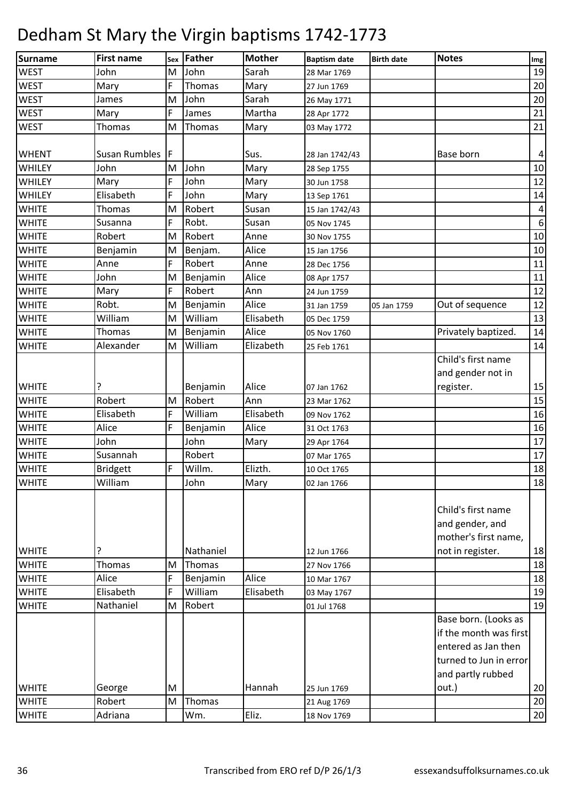| Surname       | <b>First name</b> | Sex | Father    | <b>Mother</b> | <b>Baptism date</b> | <b>Birth date</b> | <b>Notes</b>           | Img             |
|---------------|-------------------|-----|-----------|---------------|---------------------|-------------------|------------------------|-----------------|
| <b>WEST</b>   | John              | M   | John      | Sarah         | 28 Mar 1769         |                   |                        | 19              |
| <b>WEST</b>   | Mary              | F   | Thomas    | Mary          | 27 Jun 1769         |                   |                        | 20              |
| <b>WEST</b>   | James             | M   | John      | Sarah         | 26 May 1771         |                   |                        | 20              |
| <b>WEST</b>   | Mary              | F   | James     | Martha        | 28 Apr 1772         |                   |                        | 21              |
| <b>WEST</b>   | Thomas            | M   | Thomas    | Mary          | 03 May 1772         |                   |                        | 21              |
|               |                   |     |           |               |                     |                   |                        |                 |
| <b>WHENT</b>  | Susan Rumbles     | F   |           | Sus.          | 28 Jan 1742/43      |                   | Base born              | 4               |
| <b>WHILEY</b> | John              | M   | John      | Mary          | 28 Sep 1755         |                   |                        | 10              |
| WHILEY        | Mary              | F   | John      | Mary          | 30 Jun 1758         |                   |                        | 12              |
| <b>WHILEY</b> | Elisabeth         | F   | John      | Mary          | 13 Sep 1761         |                   |                        | 14              |
| <b>WHITE</b>  | Thomas            | M   | Robert    | Susan         | 15 Jan 1742/43      |                   |                        | $\vert 4 \vert$ |
| WHITE         | Susanna           | F   | Robt.     | Susan         | 05 Nov 1745         |                   |                        | 6               |
| <b>WHITE</b>  | Robert            | M   | Robert    | Anne          | 30 Nov 1755         |                   |                        | 10              |
| <b>WHITE</b>  | Benjamin          | M   | Benjam.   | Alice         | 15 Jan 1756         |                   |                        | 10              |
| <b>WHITE</b>  | Anne              | F   | Robert    | Anne          | 28 Dec 1756         |                   |                        | 11              |
| <b>WHITE</b>  | John              | M   | Benjamin  | Alice         | 08 Apr 1757         |                   |                        | 11              |
| <b>WHITE</b>  | Mary              | F   | Robert    | Ann           | 24 Jun 1759         |                   |                        | 12              |
| <b>WHITE</b>  | Robt.             | M   | Benjamin  | Alice         | 31 Jan 1759         | 05 Jan 1759       | Out of sequence        | 12              |
| <b>WHITE</b>  | William           | M   | William   | Elisabeth     | 05 Dec 1759         |                   |                        | 13              |
| <b>WHITE</b>  | Thomas            | M   | Benjamin  | Alice         | 05 Nov 1760         |                   | Privately baptized.    | 14              |
| <b>WHITE</b>  | Alexander         | M   | William   | Elizabeth     | 25 Feb 1761         |                   |                        | 14              |
|               |                   |     |           |               |                     |                   | Child's first name     |                 |
|               |                   |     |           |               |                     |                   | and gender not in      |                 |
| <b>WHITE</b>  |                   |     | Benjamin  | Alice         | 07 Jan 1762         |                   | register.              | 15              |
| <b>WHITE</b>  | Robert            | M   | Robert    | Ann           | 23 Mar 1762         |                   |                        | 15              |
| <b>WHITE</b>  | Elisabeth         | F   | William   | Elisabeth     | 09 Nov 1762         |                   |                        | 16              |
| <b>WHITE</b>  | Alice             | F   | Benjamin  | Alice         | 31 Oct 1763         |                   |                        | 16              |
| <b>WHITE</b>  | John              |     | John      | Mary          | 29 Apr 1764         |                   |                        | 17              |
| <b>WHITE</b>  | Susannah          |     | Robert    |               | 07 Mar 1765         |                   |                        | 17              |
| <b>WHITE</b>  | <b>Bridgett</b>   | F   | Willm.    | Elizth.       | 10 Oct 1765         |                   |                        | 18              |
| <b>WHITE</b>  | William           |     | John      | Mary          | 02 Jan 1766         |                   |                        | 18              |
|               |                   |     |           |               |                     |                   |                        |                 |
|               |                   |     |           |               |                     |                   | Child's first name     |                 |
|               |                   |     |           |               |                     |                   | and gender, and        |                 |
|               |                   |     |           |               |                     |                   | mother's first name,   |                 |
| <b>WHITE</b>  | Ģ                 |     | Nathaniel |               | 12 Jun 1766         |                   | not in register.       | 18              |
| <b>WHITE</b>  | Thomas            | M   | Thomas    |               | 27 Nov 1766         |                   |                        | 18              |
| <b>WHITE</b>  | Alice             | F   | Benjamin  | Alice         | 10 Mar 1767         |                   |                        | 18              |
| <b>WHITE</b>  | Elisabeth         | F   | William   | Elisabeth     | 03 May 1767         |                   |                        | 19              |
| <b>WHITE</b>  | Nathaniel         | M   | Robert    |               | 01 Jul 1768         |                   |                        | 19              |
|               |                   |     |           |               |                     |                   | Base born. (Looks as   |                 |
|               |                   |     |           |               |                     |                   | if the month was first |                 |
|               |                   |     |           |               |                     |                   | entered as Jan then    |                 |
|               |                   |     |           |               |                     |                   | turned to Jun in error |                 |
|               |                   |     |           |               |                     |                   | and partly rubbed      |                 |
| <b>WHITE</b>  | George            | M   |           | Hannah        | 25 Jun 1769         |                   | out.)                  | 20              |
| <b>WHITE</b>  | Robert            | M   | Thomas    |               | 21 Aug 1769         |                   |                        | 20              |
| <b>WHITE</b>  | Adriana           |     | Wm.       | Eliz.         | 18 Nov 1769         |                   |                        | 20              |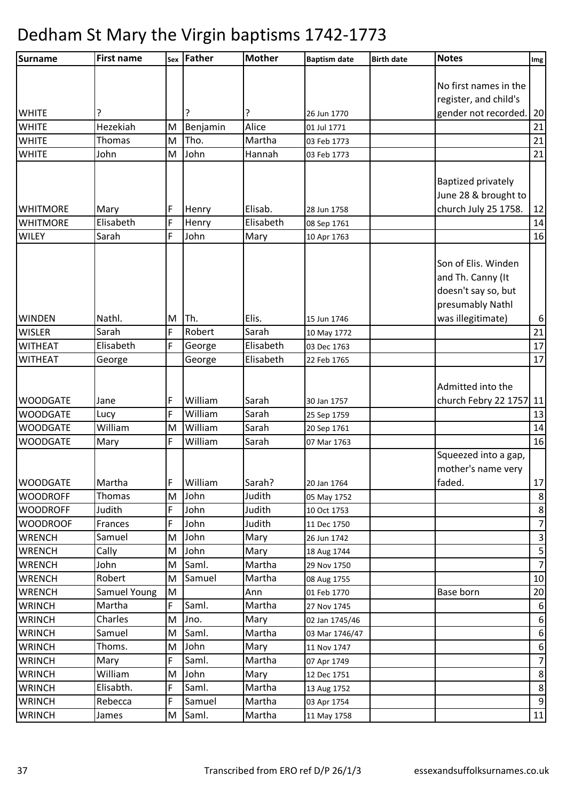| <b>Surname</b>  | <b>First name</b> | Sex | Father   | <b>Mother</b> | <b>Baptism date</b> | <b>Birth date</b> | <b>Notes</b>              | Img                     |
|-----------------|-------------------|-----|----------|---------------|---------------------|-------------------|---------------------------|-------------------------|
|                 |                   |     |          |               |                     |                   |                           |                         |
|                 |                   |     |          |               |                     |                   | No first names in the     |                         |
|                 |                   |     |          |               |                     |                   | register, and child's     |                         |
| <b>WHITE</b>    | ?                 |     |          |               | 26 Jun 1770         |                   | gender not recorded.      | 20                      |
| <b>WHITE</b>    | Hezekiah          | M   | Benjamin | Alice         | 01 Jul 1771         |                   |                           | 21                      |
| <b>WHITE</b>    | Thomas            | M   | Tho.     | Martha        | 03 Feb 1773         |                   |                           | 21                      |
| <b>WHITE</b>    | John              | M   | John     | Hannah        | 03 Feb 1773         |                   |                           | 21                      |
|                 |                   |     |          |               |                     |                   |                           |                         |
|                 |                   |     |          |               |                     |                   | <b>Baptized privately</b> |                         |
|                 |                   |     |          |               |                     |                   | June 28 & brought to      |                         |
| <b>WHITMORE</b> | Mary              | F   | Henry    | Elisab.       | 28 Jun 1758         |                   | church July 25 1758.      | 12                      |
| <b>WHITMORE</b> | Elisabeth         | F   | Henry    | Elisabeth     | 08 Sep 1761         |                   |                           | 14                      |
| <b>WILEY</b>    | Sarah             | F.  | John     | Mary          | 10 Apr 1763         |                   |                           | 16                      |
|                 |                   |     |          |               |                     |                   |                           |                         |
|                 |                   |     |          |               |                     |                   | Son of Elis. Winden       |                         |
|                 |                   |     |          |               |                     |                   | and Th. Canny (It         |                         |
|                 |                   |     |          |               |                     |                   | doesn't say so, but       |                         |
|                 |                   |     |          |               |                     |                   | presumably Nathl          |                         |
| <b>WINDEN</b>   | Nathl.            | M   | Th.      | Elis.         | 15 Jun 1746         |                   | was illegitimate)         | $6 \mid$                |
| <b>WISLER</b>   | Sarah             | F   | Robert   | Sarah         | 10 May 1772         |                   |                           | 21                      |
| <b>WITHEAT</b>  | Elisabeth         | F   | George   | Elisabeth     | 03 Dec 1763         |                   |                           | $17\,$                  |
| <b>WITHEAT</b>  | George            |     | George   | Elisabeth     | 22 Feb 1765         |                   |                           | 17                      |
|                 |                   |     |          |               |                     |                   |                           |                         |
|                 |                   |     |          |               |                     |                   | Admitted into the         |                         |
| <b>WOODGATE</b> | Jane              | F   | William  | Sarah         | 30 Jan 1757         |                   | church Febry 22 1757      | 11                      |
| <b>WOODGATE</b> | Lucy              | F   | William  | Sarah         | 25 Sep 1759         |                   |                           | 13                      |
| <b>WOODGATE</b> | William           | M   | William  | Sarah         | 20 Sep 1761         |                   |                           | 14                      |
| <b>WOODGATE</b> | Mary              | F   | William  | Sarah         | 07 Mar 1763         |                   |                           | 16                      |
|                 |                   |     |          |               |                     |                   | Squeezed into a gap,      |                         |
|                 |                   |     |          |               |                     |                   | mother's name very        |                         |
| <b>WOODGATE</b> | Martha            | F   | William  | Sarah?        | 20 Jan 1764         |                   | faded.                    | 17                      |
| <b>WOODROFF</b> | <b>Thomas</b>     | M   | John     | Judith        | 05 May 1752         |                   |                           | 8                       |
| <b>WOODROFF</b> | Judith            | F   | John     | Judith        | 10 Oct 1753         |                   |                           | 8                       |
| <b>WOODROOF</b> | Frances           | F   | John     | Judith        | 11 Dec 1750         |                   |                           | 7                       |
| <b>WRENCH</b>   | Samuel            | M   | John     | Mary          | 26 Jun 1742         |                   |                           | $\overline{\mathbf{3}}$ |
| <b>WRENCH</b>   | Cally             | M   | John     | Mary          | 18 Aug 1744         |                   |                           | 5                       |
| <b>WRENCH</b>   | John              | M   | Saml.    | Martha        | 29 Nov 1750         |                   |                           | 7                       |
| <b>WRENCH</b>   | Robert            | M   | Samuel   | Martha        | 08 Aug 1755         |                   |                           | 10                      |
| WRENCH          | Samuel Young      | M   |          | Ann           | 01 Feb 1770         |                   | Base born                 | 20                      |
| <b>WRINCH</b>   | Martha            | F   | Saml.    | Martha        | 27 Nov 1745         |                   |                           | $6 \mid$                |
| <b>WRINCH</b>   | Charles           | M   | Jno.     | Mary          | 02 Jan 1745/46      |                   |                           | $6 \mid$                |
| <b>WRINCH</b>   | Samuel            | M   | Saml.    | Martha        | 03 Mar 1746/47      |                   |                           | $6 \mid$                |
| <b>WRINCH</b>   | Thoms.            | M   | John     | Mary          | 11 Nov 1747         |                   |                           | $6 \mid$                |
| <b>WRINCH</b>   | Mary              | F   | Saml.    | Martha        | 07 Apr 1749         |                   |                           | 7                       |
| <b>WRINCH</b>   | William           | M   | John     | Mary          | 12 Dec 1751         |                   |                           | 8 <sup>1</sup>          |
| <b>WRINCH</b>   | Elisabth.         | F   | Saml.    | Martha        | 13 Aug 1752         |                   |                           | 8                       |
| <b>WRINCH</b>   | Rebecca           | F   | Samuel   | Martha        | 03 Apr 1754         |                   |                           | 9                       |
| <b>WRINCH</b>   | James             | M   | Saml.    | Martha        | 11 May 1758         |                   |                           | 11                      |